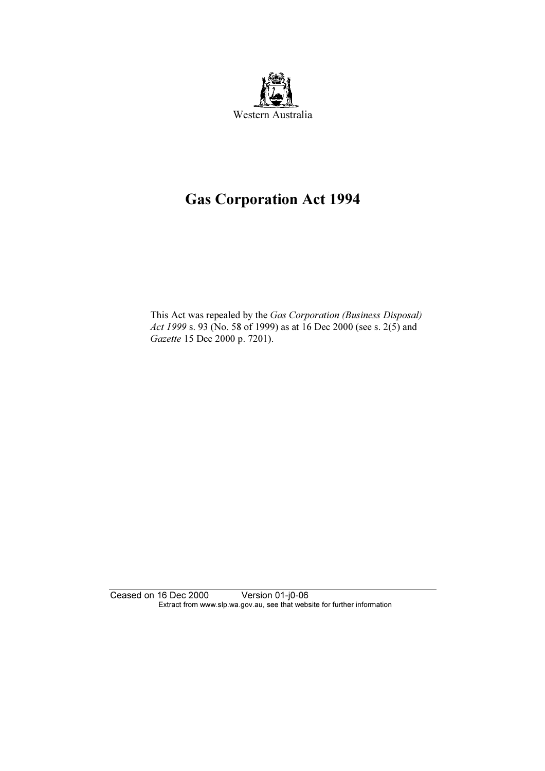

# Gas Corporation Act 1994

 This Act was repealed by the Gas Corporation (Business Disposal) Act 1999 s. 93 (No. 58 of 1999) as at 16 Dec 2000 (see s. 2(5) and Gazette 15 Dec 2000 p. 7201).

Ceased on 16 Dec 2000 Version 01-j0-06 Extract from www.slp.wa.gov.au, see that website for further information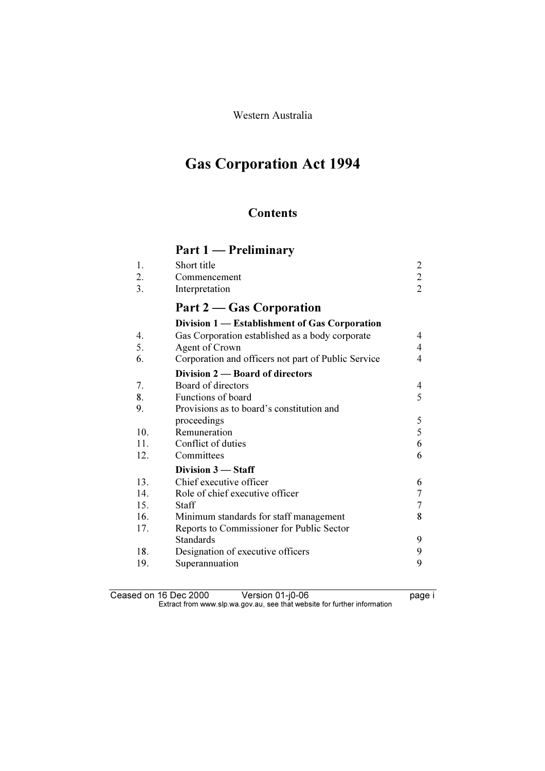Western Australia

# Gas Corporation Act 1994

# **Contents**

# Part 1 — Preliminary

| $\overline{2}$<br>3.<br>Interpretation<br>Part 2 – Gas Corporation<br>Division 1 — Establishment of Gas Corporation<br>Gas Corporation established as a body corporate<br>4.<br>4<br>5.<br>Agent of Crown<br>4<br>6.<br>Corporation and officers not part of Public Service<br>4<br>Division 2 – Board of directors<br>Board of directors<br>7.<br>4<br>8.<br>5<br>Functions of board<br>Provisions as to board's constitution and<br>9.<br>5<br>proceedings<br>5<br>Remuneration<br>10.<br>11.<br>Conflict of duties<br>6<br>12.<br>Committees<br>6<br>Division 3 - Staff<br>Chief executive officer<br>13.<br>6<br>$\overline{7}$<br>14.<br>Role of chief executive officer<br>$\overline{7}$<br>15.<br><b>Staff</b><br>8<br>16.<br>Minimum standards for staff management<br>17.<br>Reports to Commissioner for Public Sector<br><b>Standards</b><br>9<br>9<br>Designation of executive officers<br>18.<br>19.<br>9<br>Superannuation | 1.<br>2. | Short title<br>Commencement | $\overline{c}$<br>$\overline{c}$ |
|------------------------------------------------------------------------------------------------------------------------------------------------------------------------------------------------------------------------------------------------------------------------------------------------------------------------------------------------------------------------------------------------------------------------------------------------------------------------------------------------------------------------------------------------------------------------------------------------------------------------------------------------------------------------------------------------------------------------------------------------------------------------------------------------------------------------------------------------------------------------------------------------------------------------------------------|----------|-----------------------------|----------------------------------|
|                                                                                                                                                                                                                                                                                                                                                                                                                                                                                                                                                                                                                                                                                                                                                                                                                                                                                                                                          |          |                             |                                  |
|                                                                                                                                                                                                                                                                                                                                                                                                                                                                                                                                                                                                                                                                                                                                                                                                                                                                                                                                          |          |                             |                                  |
|                                                                                                                                                                                                                                                                                                                                                                                                                                                                                                                                                                                                                                                                                                                                                                                                                                                                                                                                          |          |                             |                                  |
|                                                                                                                                                                                                                                                                                                                                                                                                                                                                                                                                                                                                                                                                                                                                                                                                                                                                                                                                          |          |                             |                                  |
|                                                                                                                                                                                                                                                                                                                                                                                                                                                                                                                                                                                                                                                                                                                                                                                                                                                                                                                                          |          |                             |                                  |
|                                                                                                                                                                                                                                                                                                                                                                                                                                                                                                                                                                                                                                                                                                                                                                                                                                                                                                                                          |          |                             |                                  |
|                                                                                                                                                                                                                                                                                                                                                                                                                                                                                                                                                                                                                                                                                                                                                                                                                                                                                                                                          |          |                             |                                  |
|                                                                                                                                                                                                                                                                                                                                                                                                                                                                                                                                                                                                                                                                                                                                                                                                                                                                                                                                          |          |                             |                                  |
|                                                                                                                                                                                                                                                                                                                                                                                                                                                                                                                                                                                                                                                                                                                                                                                                                                                                                                                                          |          |                             |                                  |
|                                                                                                                                                                                                                                                                                                                                                                                                                                                                                                                                                                                                                                                                                                                                                                                                                                                                                                                                          |          |                             |                                  |
|                                                                                                                                                                                                                                                                                                                                                                                                                                                                                                                                                                                                                                                                                                                                                                                                                                                                                                                                          |          |                             |                                  |
|                                                                                                                                                                                                                                                                                                                                                                                                                                                                                                                                                                                                                                                                                                                                                                                                                                                                                                                                          |          |                             |                                  |
|                                                                                                                                                                                                                                                                                                                                                                                                                                                                                                                                                                                                                                                                                                                                                                                                                                                                                                                                          |          |                             |                                  |
|                                                                                                                                                                                                                                                                                                                                                                                                                                                                                                                                                                                                                                                                                                                                                                                                                                                                                                                                          |          |                             |                                  |
|                                                                                                                                                                                                                                                                                                                                                                                                                                                                                                                                                                                                                                                                                                                                                                                                                                                                                                                                          |          |                             |                                  |
|                                                                                                                                                                                                                                                                                                                                                                                                                                                                                                                                                                                                                                                                                                                                                                                                                                                                                                                                          |          |                             |                                  |
|                                                                                                                                                                                                                                                                                                                                                                                                                                                                                                                                                                                                                                                                                                                                                                                                                                                                                                                                          |          |                             |                                  |
|                                                                                                                                                                                                                                                                                                                                                                                                                                                                                                                                                                                                                                                                                                                                                                                                                                                                                                                                          |          |                             |                                  |
|                                                                                                                                                                                                                                                                                                                                                                                                                                                                                                                                                                                                                                                                                                                                                                                                                                                                                                                                          |          |                             |                                  |
|                                                                                                                                                                                                                                                                                                                                                                                                                                                                                                                                                                                                                                                                                                                                                                                                                                                                                                                                          |          |                             |                                  |
|                                                                                                                                                                                                                                                                                                                                                                                                                                                                                                                                                                                                                                                                                                                                                                                                                                                                                                                                          |          |                             |                                  |
|                                                                                                                                                                                                                                                                                                                                                                                                                                                                                                                                                                                                                                                                                                                                                                                                                                                                                                                                          |          |                             |                                  |
|                                                                                                                                                                                                                                                                                                                                                                                                                                                                                                                                                                                                                                                                                                                                                                                                                                                                                                                                          |          |                             |                                  |

Ceased on 16 Dec 2000 Version 01-j0-06 **page i**  $\mathbf{F}$  from which was the set that we besite for further information  $\mathbf{F}$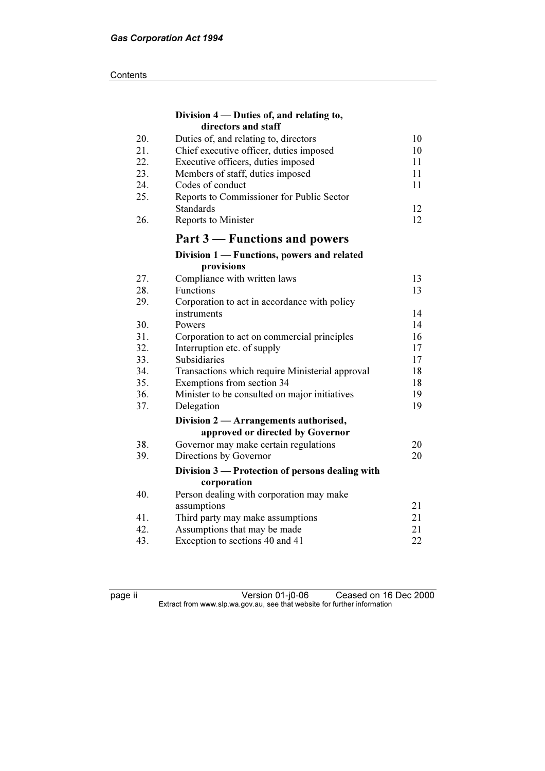#### **Contents**

|            | Division 4 — Duties of, and relating to,        |          |
|------------|-------------------------------------------------|----------|
|            | directors and staff                             |          |
| 20.        | Duties of, and relating to, directors           | 10       |
| 21.        | Chief executive officer, duties imposed         | 10       |
| 22.        | Executive officers, duties imposed              | 11       |
| 23.        | Members of staff, duties imposed                | 11       |
| 24.        | Codes of conduct                                | 11       |
| 25.        | Reports to Commissioner for Public Sector       |          |
|            | <b>Standards</b>                                | 12       |
| 26.        | Reports to Minister                             | 12       |
|            | Part 3 – Functions and powers                   |          |
|            | Division 1 - Functions, powers and related      |          |
|            | provisions                                      |          |
| 27.        | Compliance with written laws                    | 13       |
| 28.        | Functions                                       | 13       |
| 29.        | Corporation to act in accordance with policy    |          |
|            | instruments                                     | 14       |
| 30.        | Powers                                          | 14       |
| 31.        | Corporation to act on commercial principles     | 16       |
| 32.        | Interruption etc. of supply                     | 17       |
| 33.        | Subsidiaries                                    | 17       |
| 34.        | Transactions which require Ministerial approval | 18       |
| 35.        | Exemptions from section 34                      | 18       |
| 36.        | Minister to be consulted on major initiatives   | 19       |
| 37.        | Delegation                                      | 19       |
|            | Division 2 - Arrangements authorised,           |          |
|            | approved or directed by Governor                |          |
| 38.        | Governor may make certain regulations           | 20       |
| 39.        | Directions by Governor                          | 20       |
|            | Division 3 — Protection of persons dealing with |          |
|            | corporation                                     |          |
| 40.        | Person dealing with corporation may make        |          |
|            | assumptions                                     | 21       |
| 41.<br>42. | Third party may make assumptions                | 21<br>21 |
|            | Assumptions that may be made                    |          |
| 43.        | Exception to sections 40 and 41                 | 22       |

page ii Version 01-j0-06 Ceased on 16 Dec 2000  $\mathbf{F}$  from which was the set that we besite for further information  $\mathbf{F}$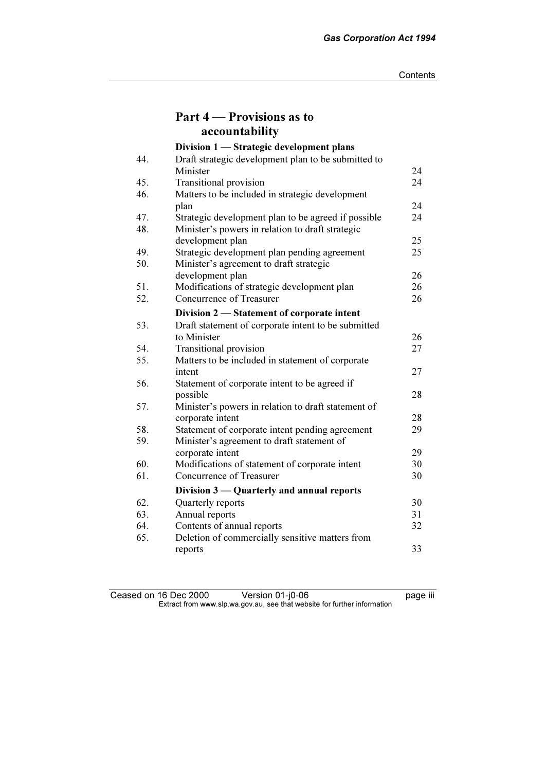|     | Part 4 – Provisions as to                           |    |
|-----|-----------------------------------------------------|----|
|     | accountability                                      |    |
|     | Division 1 - Strategic development plans            |    |
| 44. | Draft strategic development plan to be submitted to |    |
|     | Minister                                            | 24 |
| 45. | <b>Transitional provision</b>                       | 24 |
| 46. | Matters to be included in strategic development     |    |
|     | plan                                                | 24 |
| 47. | Strategic development plan to be agreed if possible | 24 |
| 48. | Minister's powers in relation to draft strategic    |    |
|     | development plan                                    | 25 |
| 49. | Strategic development plan pending agreement        | 25 |
| 50. | Minister's agreement to draft strategic             |    |
|     | development plan                                    | 26 |
| 51. | Modifications of strategic development plan         | 26 |
| 52. | Concurrence of Treasurer                            | 26 |
|     | Division 2 - Statement of corporate intent          |    |
| 53. | Draft statement of corporate intent to be submitted |    |
|     | to Minister                                         | 26 |
| 54. | <b>Transitional provision</b>                       | 27 |
| 55. | Matters to be included in statement of corporate    |    |
|     | intent                                              | 27 |
| 56. | Statement of corporate intent to be agreed if       |    |
|     | possible                                            | 28 |
| 57. | Minister's powers in relation to draft statement of |    |
|     | corporate intent                                    | 28 |
| 58. | Statement of corporate intent pending agreement     | 29 |
| 59. | Minister's agreement to draft statement of          |    |
|     | corporate intent                                    | 29 |
| 60. | Modifications of statement of corporate intent      | 30 |
| 61. | Concurrence of Treasurer                            | 30 |
|     | Division 3 — Quarterly and annual reports           |    |
| 62. | Quarterly reports                                   | 30 |
| 63. | Annual reports                                      | 31 |
| 64. | Contents of annual reports                          | 32 |
| 65. | Deletion of commercially sensitive matters from     |    |
|     | reports                                             | 33 |

#### Ceased on 16 Dec 2000 Version 01-j0-06 Peased on 16 Dec 2000  $\mathbf{F}$  from which was the set that we besite for further information  $\mathbf{F}$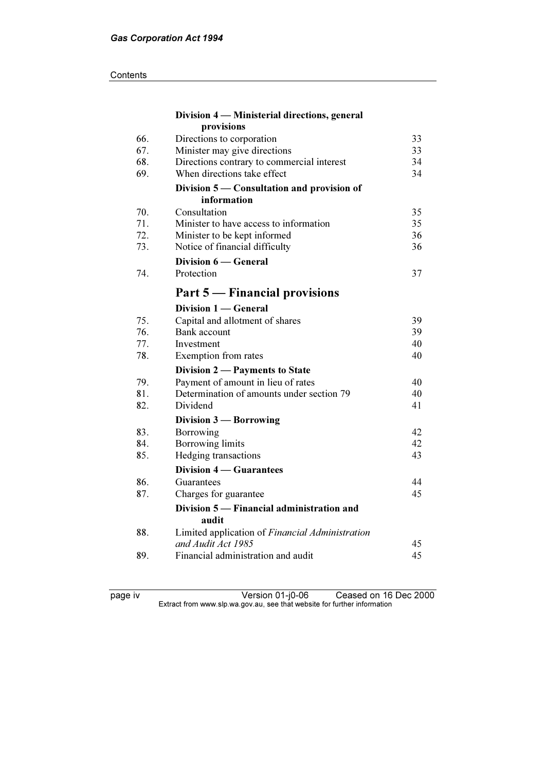#### **Contents**

| Division 4 - Ministerial directions, general    |                                                                                                                                                                                                                                                                                    |
|-------------------------------------------------|------------------------------------------------------------------------------------------------------------------------------------------------------------------------------------------------------------------------------------------------------------------------------------|
| provisions                                      |                                                                                                                                                                                                                                                                                    |
| Directions to corporation                       | 33                                                                                                                                                                                                                                                                                 |
| Minister may give directions                    | 33                                                                                                                                                                                                                                                                                 |
|                                                 | 34                                                                                                                                                                                                                                                                                 |
|                                                 | 34                                                                                                                                                                                                                                                                                 |
| Division 5 – Consultation and provision of      |                                                                                                                                                                                                                                                                                    |
| information                                     |                                                                                                                                                                                                                                                                                    |
| Consultation                                    | 35                                                                                                                                                                                                                                                                                 |
| Minister to have access to information          | 35                                                                                                                                                                                                                                                                                 |
| Minister to be kept informed                    | 36                                                                                                                                                                                                                                                                                 |
|                                                 | 36                                                                                                                                                                                                                                                                                 |
| Division 6 — General                            |                                                                                                                                                                                                                                                                                    |
| Protection                                      | 37                                                                                                                                                                                                                                                                                 |
| Part 5 — Financial provisions                   |                                                                                                                                                                                                                                                                                    |
| Division 1 - General                            |                                                                                                                                                                                                                                                                                    |
|                                                 | 39                                                                                                                                                                                                                                                                                 |
| <b>Bank</b> account                             | 39                                                                                                                                                                                                                                                                                 |
| Investment                                      | 40                                                                                                                                                                                                                                                                                 |
| Exemption from rates                            | 40                                                                                                                                                                                                                                                                                 |
|                                                 |                                                                                                                                                                                                                                                                                    |
|                                                 | 40                                                                                                                                                                                                                                                                                 |
| Determination of amounts under section 79       | 40                                                                                                                                                                                                                                                                                 |
| Dividend                                        | 41                                                                                                                                                                                                                                                                                 |
| Division 3 – Borrowing                          |                                                                                                                                                                                                                                                                                    |
| Borrowing                                       | 42                                                                                                                                                                                                                                                                                 |
| <b>Borrowing limits</b>                         | 42                                                                                                                                                                                                                                                                                 |
| Hedging transactions                            | 43                                                                                                                                                                                                                                                                                 |
| <b>Division 4 – Guarantees</b>                  |                                                                                                                                                                                                                                                                                    |
| Guarantees                                      | 44                                                                                                                                                                                                                                                                                 |
| Charges for guarantee                           | 45                                                                                                                                                                                                                                                                                 |
| Division 5 – Financial administration and       |                                                                                                                                                                                                                                                                                    |
| audit                                           |                                                                                                                                                                                                                                                                                    |
| Limited application of Financial Administration |                                                                                                                                                                                                                                                                                    |
|                                                 | 45                                                                                                                                                                                                                                                                                 |
|                                                 | 45                                                                                                                                                                                                                                                                                 |
|                                                 | Directions contrary to commercial interest<br>When directions take effect<br>Notice of financial difficulty<br>Capital and allotment of shares<br>Division 2 - Payments to State<br>Payment of amount in lieu of rates<br>and Audit Act 1985<br>Financial administration and audit |

page iv Version 01-j0-06 Ceased on 16 Dec 2000  $\mathbf{F}$  from which was the set that we besite for further information  $\mathbf{F}$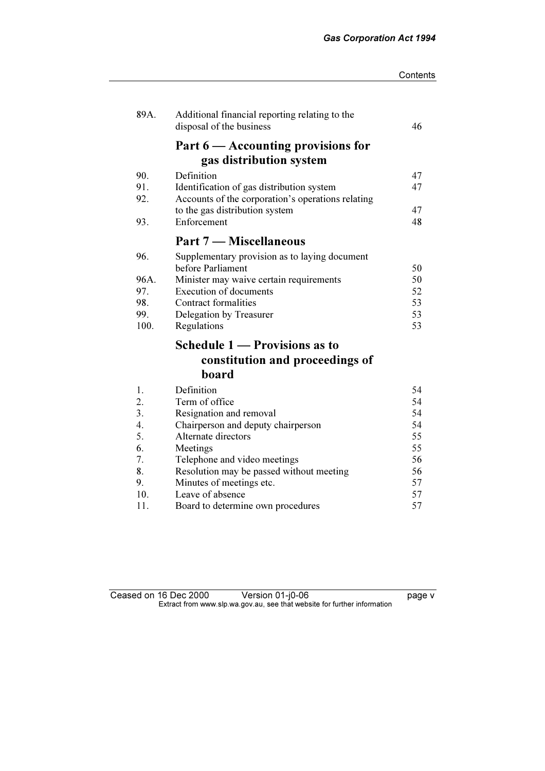| Contents |
|----------|
|----------|

| 89A. | Additional financial reporting relating to the<br>disposal of the business | 46 |
|------|----------------------------------------------------------------------------|----|
|      | Part $6$ — Accounting provisions for                                       |    |
|      | gas distribution system                                                    |    |
| 90.  | Definition                                                                 | 47 |
| 91.  | Identification of gas distribution system                                  | 47 |
| 92.  | Accounts of the corporation's operations relating                          |    |
|      | to the gas distribution system                                             | 47 |
| 93.  | Enforcement                                                                | 48 |
|      | Part 7 – Miscellaneous                                                     |    |
| 96.  | Supplementary provision as to laying document                              |    |
|      | before Parliament                                                          | 50 |
| 96A. | Minister may waive certain requirements                                    | 50 |
| 97.  | <b>Execution of documents</b>                                              | 52 |
| 98.  | <b>Contract formalities</b>                                                | 53 |
| 99.  | Delegation by Treasurer                                                    | 53 |
| 100. | Regulations                                                                | 53 |
|      | Schedule 1 - Provisions as to                                              |    |
|      | constitution and proceedings of                                            |    |
|      | board                                                                      |    |
| 1.   | Definition                                                                 | 54 |
| 2.   | Term of office                                                             | 54 |
| 3.   | Resignation and removal                                                    | 54 |
| 4.   | Chairperson and deputy chairperson                                         | 54 |
| 5.   | Alternate directors                                                        | 55 |
| 6.   | Meetings                                                                   | 55 |
| 7.   | Telephone and video meetings                                               | 56 |
| 8.   | Resolution may be passed without meeting                                   | 56 |
| 9.   | Minutes of meetings etc.                                                   | 57 |
| 10.  | Leave of absence                                                           | 57 |
| 11.  | Board to determine own procedures                                          | 57 |

Ceased on 16 Dec 2000 Version 01-j0-06 **page v**  $\mathbf{F}$  from which was the set that we besite for further information  $\mathbf{F}$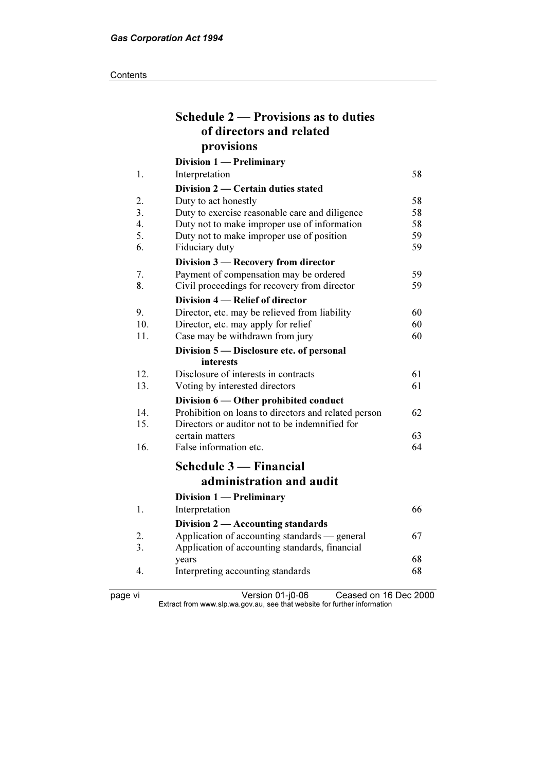|     | Schedule 2 – Provisions as to duties                 |    |
|-----|------------------------------------------------------|----|
|     | of directors and related                             |    |
|     | provisions                                           |    |
|     | Division 1 — Preliminary                             |    |
| 1.  | Interpretation                                       | 58 |
|     | Division 2 — Certain duties stated                   |    |
| 2.  | Duty to act honestly                                 | 58 |
| 3.  | Duty to exercise reasonable care and diligence       | 58 |
| 4.  | Duty not to make improper use of information         | 58 |
| 5.  | Duty not to make improper use of position            | 59 |
| 6.  | Fiduciary duty                                       | 59 |
|     | Division 3 - Recovery from director                  |    |
| 7.  | Payment of compensation may be ordered               | 59 |
| 8.  | Civil proceedings for recovery from director         | 59 |
|     | Division 4 – Relief of director                      |    |
| 9.  | Director, etc. may be relieved from liability        | 60 |
| 10. | Director, etc. may apply for relief                  | 60 |
| 11. | Case may be withdrawn from jury                      | 60 |
|     | Division 5 - Disclosure etc. of personal             |    |
|     | interests                                            |    |
| 12. | Disclosure of interests in contracts                 | 61 |
| 13. | Voting by interested directors                       | 61 |
|     | Division 6 — Other prohibited conduct                |    |
| 14. | Prohibition on loans to directors and related person | 62 |
| 15. | Directors or auditor not to be indemnified for       |    |
|     | certain matters                                      | 63 |
| 16. | False information etc.                               | 64 |
|     | <b>Schedule 3 – Financial</b>                        |    |
|     | administration and audit                             |    |
|     |                                                      |    |
|     | Division 1 - Preliminary                             |    |
| 1.  | Interpretation                                       | 66 |
|     | Division 2 - Accounting standards                    |    |
| 2.  | Application of accounting standards — general        | 67 |
| 3.  | Application of accounting standards, financial       |    |
|     | years                                                | 68 |
| 4.  | Interpreting accounting standards                    | 68 |
|     |                                                      |    |

page vi Version 01-j0-06 Ceased on 16 Dec 2000  $\mathbf{F}$  from which was the set that we besite for further information  $\mathbf{F}$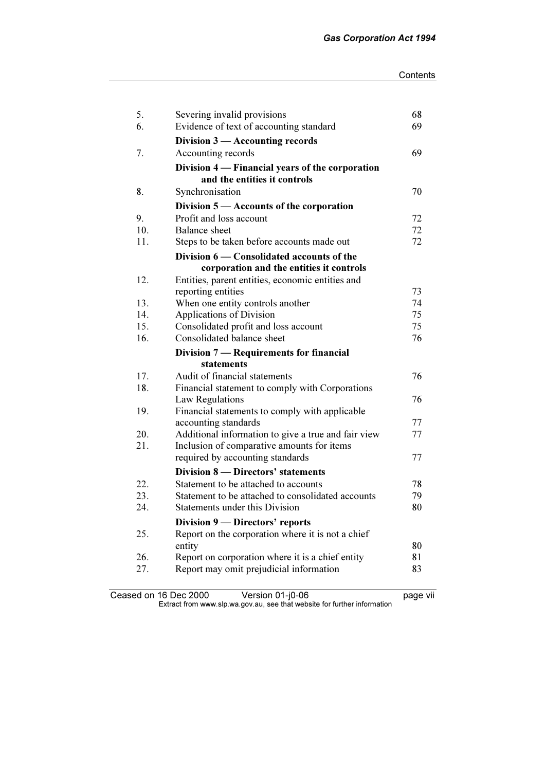| 5.  | Severing invalid provisions                         | 68 |
|-----|-----------------------------------------------------|----|
| 6.  | Evidence of text of accounting standard             | 69 |
|     | Division $3$ — Accounting records                   |    |
| 7.  | Accounting records                                  | 69 |
|     | Division 4 — Financial years of the corporation     |    |
|     | and the entities it controls                        |    |
| 8.  | Synchronisation                                     | 70 |
|     | Division $5 -$ Accounts of the corporation          |    |
| 9.  | Profit and loss account                             | 72 |
| 10. | <b>Balance</b> sheet                                | 72 |
| 11. | Steps to be taken before accounts made out          | 72 |
|     | Division 6 — Consolidated accounts of the           |    |
|     | corporation and the entities it controls            |    |
| 12. | Entities, parent entities, economic entities and    |    |
|     | reporting entities                                  | 73 |
| 13. | When one entity controls another                    | 74 |
| 14. | Applications of Division                            | 75 |
| 15. | Consolidated profit and loss account                | 75 |
| 16. | Consolidated balance sheet                          | 76 |
|     | Division 7 — Requirements for financial             |    |
|     | statements                                          |    |
| 17. | Audit of financial statements                       | 76 |
| 18. | Financial statement to comply with Corporations     |    |
|     | Law Regulations                                     | 76 |
| 19. | Financial statements to comply with applicable      |    |
|     | accounting standards                                | 77 |
| 20. | Additional information to give a true and fair view | 77 |
| 21. | Inclusion of comparative amounts for items          |    |
|     | required by accounting standards                    | 77 |
|     | Division 8 - Directors' statements                  |    |
| 22. | Statement to be attached to accounts                | 78 |
| 23. | Statement to be attached to consolidated accounts   | 79 |
| 24. | Statements under this Division                      | 80 |
|     | Division 9 - Directors' reports                     |    |
| 25. | Report on the corporation where it is not a chief   |    |
|     | entity                                              | 80 |
| 26. | Report on corporation where it is a chief entity    | 81 |
| 27. | Report may omit prejudicial information             | 83 |
|     |                                                     |    |

Ceased on 16 Dec 2000 Version 01-j0-06 **page vii**  $\mathbf{F}$  from which was the set that we besite for further information  $\mathbf{F}$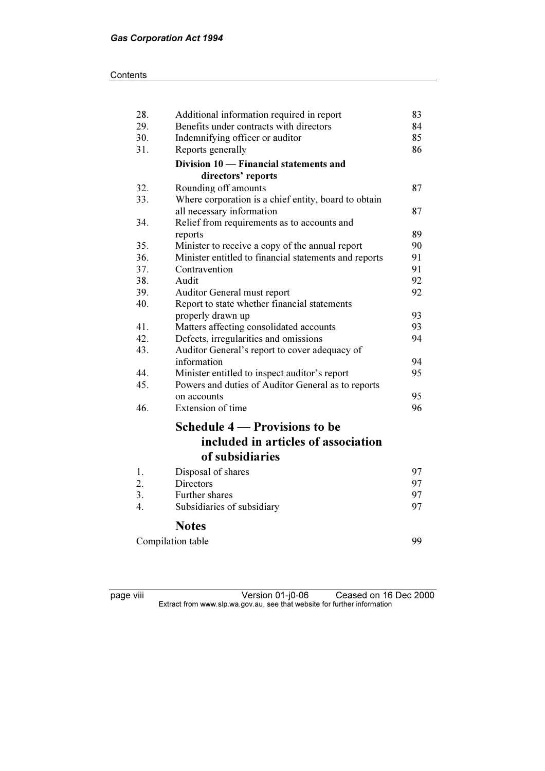| 28. | Additional information required in report                    | 83 |
|-----|--------------------------------------------------------------|----|
| 29. | Benefits under contracts with directors                      | 84 |
| 30. | Indemnifying officer or auditor                              | 85 |
| 31. | Reports generally                                            | 86 |
|     | Division 10 - Financial statements and                       |    |
|     | directors' reports                                           |    |
| 32. | Rounding off amounts                                         | 87 |
| 33. | Where corporation is a chief entity, board to obtain         |    |
|     | all necessary information                                    | 87 |
| 34. | Relief from requirements as to accounts and                  |    |
|     | reports                                                      | 89 |
| 35. | Minister to receive a copy of the annual report              | 90 |
| 36. | Minister entitled to financial statements and reports        | 91 |
| 37. | Contravention                                                | 91 |
| 38. | Audit                                                        | 92 |
| 39. | Auditor General must report                                  | 92 |
| 40. | Report to state whether financial statements                 |    |
|     | properly drawn up                                            | 93 |
| 41. | Matters affecting consolidated accounts                      | 93 |
| 42. | Defects, irregularities and omissions                        | 94 |
| 43. | Auditor General's report to cover adequacy of<br>information | 94 |
| 44. | Minister entitled to inspect auditor's report                | 95 |
| 45. | Powers and duties of Auditor General as to reports           |    |
|     | on accounts                                                  | 95 |
| 46. | Extension of time                                            | 96 |
|     |                                                              |    |
|     | <b>Schedule 4 – Provisions to be</b>                         |    |
|     | included in articles of association                          |    |
|     | of subsidiaries                                              |    |
| 1.  | Disposal of shares                                           | 97 |
| 2.  | Directors                                                    | 97 |
| 3.  | Further shares                                               | 97 |
| 4.  | Subsidiaries of subsidiary                                   | 97 |
|     | <b>Notes</b>                                                 |    |
|     | Compilation table                                            | 99 |

page viii Version 01-j0-06 Ceased on 16 Dec 2000  $\mathbf{F}$  from which was the set that we besite for further information  $\mathbf{F}$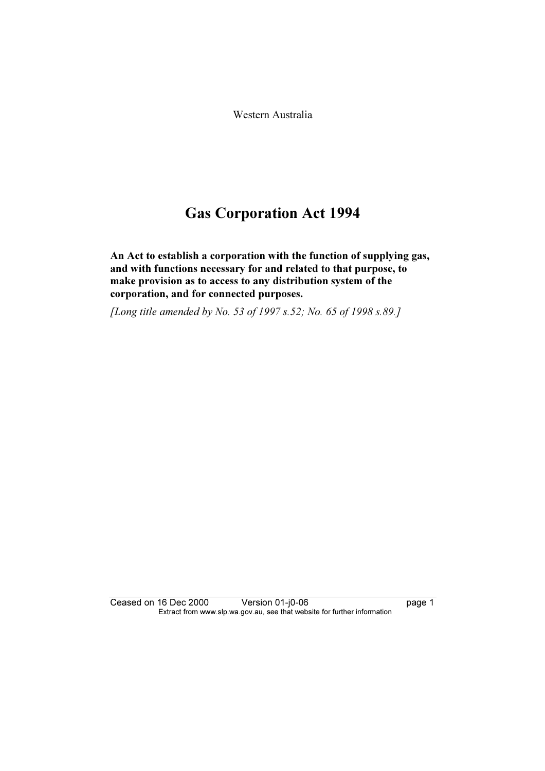Western Australia

# Gas Corporation Act 1994

An Act to establish a corporation with the function of supplying gas, and with functions necessary for and related to that purpose, to make provision as to access to any distribution system of the corporation, and for connected purposes.

[Long title amended by No. 53 of 1997 s.52; No. 65 of 1998 s.89.]

Ceased on 16 Dec 2000 Version 01-j0-06 page 1 Extract from www.slp.wa.gov.au, see that website for further information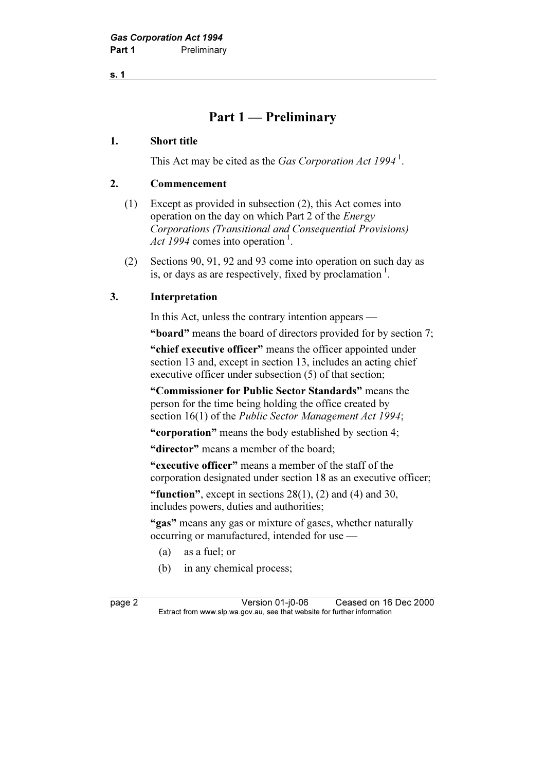s. 1

# Part 1 — Preliminary

#### 1. Short title

This Act may be cited as the *Gas Corporation Act*  $1994<sup>1</sup>$ .

#### 2. Commencement

- (1) Except as provided in subsection (2), this Act comes into operation on the day on which Part 2 of the Energy Corporations (Transitional and Consequential Provisions) Act 1994 comes into operation<sup>1</sup>.
- (2) Sections 90, 91, 92 and 93 come into operation on such day as is, or days as are respectively, fixed by proclamation<sup>1</sup>.

#### 3. Interpretation

In this Act, unless the contrary intention appears —

"board" means the board of directors provided for by section 7;

"chief executive officer" means the officer appointed under section 13 and, except in section 13, includes an acting chief executive officer under subsection (5) of that section;

 "Commissioner for Public Sector Standards" means the person for the time being holding the office created by section 16(1) of the *Public Sector Management Act 1994*;

"corporation" means the body established by section 4;

"director" means a member of the board:

 "executive officer" means a member of the staff of the corporation designated under section 18 as an executive officer;

"function", except in sections  $28(1)$ ,  $(2)$  and  $(4)$  and  $30$ , includes powers, duties and authorities;

"gas" means any gas or mixture of gases, whether naturally occurring or manufactured, intended for use —

- (a) as a fuel; or
- (b) in any chemical process;

page 2 Version 01-j0-06 Ceased on 16 Dec 2000<br>Extract from www.slp.wa.gov.au, see that website for further information  $\mathbf{F}$  from which was the set that we besite for further information  $\mathbf{F}$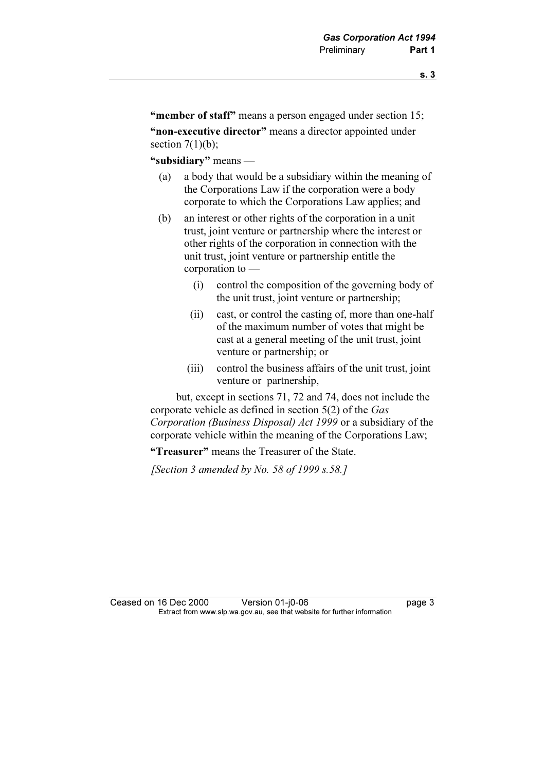"member of staff" means a person engaged under section 15;

"non-executive director" means a director appointed under section  $7(1)(b)$ ;

"subsidiary" means —

- (a) a body that would be a subsidiary within the meaning of the Corporations Law if the corporation were a body corporate to which the Corporations Law applies; and
- (b) an interest or other rights of the corporation in a unit trust, joint venture or partnership where the interest or other rights of the corporation in connection with the unit trust, joint venture or partnership entitle the corporation to —
	- (i) control the composition of the governing body of the unit trust, joint venture or partnership;
	- (ii) cast, or control the casting of, more than one-half of the maximum number of votes that might be cast at a general meeting of the unit trust, joint venture or partnership; or
	- (iii) control the business affairs of the unit trust, joint venture or partnership,

 but, except in sections 71, 72 and 74, does not include the corporate vehicle as defined in section 5(2) of the Gas Corporation (Business Disposal) Act 1999 or a subsidiary of the corporate vehicle within the meaning of the Corporations Law;

"Treasurer" means the Treasurer of the State.

[Section 3 amended by No. 58 of 1999  $s.58$ .]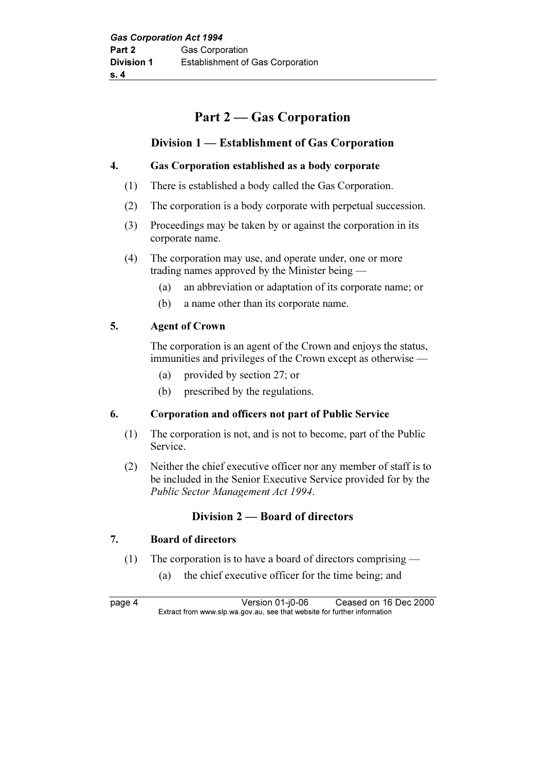# Part 2 — Gas Corporation

# Division 1 — Establishment of Gas Corporation

# 4. Gas Corporation established as a body corporate

- (1) There is established a body called the Gas Corporation.
- (2) The corporation is a body corporate with perpetual succession.
- (3) Proceedings may be taken by or against the corporation in its corporate name.
- (4) The corporation may use, and operate under, one or more trading names approved by the Minister being —
	- (a) an abbreviation or adaptation of its corporate name; or
	- (b) a name other than its corporate name.

#### 5. Agent of Crown

 The corporation is an agent of the Crown and enjoys the status, immunities and privileges of the Crown except as otherwise —

- (a) provided by section 27; or
- (b) prescribed by the regulations.

#### 6. Corporation and officers not part of Public Service

- (1) The corporation is not, and is not to become, part of the Public Service.
- (2) Neither the chief executive officer nor any member of staff is to be included in the Senior Executive Service provided for by the Public Sector Management Act 1994.

# Division 2 — Board of directors

# 7. Board of directors

- (1) The corporation is to have a board of directors comprising
	- (a) the chief executive officer for the time being; and

page 4 Version 01-j0-06 Ceased on 16 Dec 2000<br>Extract from www.slp.wa.gov.au, see that website for further information  $\mathbf{F}$  from which was the set that we besite for further information  $\mathbf{F}$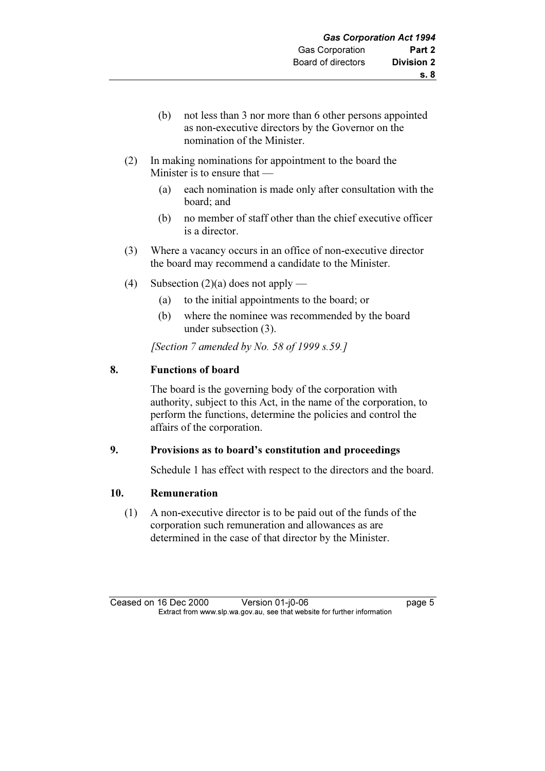- (b) not less than 3 nor more than 6 other persons appointed as non-executive directors by the Governor on the nomination of the Minister.
- (2) In making nominations for appointment to the board the Minister is to ensure that —
	- (a) each nomination is made only after consultation with the board; and
	- (b) no member of staff other than the chief executive officer is a director.
- (3) Where a vacancy occurs in an office of non-executive director the board may recommend a candidate to the Minister.
- (4) Subsection  $(2)(a)$  does not apply
	- (a) to the initial appointments to the board; or
	- (b) where the nominee was recommended by the board under subsection (3).

[Section 7 amended by No. 58 of 1999  $s.59$ .]

#### 8. Functions of board

 The board is the governing body of the corporation with authority, subject to this Act, in the name of the corporation, to perform the functions, determine the policies and control the affairs of the corporation.

#### 9. Provisions as to board's constitution and proceedings

Schedule 1 has effect with respect to the directors and the board.

#### 10. Remuneration

 (1) A non-executive director is to be paid out of the funds of the corporation such remuneration and allowances as are determined in the case of that director by the Minister.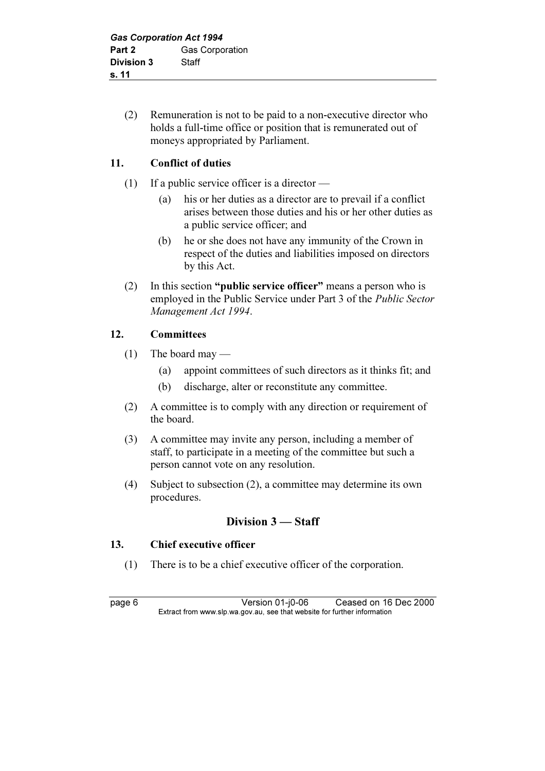(2) Remuneration is not to be paid to a non-executive director who holds a full-time office or position that is remunerated out of moneys appropriated by Parliament.

# 11. Conflict of duties

- (1) If a public service officer is a director
	- (a) his or her duties as a director are to prevail if a conflict arises between those duties and his or her other duties as a public service officer; and
	- (b) he or she does not have any immunity of the Crown in respect of the duties and liabilities imposed on directors by this Act.
- (2) In this section "public service officer" means a person who is employed in the Public Service under Part 3 of the Public Sector Management Act 1994.

# 12. Committees

- $(1)$  The board may
	- (a) appoint committees of such directors as it thinks fit; and
	- (b) discharge, alter or reconstitute any committee.
- (2) A committee is to comply with any direction or requirement of the board.
- (3) A committee may invite any person, including a member of staff, to participate in a meeting of the committee but such a person cannot vote on any resolution.
- (4) Subject to subsection (2), a committee may determine its own procedures.

# Division 3 — Staff

# 13. Chief executive officer

(1) There is to be a chief executive officer of the corporation.

page 6 Version 01-j0-06 Ceased on 16 Dec 2000<br>Extract from www.slp.wa.gov.au, see that website for further information  $\mathbf{F}$  from which was the set that we besite for further information  $\mathbf{F}$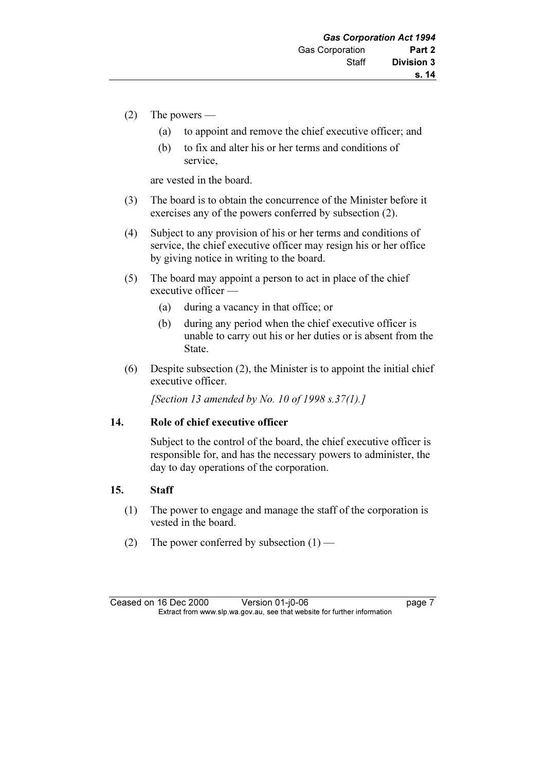- (2) The powers
	- (a) to appoint and remove the chief executive officer; and
	- (b) to fix and alter his or her terms and conditions of service,

are vested in the board.

- (3) The board is to obtain the concurrence of the Minister before it exercises any of the powers conferred by subsection (2).
- (4) Subject to any provision of his or her terms and conditions of service, the chief executive officer may resign his or her office by giving notice in writing to the board.
- (5) The board may appoint a person to act in place of the chief executive officer —
	- (a) during a vacancy in that office; or
	- (b) during any period when the chief executive officer is unable to carry out his or her duties or is absent from the State.
- (6) Despite subsection (2), the Minister is to appoint the initial chief executive officer.

[Section 13 amended by No. 10 of 1998 s.37(1).]

#### 14. Role of chief executive officer

 Subject to the control of the board, the chief executive officer is responsible for, and has the necessary powers to administer, the day to day operations of the corporation.

#### 15. Staff

- (1) The power to engage and manage the staff of the corporation is vested in the board.
- (2) The power conferred by subsection  $(1)$  —

Ceased on 16 Dec 2000 Version 01-j0-06 page 7<br>Extract from www.slp.wa.gov.au, see that website for further information  $\mathbf{F}$  from which was the set that we besite for further information  $\mathbf{F}$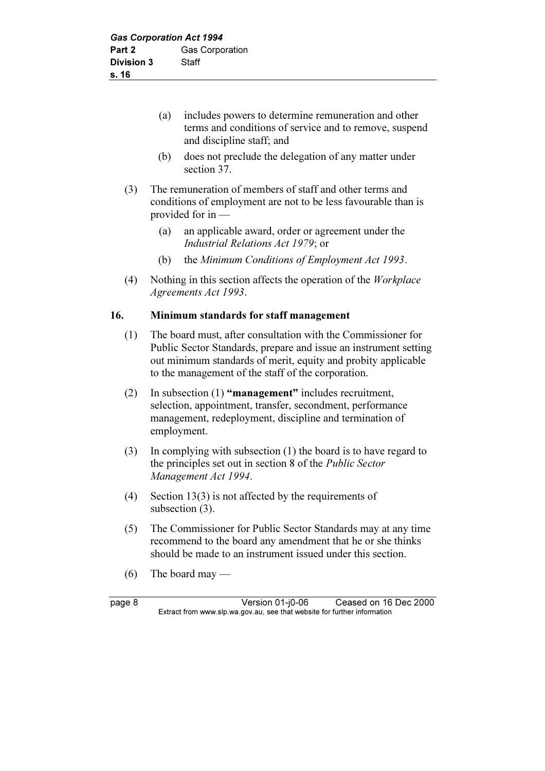- (a) includes powers to determine remuneration and other terms and conditions of service and to remove, suspend and discipline staff; and
- (b) does not preclude the delegation of any matter under section 37.
- (3) The remuneration of members of staff and other terms and conditions of employment are not to be less favourable than is provided for in —
	- (a) an applicable award, order or agreement under the Industrial Relations Act 1979; or
	- (b) the Minimum Conditions of Employment Act 1993.
- (4) Nothing in this section affects the operation of the Workplace Agreements Act 1993.

#### 16. Minimum standards for staff management

- (1) The board must, after consultation with the Commissioner for Public Sector Standards, prepare and issue an instrument setting out minimum standards of merit, equity and probity applicable to the management of the staff of the corporation.
- (2) In subsection (1) "management" includes recruitment, selection, appointment, transfer, secondment, performance management, redeployment, discipline and termination of employment.
- (3) In complying with subsection (1) the board is to have regard to the principles set out in section 8 of the Public Sector Management Act 1994.
- (4) Section 13(3) is not affected by the requirements of subsection  $(3)$ .
- (5) The Commissioner for Public Sector Standards may at any time recommend to the board any amendment that he or she thinks should be made to an instrument issued under this section.
- (6) The board may —

page 8 Version 01-j0-06 Ceased on 16 Dec 2000<br>Extract from www.slp.wa.gov.au, see that website for further information  $\mathbf{F}$  from which was the set that we besite for further information  $\mathbf{F}$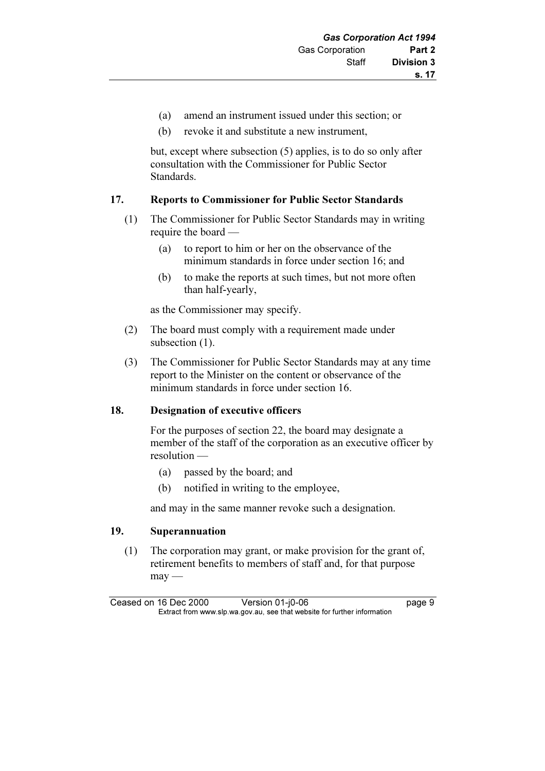- (a) amend an instrument issued under this section; or
- (b) revoke it and substitute a new instrument,

 but, except where subsection (5) applies, is to do so only after consultation with the Commissioner for Public Sector Standards.

#### 17. Reports to Commissioner for Public Sector Standards

- (1) The Commissioner for Public Sector Standards may in writing require the board —
	- (a) to report to him or her on the observance of the minimum standards in force under section 16; and
	- (b) to make the reports at such times, but not more often than half-yearly,

as the Commissioner may specify.

- (2) The board must comply with a requirement made under subsection  $(1)$ .
- (3) The Commissioner for Public Sector Standards may at any time report to the Minister on the content or observance of the minimum standards in force under section 16.

# 18. Designation of executive officers

 For the purposes of section 22, the board may designate a member of the staff of the corporation as an executive officer by resolution —

- (a) passed by the board; and
- (b) notified in writing to the employee,

and may in the same manner revoke such a designation.

#### 19. Superannuation

 (1) The corporation may grant, or make provision for the grant of, retirement benefits to members of staff and, for that purpose  $may -$ 

Ceased on 16 Dec 2000 Version 01-j0-06 page 9<br>Extract from www.slp.wa.gov.au, see that website for further information  $\mathbf{F}$  from which was the set that we besite for further information  $\mathbf{F}$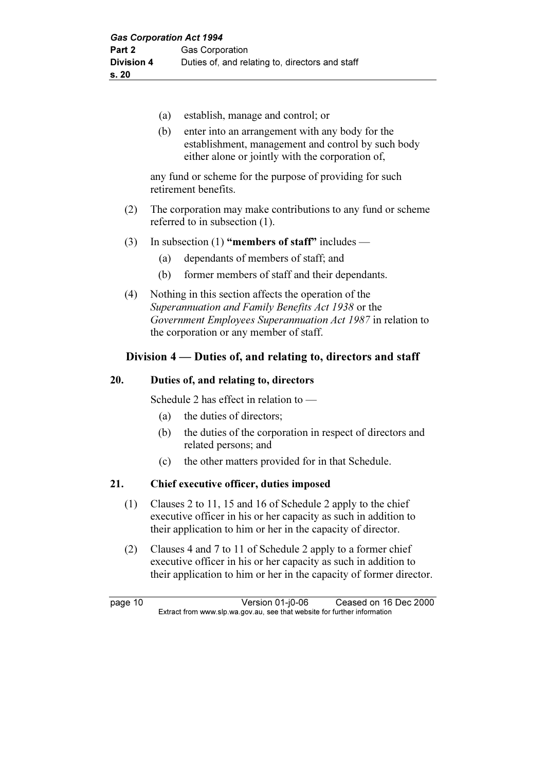- (a) establish, manage and control; or
- (b) enter into an arrangement with any body for the establishment, management and control by such body either alone or jointly with the corporation of,

 any fund or scheme for the purpose of providing for such retirement benefits.

- (2) The corporation may make contributions to any fund or scheme referred to in subsection (1).
- (3) In subsection (1) "members of staff" includes
	- (a) dependants of members of staff; and
	- (b) former members of staff and their dependants.
- (4) Nothing in this section affects the operation of the Superannuation and Family Benefits Act 1938 or the Government Employees Superannuation Act 1987 in relation to the corporation or any member of staff.

#### Division 4 — Duties of, and relating to, directors and staff

#### 20. Duties of, and relating to, directors

Schedule 2 has effect in relation to —

- (a) the duties of directors;
- (b) the duties of the corporation in respect of directors and related persons; and
- (c) the other matters provided for in that Schedule.

#### 21. Chief executive officer, duties imposed

- (1) Clauses 2 to 11, 15 and 16 of Schedule 2 apply to the chief executive officer in his or her capacity as such in addition to their application to him or her in the capacity of director.
- (2) Clauses 4 and 7 to 11 of Schedule 2 apply to a former chief executive officer in his or her capacity as such in addition to their application to him or her in the capacity of former director.

page 10 Version 01-j0-06 Ceased on 16 Dec 2000<br>Extract from www.slp.wa.gov.au, see that website for further information  $\mathbf{F}$  from which was the set that we besite for further information  $\mathbf{F}$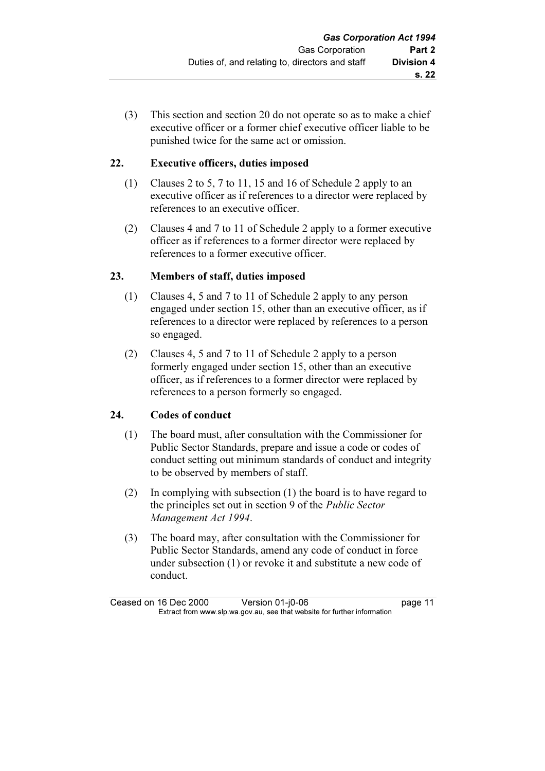(3) This section and section 20 do not operate so as to make a chief executive officer or a former chief executive officer liable to be punished twice for the same act or omission.

# 22. Executive officers, duties imposed

- (1) Clauses 2 to 5, 7 to 11, 15 and 16 of Schedule 2 apply to an executive officer as if references to a director were replaced by references to an executive officer.
- (2) Clauses 4 and 7 to 11 of Schedule 2 apply to a former executive officer as if references to a former director were replaced by references to a former executive officer.

# 23. Members of staff, duties imposed

- (1) Clauses 4, 5 and 7 to 11 of Schedule 2 apply to any person engaged under section 15, other than an executive officer, as if references to a director were replaced by references to a person so engaged.
- (2) Clauses 4, 5 and 7 to 11 of Schedule 2 apply to a person formerly engaged under section 15, other than an executive officer, as if references to a former director were replaced by references to a person formerly so engaged.

# 24. Codes of conduct

- (1) The board must, after consultation with the Commissioner for Public Sector Standards, prepare and issue a code or codes of conduct setting out minimum standards of conduct and integrity to be observed by members of staff.
- (2) In complying with subsection (1) the board is to have regard to the principles set out in section 9 of the Public Sector Management Act 1994.
- (3) The board may, after consultation with the Commissioner for Public Sector Standards, amend any code of conduct in force under subsection (1) or revoke it and substitute a new code of conduct.

Ceased on 16 Dec 2000 Version 01-j0-06 page 11<br>Extract from www.slp.wa.gov.au, see that website for further information  $\mathbf{F}$  from which was the set that we besite for further information  $\mathbf{F}$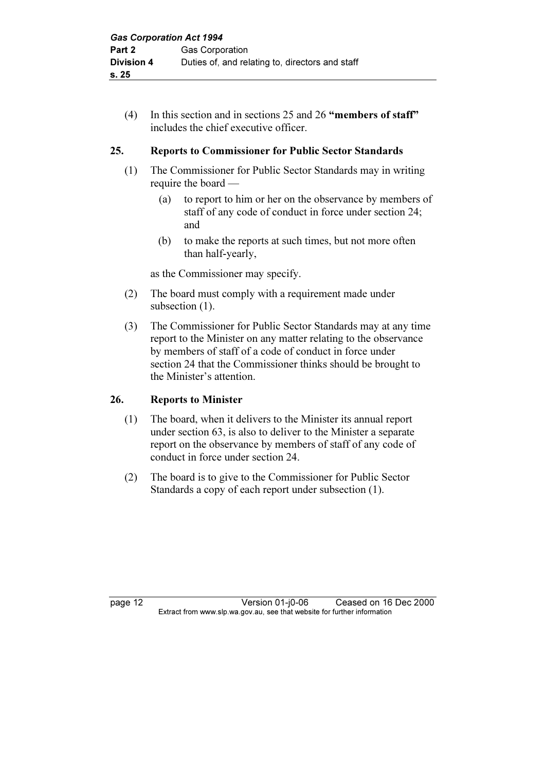(4) In this section and in sections 25 and 26 "members of staff" includes the chief executive officer.

#### 25. Reports to Commissioner for Public Sector Standards

- (1) The Commissioner for Public Sector Standards may in writing require the board —
	- (a) to report to him or her on the observance by members of staff of any code of conduct in force under section 24; and
	- (b) to make the reports at such times, but not more often than half-yearly,

as the Commissioner may specify.

- (2) The board must comply with a requirement made under subsection  $(1)$ .
- (3) The Commissioner for Public Sector Standards may at any time report to the Minister on any matter relating to the observance by members of staff of a code of conduct in force under section 24 that the Commissioner thinks should be brought to the Minister's attention.

#### 26. Reports to Minister

- (1) The board, when it delivers to the Minister its annual report under section 63, is also to deliver to the Minister a separate report on the observance by members of staff of any code of conduct in force under section 24.
- (2) The board is to give to the Commissioner for Public Sector Standards a copy of each report under subsection (1).

page 12 Version 01-j0-06 Ceased on 16 Dec 2000<br>Extract from www.slp.wa.gov.au, see that website for further information  $\mathbf{F}$  from which was the set that we besite for further information  $\mathbf{F}$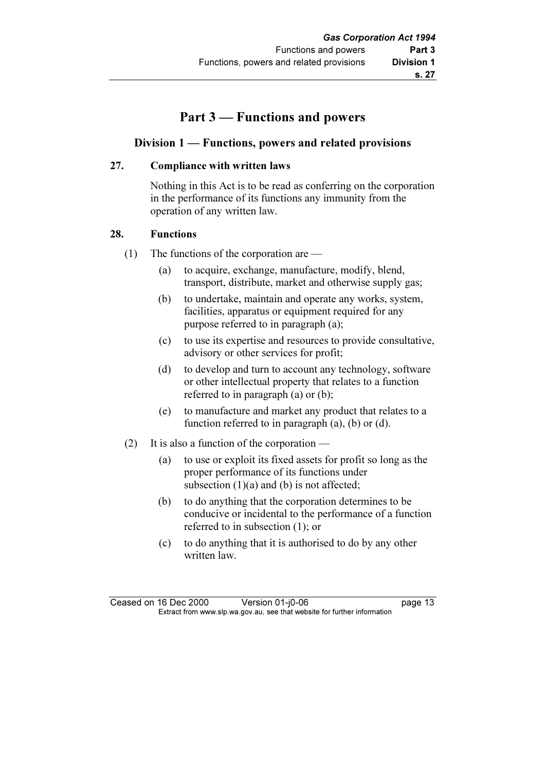# Part 3 — Functions and powers

#### Division 1 — Functions, powers and related provisions

#### 27. Compliance with written laws

 Nothing in this Act is to be read as conferring on the corporation in the performance of its functions any immunity from the operation of any written law.

#### 28. Functions

- (1) The functions of the corporation are
	- (a) to acquire, exchange, manufacture, modify, blend, transport, distribute, market and otherwise supply gas;
	- (b) to undertake, maintain and operate any works, system, facilities, apparatus or equipment required for any purpose referred to in paragraph (a);
	- (c) to use its expertise and resources to provide consultative, advisory or other services for profit;
	- (d) to develop and turn to account any technology, software or other intellectual property that relates to a function referred to in paragraph (a) or (b);
	- (e) to manufacture and market any product that relates to a function referred to in paragraph (a), (b) or (d).
- (2) It is also a function of the corporation
	- (a) to use or exploit its fixed assets for profit so long as the proper performance of its functions under subsection  $(1)(a)$  and  $(b)$  is not affected;
	- (b) to do anything that the corporation determines to be conducive or incidental to the performance of a function referred to in subsection (1); or
	- (c) to do anything that it is authorised to do by any other written law.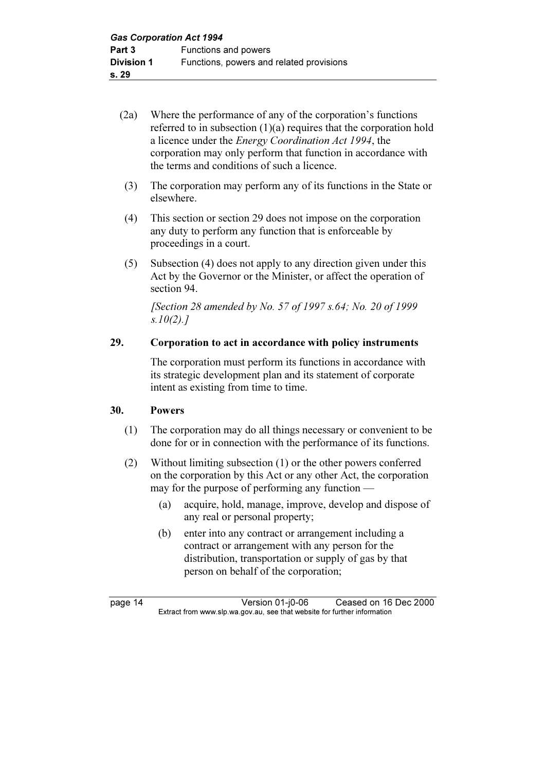# (2a) Where the performance of any of the corporation's functions referred to in subsection (1)(a) requires that the corporation hold a licence under the Energy Coordination Act 1994, the corporation may only perform that function in accordance with the terms and conditions of such a licence.

- (3) The corporation may perform any of its functions in the State or elsewhere.
- (4) This section or section 29 does not impose on the corporation any duty to perform any function that is enforceable by proceedings in a court.
- (5) Subsection (4) does not apply to any direction given under this Act by the Governor or the Minister, or affect the operation of section 94.

 [Section 28 amended by No. 57 of 1997 s.64; No. 20 of 1999  $s.10(2).7$ 

# 29. Corporation to act in accordance with policy instruments

 The corporation must perform its functions in accordance with its strategic development plan and its statement of corporate intent as existing from time to time.

# 30. Powers

- (1) The corporation may do all things necessary or convenient to be done for or in connection with the performance of its functions.
- (2) Without limiting subsection (1) or the other powers conferred on the corporation by this Act or any other Act, the corporation may for the purpose of performing any function —
	- (a) acquire, hold, manage, improve, develop and dispose of any real or personal property;
	- (b) enter into any contract or arrangement including a contract or arrangement with any person for the distribution, transportation or supply of gas by that person on behalf of the corporation;

page 14 Version 01-j0-06 Ceased on 16 Dec 2000<br>Extract from www.slp.wa.gov.au, see that website for further information  $\mathbf{F}$  from which was the set that we besite for further information  $\mathbf{F}$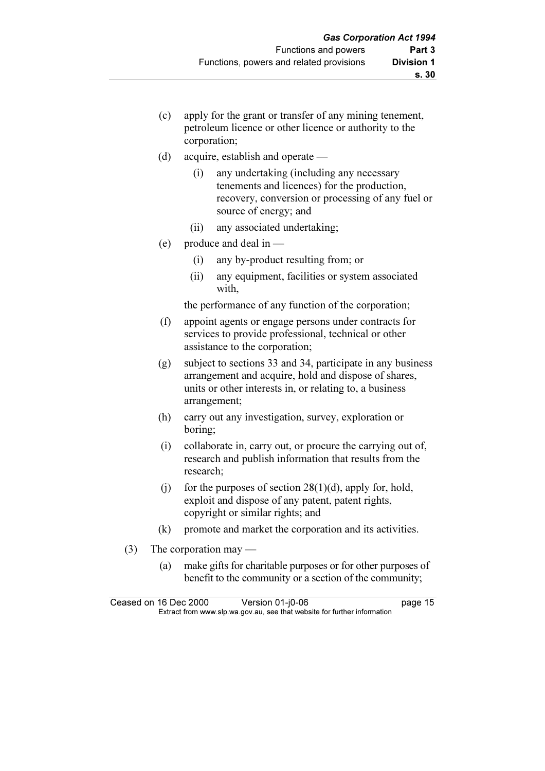- (c) apply for the grant or transfer of any mining tenement, petroleum licence or other licence or authority to the corporation;
- (d) acquire, establish and operate
	- (i) any undertaking (including any necessary tenements and licences) for the production, recovery, conversion or processing of any fuel or source of energy; and
	- (ii) any associated undertaking;
- (e) produce and deal in
	- (i) any by-product resulting from; or
	- (ii) any equipment, facilities or system associated with,

the performance of any function of the corporation;

- (f) appoint agents or engage persons under contracts for services to provide professional, technical or other assistance to the corporation;
- (g) subject to sections 33 and 34, participate in any business arrangement and acquire, hold and dispose of shares, units or other interests in, or relating to, a business arrangement;
- (h) carry out any investigation, survey, exploration or boring;
- (i) collaborate in, carry out, or procure the carrying out of, research and publish information that results from the research;
- (i) for the purposes of section  $28(1)(d)$ , apply for, hold, exploit and dispose of any patent, patent rights, copyright or similar rights; and
- (k) promote and market the corporation and its activities.
- (3) The corporation may
	- (a) make gifts for charitable purposes or for other purposes of benefit to the community or a section of the community;

Ceased on 16 Dec 2000 Version 01-j0-06 page 15<br>Extract from www.slp.wa.gov.au, see that website for further information  $\mathbf{F}$  from which was the set that we besite for further information  $\mathbf{F}$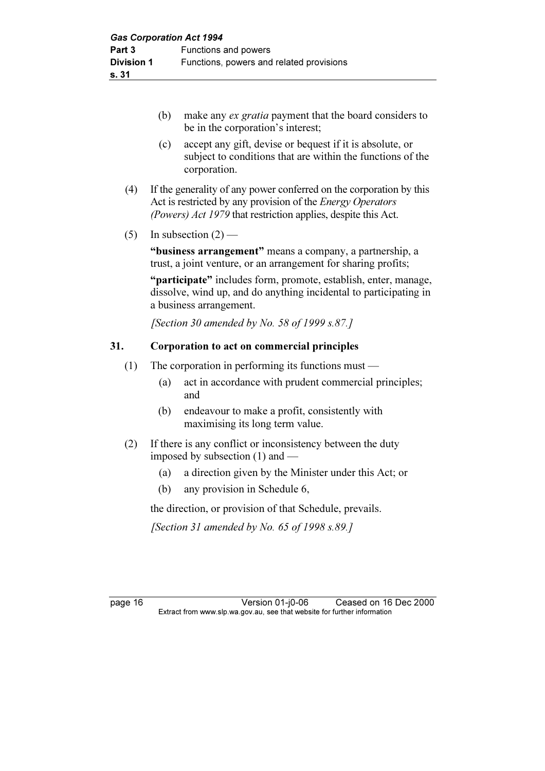- (b) make any ex gratia payment that the board considers to be in the corporation's interest;
- (c) accept any gift, devise or bequest if it is absolute, or subject to conditions that are within the functions of the corporation.
- (4) If the generality of any power conferred on the corporation by this Act is restricted by any provision of the Energy Operators (Powers) Act 1979 that restriction applies, despite this Act.
- (5) In subsection  $(2)$  —

 "business arrangement" means a company, a partnership, a trust, a joint venture, or an arrangement for sharing profits;

 "participate" includes form, promote, establish, enter, manage, dissolve, wind up, and do anything incidental to participating in a business arrangement.

[Section 30 amended by No. 58 of 1999 s.87.]

#### 31. Corporation to act on commercial principles

- (1) The corporation in performing its functions must
	- (a) act in accordance with prudent commercial principles; and
	- (b) endeavour to make a profit, consistently with maximising its long term value.
- (2) If there is any conflict or inconsistency between the duty imposed by subsection (1) and —
	- (a) a direction given by the Minister under this Act; or
	- (b) any provision in Schedule 6,

the direction, or provision of that Schedule, prevails.

[Section 31 amended by No. 65 of 1998 s.89.]

page 16 Version 01-j0-06 Ceased on 16 Dec 2000<br>Extract from www.slp.wa.gov.au, see that website for further information  $\mathbf{F}$  from which was the set that we besite for further information  $\mathbf{F}$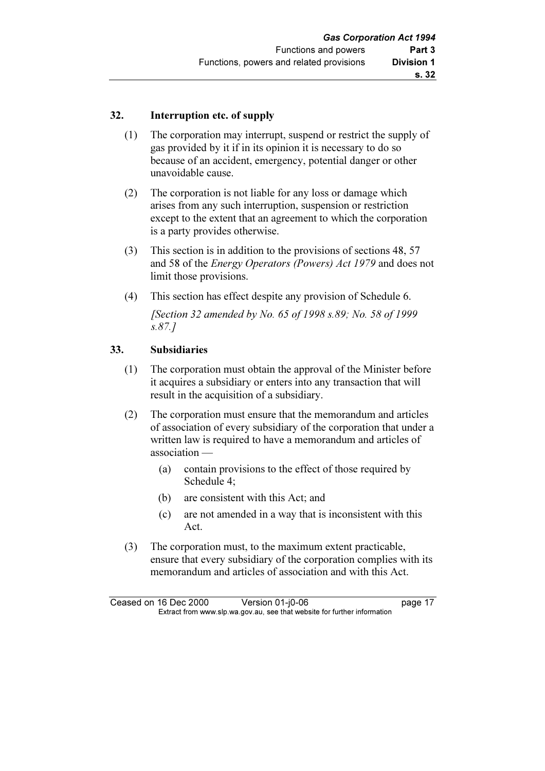#### 32. Interruption etc. of supply

- (1) The corporation may interrupt, suspend or restrict the supply of gas provided by it if in its opinion it is necessary to do so because of an accident, emergency, potential danger or other unavoidable cause.
- (2) The corporation is not liable for any loss or damage which arises from any such interruption, suspension or restriction except to the extent that an agreement to which the corporation is a party provides otherwise.
- (3) This section is in addition to the provisions of sections 48, 57 and 58 of the Energy Operators (Powers) Act 1979 and does not limit those provisions.
- (4) This section has effect despite any provision of Schedule 6.

 [Section 32 amended by No. 65 of 1998 s.89; No. 58 of 1999 s.87.]

# 33. Subsidiaries

- (1) The corporation must obtain the approval of the Minister before it acquires a subsidiary or enters into any transaction that will result in the acquisition of a subsidiary.
- (2) The corporation must ensure that the memorandum and articles of association of every subsidiary of the corporation that under a written law is required to have a memorandum and articles of association —
	- (a) contain provisions to the effect of those required by Schedule 4;
	- (b) are consistent with this Act; and
	- (c) are not amended in a way that is inconsistent with this Act.
- (3) The corporation must, to the maximum extent practicable, ensure that every subsidiary of the corporation complies with its memorandum and articles of association and with this Act.

Ceased on 16 Dec 2000 Version 01-j0-06 page 17<br>Extract from www.slp.wa.gov.au, see that website for further information  $\mathbf{F}$  from which was the set that we besite for further information  $\mathbf{F}$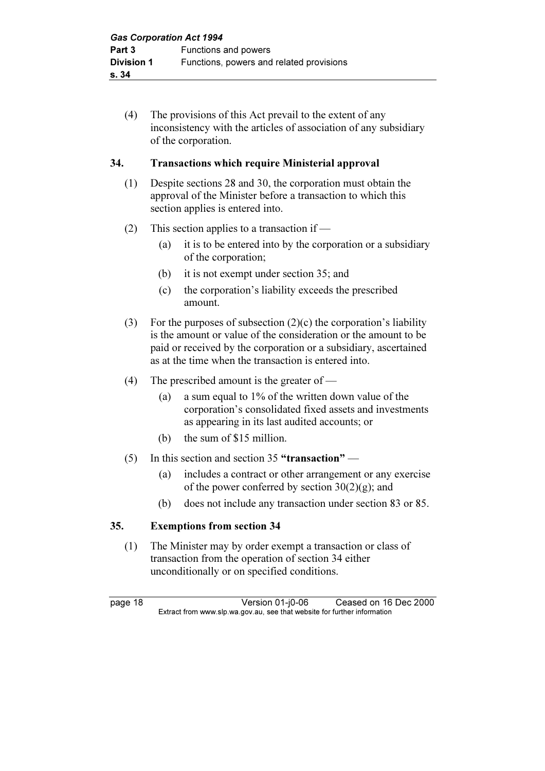(4) The provisions of this Act prevail to the extent of any inconsistency with the articles of association of any subsidiary of the corporation.

#### 34. Transactions which require Ministerial approval

- (1) Despite sections 28 and 30, the corporation must obtain the approval of the Minister before a transaction to which this section applies is entered into.
- (2) This section applies to a transaction if
	- (a) it is to be entered into by the corporation or a subsidiary of the corporation;
	- (b) it is not exempt under section 35; and
	- (c) the corporation's liability exceeds the prescribed amount.
- (3) For the purposes of subsection  $(2)(c)$  the corporation's liability is the amount or value of the consideration or the amount to be paid or received by the corporation or a subsidiary, ascertained as at the time when the transaction is entered into.
- (4) The prescribed amount is the greater of
	- (a) a sum equal to 1% of the written down value of the corporation's consolidated fixed assets and investments as appearing in its last audited accounts; or
	- (b) the sum of \$15 million.
- (5) In this section and section 35 "transaction"
	- (a) includes a contract or other arrangement or any exercise of the power conferred by section  $30(2)(g)$ ; and
	- (b) does not include any transaction under section 83 or 85.

# 35. Exemptions from section 34

 (1) The Minister may by order exempt a transaction or class of transaction from the operation of section 34 either unconditionally or on specified conditions.

page 18 Version 01-j0-06 Ceased on 16 Dec 2000<br>Extract from www.slp.wa.gov.au, see that website for further information  $\mathbf{F}$  from which was the set that we besite for further information  $\mathbf{F}$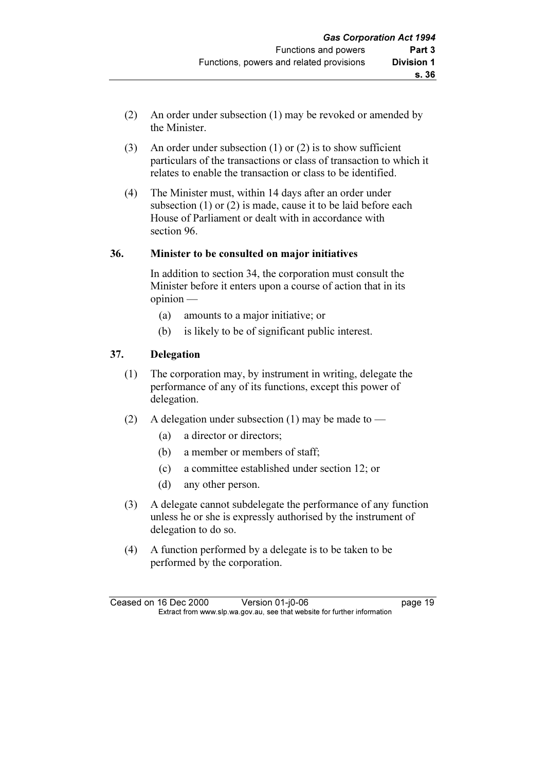- (2) An order under subsection (1) may be revoked or amended by the Minister.
- (3) An order under subsection (1) or (2) is to show sufficient particulars of the transactions or class of transaction to which it relates to enable the transaction or class to be identified.
- (4) The Minister must, within 14 days after an order under subsection (1) or (2) is made, cause it to be laid before each House of Parliament or dealt with in accordance with section 96.

#### 36. Minister to be consulted on major initiatives

 In addition to section 34, the corporation must consult the Minister before it enters upon a course of action that in its opinion —

- (a) amounts to a major initiative; or
- (b) is likely to be of significant public interest.

#### 37. Delegation

- (1) The corporation may, by instrument in writing, delegate the performance of any of its functions, except this power of delegation.
- (2) A delegation under subsection (1) may be made to
	- (a) a director or directors;
	- (b) a member or members of staff;
	- (c) a committee established under section 12; or
	- (d) any other person.
- (3) A delegate cannot subdelegate the performance of any function unless he or she is expressly authorised by the instrument of delegation to do so.
- (4) A function performed by a delegate is to be taken to be performed by the corporation.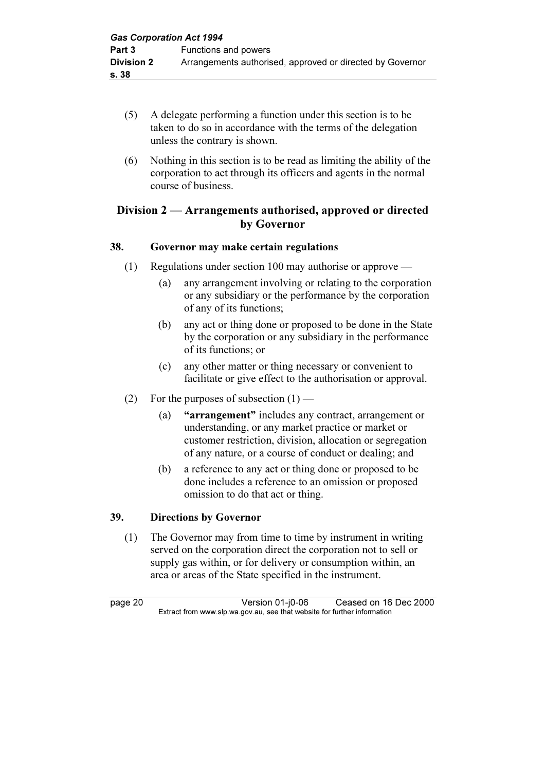- (5) A delegate performing a function under this section is to be taken to do so in accordance with the terms of the delegation unless the contrary is shown.
- (6) Nothing in this section is to be read as limiting the ability of the corporation to act through its officers and agents in the normal course of business.

# Division 2 — Arrangements authorised, approved or directed by Governor

# 38. Governor may make certain regulations

- (1) Regulations under section 100 may authorise or approve
	- (a) any arrangement involving or relating to the corporation or any subsidiary or the performance by the corporation of any of its functions;
	- (b) any act or thing done or proposed to be done in the State by the corporation or any subsidiary in the performance of its functions; or
	- (c) any other matter or thing necessary or convenient to facilitate or give effect to the authorisation or approval.
- (2) For the purposes of subsection  $(1)$ 
	- (a) "arrangement" includes any contract, arrangement or understanding, or any market practice or market or customer restriction, division, allocation or segregation of any nature, or a course of conduct or dealing; and
	- (b) a reference to any act or thing done or proposed to be done includes a reference to an omission or proposed omission to do that act or thing.

# 39. Directions by Governor

 (1) The Governor may from time to time by instrument in writing served on the corporation direct the corporation not to sell or supply gas within, or for delivery or consumption within, an area or areas of the State specified in the instrument.

page 20 **Version 01-j0-06** Ceased on 16 Dec 2000<br>Extract from www.slp.wa.gov.au, see that website for further information  $\mathbf{F}$  from which was the set that we besite for further information  $\mathbf{F}$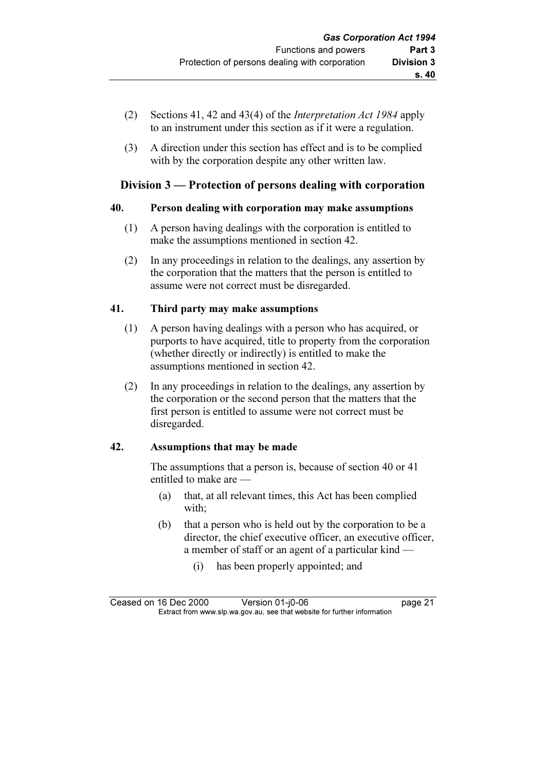- (2) Sections 41, 42 and 43(4) of the Interpretation Act 1984 apply to an instrument under this section as if it were a regulation.
- (3) A direction under this section has effect and is to be complied with by the corporation despite any other written law.

# Division 3 — Protection of persons dealing with corporation

#### 40. Person dealing with corporation may make assumptions

- (1) A person having dealings with the corporation is entitled to make the assumptions mentioned in section 42.
- (2) In any proceedings in relation to the dealings, any assertion by the corporation that the matters that the person is entitled to assume were not correct must be disregarded.

# 41. Third party may make assumptions

- (1) A person having dealings with a person who has acquired, or purports to have acquired, title to property from the corporation (whether directly or indirectly) is entitled to make the assumptions mentioned in section 42.
- (2) In any proceedings in relation to the dealings, any assertion by the corporation or the second person that the matters that the first person is entitled to assume were not correct must be disregarded.

# 42. Assumptions that may be made

 The assumptions that a person is, because of section 40 or 41 entitled to make are —

- (a) that, at all relevant times, this Act has been complied with;
- (b) that a person who is held out by the corporation to be a director, the chief executive officer, an executive officer, a member of staff or an agent of a particular kind —
	- (i) has been properly appointed; and

Ceased on 16 Dec 2000 Version 01-j0-06 page 21<br>Extract from www.slp.wa.gov.au, see that website for further information  $\mathbf{F}$  from which was the set that we besite for further information  $\mathbf{F}$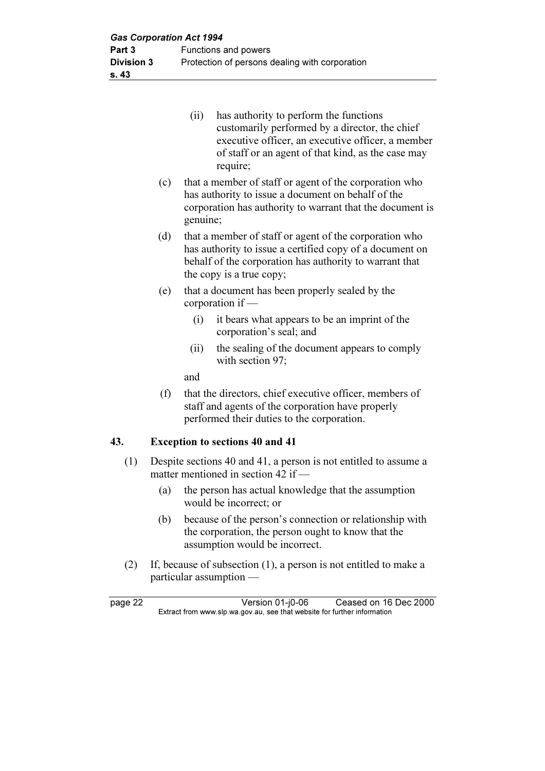|     | (ii)                                                                                                                                                                                                             | has authority to perform the functions<br>customarily performed by a director, the chief<br>executive officer, an executive officer, a member<br>of staff or an agent of that kind, as the case may<br>require; |
|-----|------------------------------------------------------------------------------------------------------------------------------------------------------------------------------------------------------------------|-----------------------------------------------------------------------------------------------------------------------------------------------------------------------------------------------------------------|
| (c) | genuine;                                                                                                                                                                                                         | that a member of staff or agent of the corporation who<br>has authority to issue a document on behalf of the<br>corporation has authority to warrant that the document is                                       |
|     | that a member of staff or agent of the corporation who<br>(d)<br>has authority to issue a certified copy of a document on<br>behalf of the corporation has authority to warrant that<br>the copy is a true copy; |                                                                                                                                                                                                                 |
| (e) |                                                                                                                                                                                                                  | that a document has been properly sealed by the<br>corporation if $-$                                                                                                                                           |
|     | (i)                                                                                                                                                                                                              | it bears what appears to be an imprint of the<br>corporation's seal; and                                                                                                                                        |
|     |                                                                                                                                                                                                                  |                                                                                                                                                                                                                 |

 (ii) the sealing of the document appears to comply with section 97;

and

 (f) that the directors, chief executive officer, members of staff and agents of the corporation have properly performed their duties to the corporation.

#### 43. Exception to sections 40 and 41

- (1) Despite sections 40 and 41, a person is not entitled to assume a matter mentioned in section 42 if —
	- (a) the person has actual knowledge that the assumption would be incorrect; or
	- (b) because of the person's connection or relationship with the corporation, the person ought to know that the assumption would be incorrect.
- (2) If, because of subsection (1), a person is not entitled to make a particular assumption —

page 22 Version 01-j0-06 Ceased on 16 Dec 2000<br>Extract from www.slp.wa.gov.au, see that website for further information  $\mathbf{F}$  from which was the set that we besite for further information  $\mathbf{F}$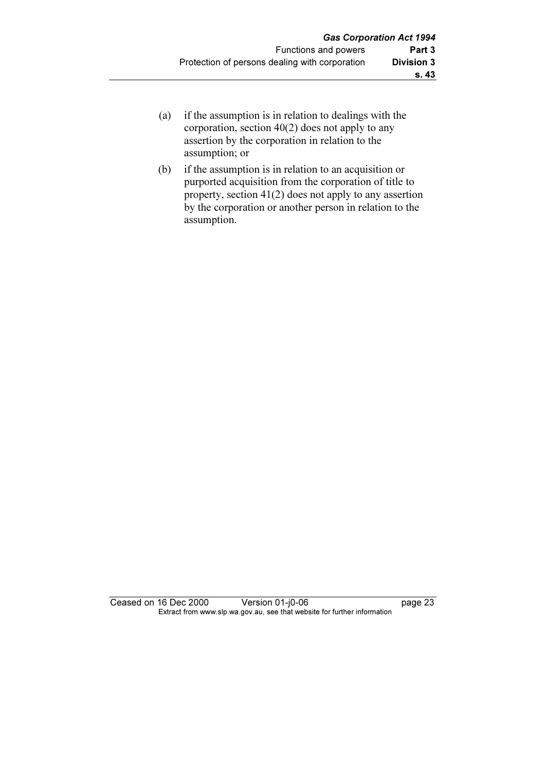- (a) if the assumption is in relation to dealings with the corporation, section 40(2) does not apply to any assertion by the corporation in relation to the assumption; or
- (b) if the assumption is in relation to an acquisition or purported acquisition from the corporation of title to property, section 41(2) does not apply to any assertion by the corporation or another person in relation to the assumption.

Ceased on 16 Dec 2000 Version 01-j0-06 page 23 Extract from www.slp.wa.gov.au, see that website for further information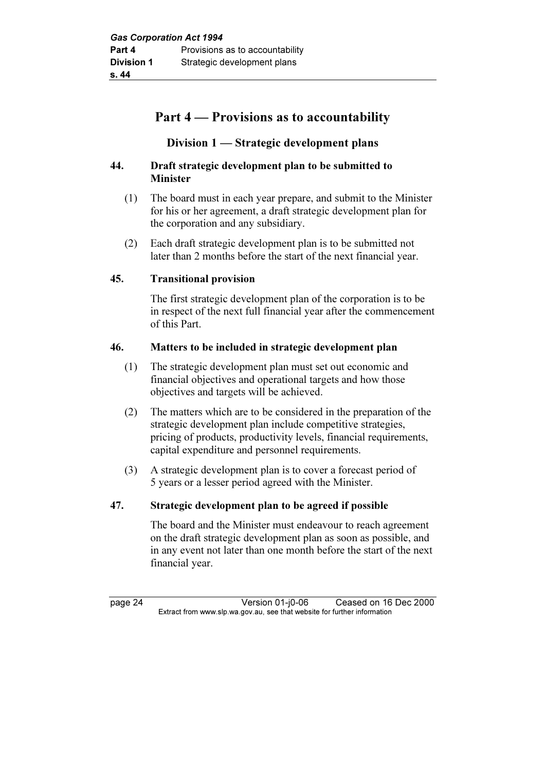# Part 4 — Provisions as to accountability

# Division 1 — Strategic development plans

#### 44. Draft strategic development plan to be submitted to Minister

- (1) The board must in each year prepare, and submit to the Minister for his or her agreement, a draft strategic development plan for the corporation and any subsidiary.
- (2) Each draft strategic development plan is to be submitted not later than 2 months before the start of the next financial year.

# 45. Transitional provision

 The first strategic development plan of the corporation is to be in respect of the next full financial year after the commencement of this Part.

#### 46. Matters to be included in strategic development plan

- (1) The strategic development plan must set out economic and financial objectives and operational targets and how those objectives and targets will be achieved.
- (2) The matters which are to be considered in the preparation of the strategic development plan include competitive strategies, pricing of products, productivity levels, financial requirements, capital expenditure and personnel requirements.
- (3) A strategic development plan is to cover a forecast period of 5 years or a lesser period agreed with the Minister.

#### 47. Strategic development plan to be agreed if possible

 The board and the Minister must endeavour to reach agreement on the draft strategic development plan as soon as possible, and in any event not later than one month before the start of the next financial year.

page 24 Version 01-j0-06 Ceased on 16 Dec 2000<br>Extract from www.slp.wa.gov.au, see that website for further information  $\mathbf{F}$  from which was the set that we besite for further information  $\mathbf{F}$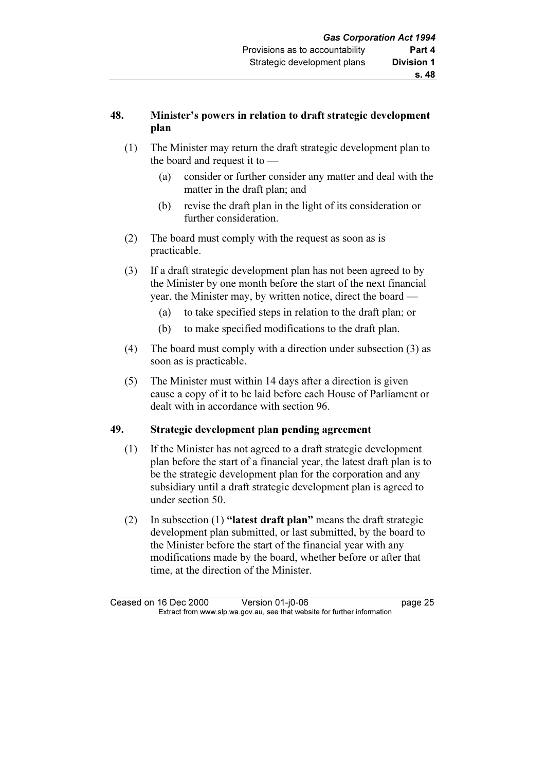# 48. Minister's powers in relation to draft strategic development plan

- (1) The Minister may return the draft strategic development plan to the board and request it to —
	- (a) consider or further consider any matter and deal with the matter in the draft plan; and
	- (b) revise the draft plan in the light of its consideration or further consideration.
- (2) The board must comply with the request as soon as is practicable.
- (3) If a draft strategic development plan has not been agreed to by the Minister by one month before the start of the next financial year, the Minister may, by written notice, direct the board —
	- (a) to take specified steps in relation to the draft plan; or
	- (b) to make specified modifications to the draft plan.
- (4) The board must comply with a direction under subsection (3) as soon as is practicable.
- (5) The Minister must within 14 days after a direction is given cause a copy of it to be laid before each House of Parliament or dealt with in accordance with section 96.

# 49. Strategic development plan pending agreement

- (1) If the Minister has not agreed to a draft strategic development plan before the start of a financial year, the latest draft plan is to be the strategic development plan for the corporation and any subsidiary until a draft strategic development plan is agreed to under section 50.
- (2) In subsection (1) "latest draft plan" means the draft strategic development plan submitted, or last submitted, by the board to the Minister before the start of the financial year with any modifications made by the board, whether before or after that time, at the direction of the Minister.

Ceased on 16 Dec 2000 Version 01-j0-06 page 25<br>Extract from www.slp.wa.gov.au, see that website for further information  $\mathbf{F}$  from which was the set that we besite for further information  $\mathbf{F}$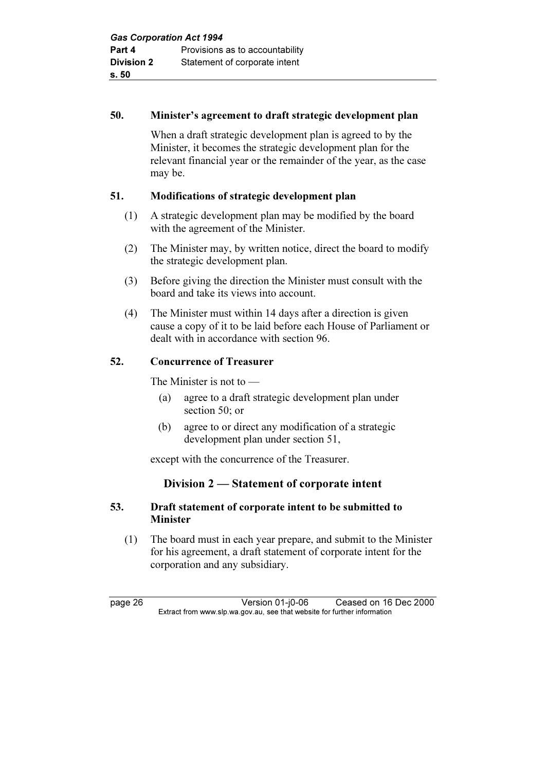#### 50. Minister's agreement to draft strategic development plan

 When a draft strategic development plan is agreed to by the Minister, it becomes the strategic development plan for the relevant financial year or the remainder of the year, as the case may be.

# 51. Modifications of strategic development plan

- (1) A strategic development plan may be modified by the board with the agreement of the Minister.
- (2) The Minister may, by written notice, direct the board to modify the strategic development plan.
- (3) Before giving the direction the Minister must consult with the board and take its views into account.
- (4) The Minister must within 14 days after a direction is given cause a copy of it to be laid before each House of Parliament or dealt with in accordance with section 96.

# 52. Concurrence of Treasurer

The Minister is not to —

- (a) agree to a draft strategic development plan under section 50; or
- (b) agree to or direct any modification of a strategic development plan under section 51,

except with the concurrence of the Treasurer.

# Division 2 — Statement of corporate intent

#### 53. Draft statement of corporate intent to be submitted to Minister

 (1) The board must in each year prepare, and submit to the Minister for his agreement, a draft statement of corporate intent for the corporation and any subsidiary.

page 26 Version 01-j0-06 Ceased on 16 Dec 2000<br>Extract from www.slp.wa.gov.au, see that website for further information  $\mathbf{F}$  from which was the set that we besite for further information  $\mathbf{F}$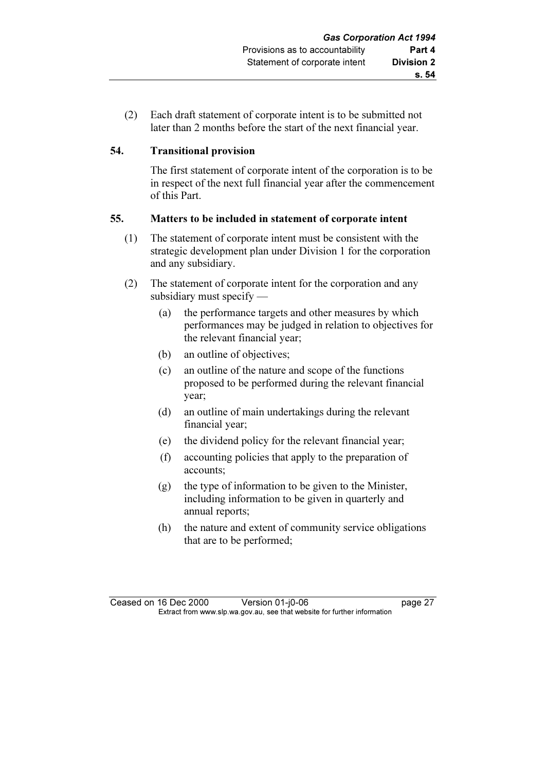(2) Each draft statement of corporate intent is to be submitted not later than 2 months before the start of the next financial year.

# 54. Transitional provision

 The first statement of corporate intent of the corporation is to be in respect of the next full financial year after the commencement of this Part.

# 55. Matters to be included in statement of corporate intent

- (1) The statement of corporate intent must be consistent with the strategic development plan under Division 1 for the corporation and any subsidiary.
- (2) The statement of corporate intent for the corporation and any subsidiary must specify —
	- (a) the performance targets and other measures by which performances may be judged in relation to objectives for the relevant financial year;
	- (b) an outline of objectives;
	- (c) an outline of the nature and scope of the functions proposed to be performed during the relevant financial year;
	- (d) an outline of main undertakings during the relevant financial year;
	- (e) the dividend policy for the relevant financial year;
	- (f) accounting policies that apply to the preparation of accounts;
	- (g) the type of information to be given to the Minister, including information to be given in quarterly and annual reports;
	- (h) the nature and extent of community service obligations that are to be performed;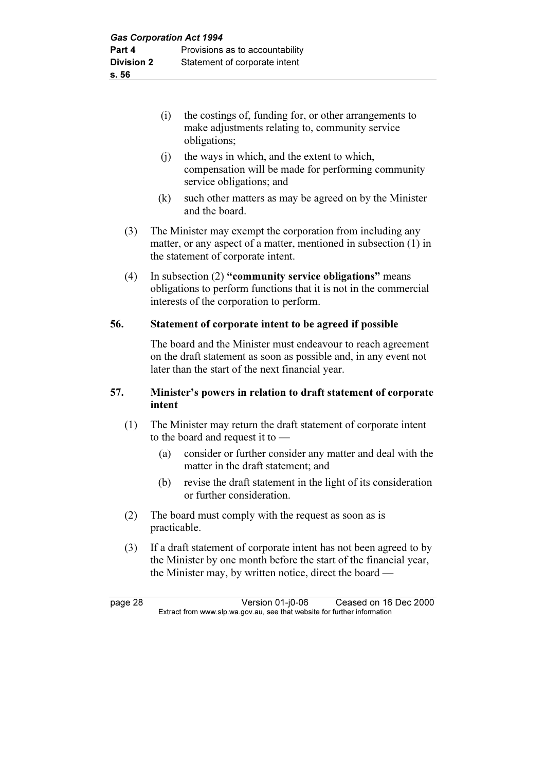- (i) the costings of, funding for, or other arrangements to make adjustments relating to, community service obligations;
- (j) the ways in which, and the extent to which, compensation will be made for performing community service obligations; and
- (k) such other matters as may be agreed on by the Minister and the board.
- (3) The Minister may exempt the corporation from including any matter, or any aspect of a matter, mentioned in subsection (1) in the statement of corporate intent.
- (4) In subsection (2) "community service obligations" means obligations to perform functions that it is not in the commercial interests of the corporation to perform.

# 56. Statement of corporate intent to be agreed if possible

 The board and the Minister must endeavour to reach agreement on the draft statement as soon as possible and, in any event not later than the start of the next financial year.

## 57. Minister's powers in relation to draft statement of corporate intent

- (1) The Minister may return the draft statement of corporate intent to the board and request it to —
	- (a) consider or further consider any matter and deal with the matter in the draft statement; and
	- (b) revise the draft statement in the light of its consideration or further consideration.
- (2) The board must comply with the request as soon as is practicable.
- (3) If a draft statement of corporate intent has not been agreed to by the Minister by one month before the start of the financial year, the Minister may, by written notice, direct the board —

page 28 Version 01-j0-06 Ceased on 16 Dec 2000<br>Extract from www.slp.wa.gov.au, see that website for further information  $\mathbf{F}$  from which was the set that we besite for further information  $\mathbf{F}$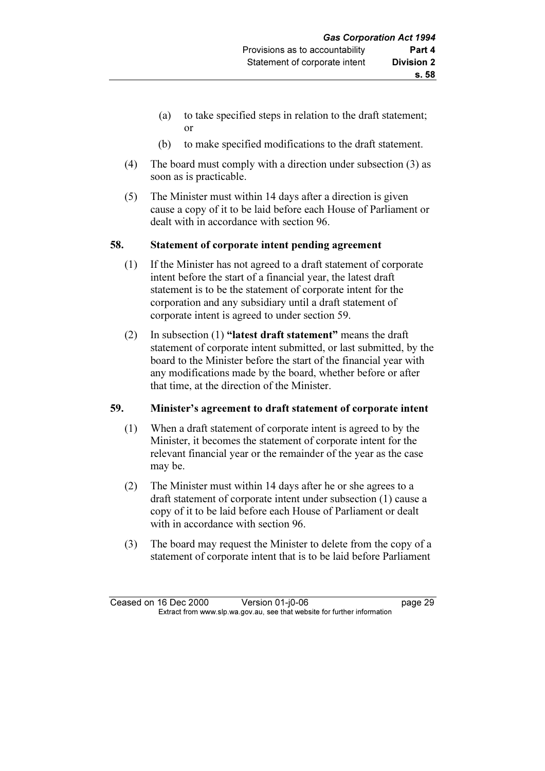- (a) to take specified steps in relation to the draft statement; or
- (b) to make specified modifications to the draft statement.
- (4) The board must comply with a direction under subsection (3) as soon as is practicable.
- (5) The Minister must within 14 days after a direction is given cause a copy of it to be laid before each House of Parliament or dealt with in accordance with section 96.

# 58. Statement of corporate intent pending agreement

- (1) If the Minister has not agreed to a draft statement of corporate intent before the start of a financial year, the latest draft statement is to be the statement of corporate intent for the corporation and any subsidiary until a draft statement of corporate intent is agreed to under section 59.
- (2) In subsection (1) "latest draft statement" means the draft statement of corporate intent submitted, or last submitted, by the board to the Minister before the start of the financial year with any modifications made by the board, whether before or after that time, at the direction of the Minister.

# 59. Minister's agreement to draft statement of corporate intent

- (1) When a draft statement of corporate intent is agreed to by the Minister, it becomes the statement of corporate intent for the relevant financial year or the remainder of the year as the case may be.
- (2) The Minister must within 14 days after he or she agrees to a draft statement of corporate intent under subsection (1) cause a copy of it to be laid before each House of Parliament or dealt with in accordance with section 96.
- (3) The board may request the Minister to delete from the copy of a statement of corporate intent that is to be laid before Parliament

Ceased on 16 Dec 2000 Version 01-j0-06 page 29<br>Extract from www.slp.wa.gov.au, see that website for further information  $\mathbf{F}$  from which was the set that we besite for further information  $\mathbf{F}$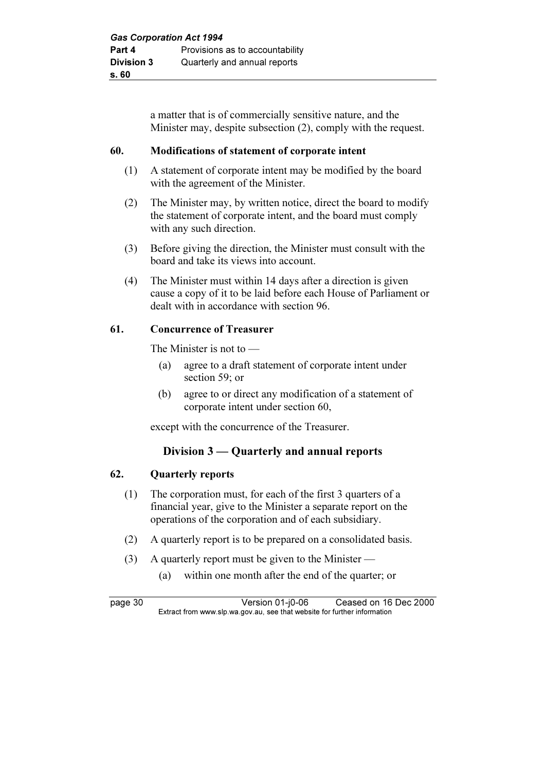a matter that is of commercially sensitive nature, and the Minister may, despite subsection (2), comply with the request.

## 60. Modifications of statement of corporate intent

- (1) A statement of corporate intent may be modified by the board with the agreement of the Minister.
- (2) The Minister may, by written notice, direct the board to modify the statement of corporate intent, and the board must comply with any such direction.
- (3) Before giving the direction, the Minister must consult with the board and take its views into account.
- (4) The Minister must within 14 days after a direction is given cause a copy of it to be laid before each House of Parliament or dealt with in accordance with section 96.

# 61. Concurrence of Treasurer

The Minister is not to —

- (a) agree to a draft statement of corporate intent under section 59; or
- (b) agree to or direct any modification of a statement of corporate intent under section 60,

except with the concurrence of the Treasurer.

# Division 3 — Quarterly and annual reports

## 62. Quarterly reports

- (1) The corporation must, for each of the first 3 quarters of a financial year, give to the Minister a separate report on the operations of the corporation and of each subsidiary.
- (2) A quarterly report is to be prepared on a consolidated basis.
- (3) A quarterly report must be given to the Minister
	- (a) within one month after the end of the quarter; or

page 30 Version 01-j0-06 Ceased on 16 Dec 2000<br>Extract from www.slp.wa.gov.au, see that website for further information  $\mathbf{F}$  from which was the set that we besite for further information  $\mathbf{F}$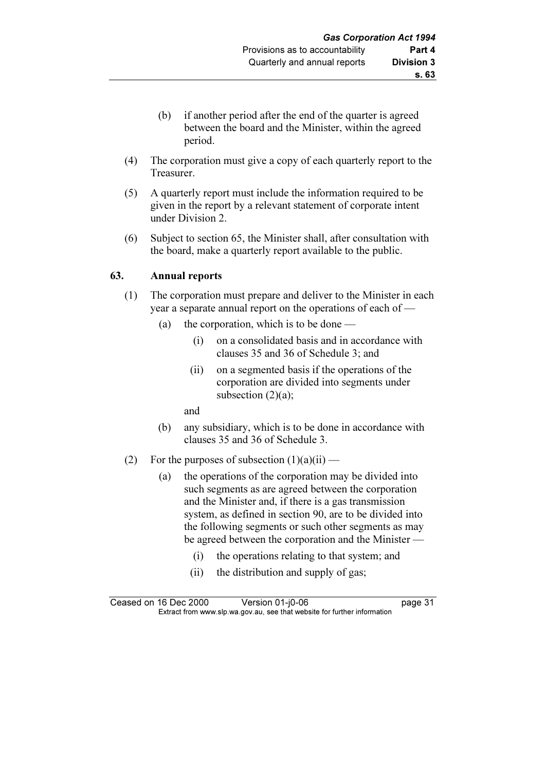- (b) if another period after the end of the quarter is agreed between the board and the Minister, within the agreed period.
- (4) The corporation must give a copy of each quarterly report to the Treasurer.
- (5) A quarterly report must include the information required to be given in the report by a relevant statement of corporate intent under Division 2.
- (6) Subject to section 65, the Minister shall, after consultation with the board, make a quarterly report available to the public.

## 63. Annual reports

- (1) The corporation must prepare and deliver to the Minister in each year a separate annual report on the operations of each of —
	- (a) the corporation, which is to be done
		- (i) on a consolidated basis and in accordance with clauses 35 and 36 of Schedule 3; and
		- (ii) on a segmented basis if the operations of the corporation are divided into segments under subsection  $(2)(a)$ ;
		- and
	- (b) any subsidiary, which is to be done in accordance with clauses 35 and 36 of Schedule 3.
- (2) For the purposes of subsection  $(1)(a)(ii)$ 
	- (a) the operations of the corporation may be divided into such segments as are agreed between the corporation and the Minister and, if there is a gas transmission system, as defined in section 90, are to be divided into the following segments or such other segments as may be agreed between the corporation and the Minister —
		- (i) the operations relating to that system; and
		- (ii) the distribution and supply of gas;

Ceased on 16 Dec 2000 Version 01-j0-06 page 31<br>Extract from www.slp.wa.gov.au, see that website for further information  $\mathbf{F}$  from which was the set that we besite for further information  $\mathbf{F}$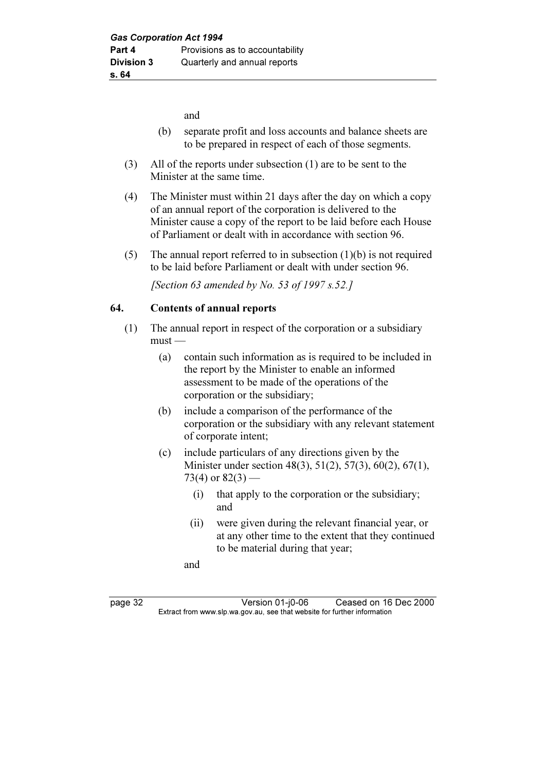and

- (b) separate profit and loss accounts and balance sheets are to be prepared in respect of each of those segments.
- (3) All of the reports under subsection (1) are to be sent to the Minister at the same time.
- (4) The Minister must within 21 days after the day on which a copy of an annual report of the corporation is delivered to the Minister cause a copy of the report to be laid before each House of Parliament or dealt with in accordance with section 96.
- (5) The annual report referred to in subsection  $(1)(b)$  is not required to be laid before Parliament or dealt with under section 96.

[Section 63 amended by No. 53 of 1997  $s.52$ .]

# 64. Contents of annual reports

- (1) The annual report in respect of the corporation or a subsidiary  $must -$ 
	- (a) contain such information as is required to be included in the report by the Minister to enable an informed assessment to be made of the operations of the corporation or the subsidiary;
	- (b) include a comparison of the performance of the corporation or the subsidiary with any relevant statement of corporate intent;
	- (c) include particulars of any directions given by the Minister under section 48(3), 51(2), 57(3), 60(2), 67(1), 73(4) or  $82(3)$  —
		- (i) that apply to the corporation or the subsidiary; and
		- (ii) were given during the relevant financial year, or at any other time to the extent that they continued to be material during that year;
		- and

page 32 Version 01-j0-06 Ceased on 16 Dec 2000<br>Extract from www.slp.wa.gov.au, see that website for further information  $\mathbf{F}$  from which was the set that we besite for further information  $\mathbf{F}$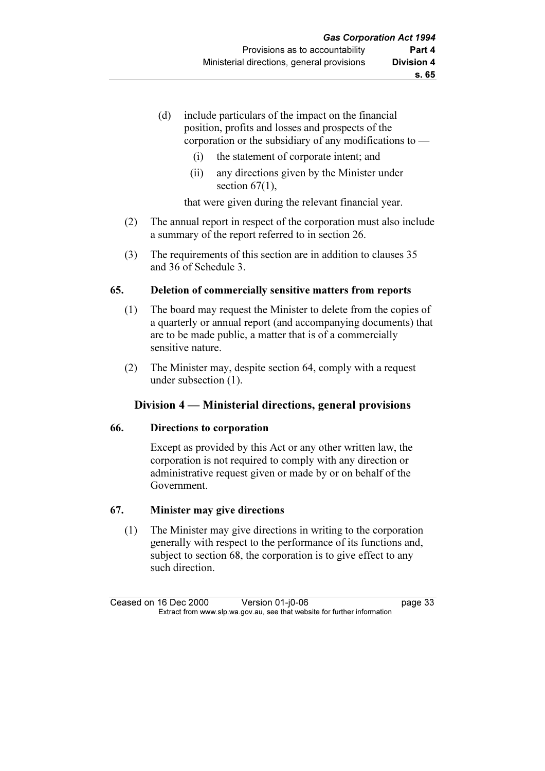- (d) include particulars of the impact on the financial position, profits and losses and prospects of the corporation or the subsidiary of any modifications to —
	- (i) the statement of corporate intent; and
	- (ii) any directions given by the Minister under section  $67(1)$ ,

that were given during the relevant financial year.

- (2) The annual report in respect of the corporation must also include a summary of the report referred to in section 26.
- (3) The requirements of this section are in addition to clauses 35 and 36 of Schedule 3.

# 65. Deletion of commercially sensitive matters from reports

- (1) The board may request the Minister to delete from the copies of a quarterly or annual report (and accompanying documents) that are to be made public, a matter that is of a commercially sensitive nature.
- (2) The Minister may, despite section 64, comply with a request under subsection (1).

# Division 4 — Ministerial directions, general provisions

# 66. Directions to corporation

 Except as provided by this Act or any other written law, the corporation is not required to comply with any direction or administrative request given or made by or on behalf of the Government.

# 67. Minister may give directions

 (1) The Minister may give directions in writing to the corporation generally with respect to the performance of its functions and, subject to section 68, the corporation is to give effect to any such direction.

Ceased on 16 Dec 2000 Version 01-j0-06 page 33<br>Extract from www.slp.wa.gov.au, see that website for further information  $\mathbf{F}$  from which was the set that we besite for further information  $\mathbf{F}$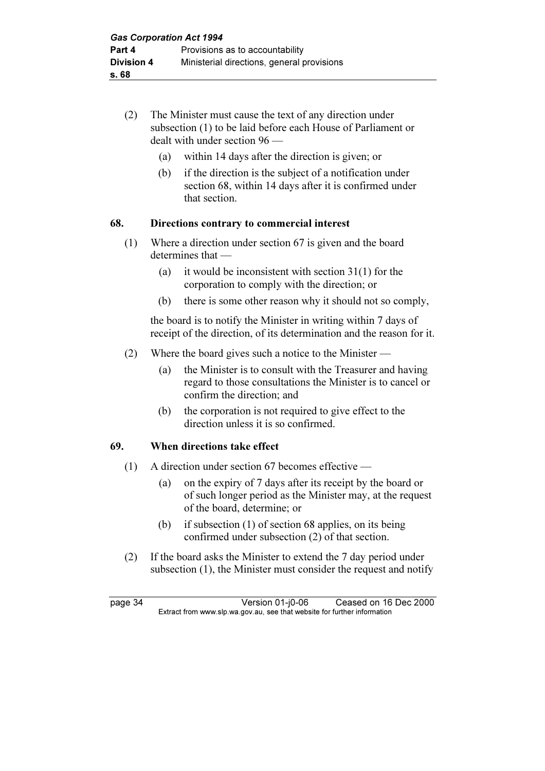- (2) The Minister must cause the text of any direction under subsection (1) to be laid before each House of Parliament or dealt with under section 96 —
	- (a) within 14 days after the direction is given; or
	- (b) if the direction is the subject of a notification under section 68, within 14 days after it is confirmed under that section.

# 68. Directions contrary to commercial interest

- (1) Where a direction under section 67 is given and the board determines that —
	- (a) it would be inconsistent with section 31(1) for the corporation to comply with the direction; or
	- (b) there is some other reason why it should not so comply,

 the board is to notify the Minister in writing within 7 days of receipt of the direction, of its determination and the reason for it.

- (2) Where the board gives such a notice to the Minister
	- (a) the Minister is to consult with the Treasurer and having regard to those consultations the Minister is to cancel or confirm the direction; and
	- (b) the corporation is not required to give effect to the direction unless it is so confirmed.

# 69. When directions take effect

- (1) A direction under section 67 becomes effective
	- (a) on the expiry of 7 days after its receipt by the board or of such longer period as the Minister may, at the request of the board, determine; or
	- (b) if subsection (1) of section 68 applies, on its being confirmed under subsection (2) of that section.
- (2) If the board asks the Minister to extend the 7 day period under subsection (1), the Minister must consider the request and notify

page 34 Version 01-j0-06 Ceased on 16 Dec 2000<br>Extract from www.slp.wa.gov.au, see that website for further information  $\mathbf{F}$  from which was the set that we besite for further information  $\mathbf{F}$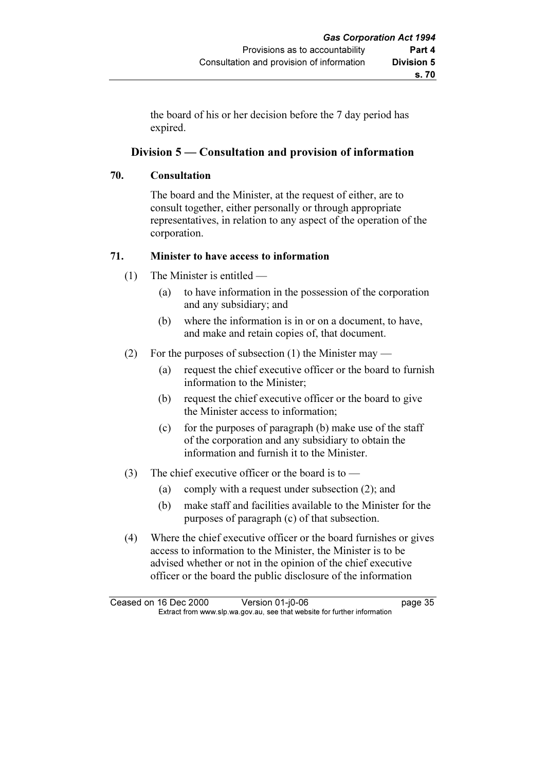the board of his or her decision before the 7 day period has expired.

# Division 5 — Consultation and provision of information

# 70. Consultation

 The board and the Minister, at the request of either, are to consult together, either personally or through appropriate representatives, in relation to any aspect of the operation of the corporation.

# 71. Minister to have access to information

- (1) The Minister is entitled
	- (a) to have information in the possession of the corporation and any subsidiary; and
	- (b) where the information is in or on a document, to have, and make and retain copies of, that document.
- (2) For the purposes of subsection (1) the Minister may
	- (a) request the chief executive officer or the board to furnish information to the Minister;
	- (b) request the chief executive officer or the board to give the Minister access to information;
	- (c) for the purposes of paragraph (b) make use of the staff of the corporation and any subsidiary to obtain the information and furnish it to the Minister.
- (3) The chief executive officer or the board is to
	- (a) comply with a request under subsection (2); and
	- (b) make staff and facilities available to the Minister for the purposes of paragraph (c) of that subsection.
- (4) Where the chief executive officer or the board furnishes or gives access to information to the Minister, the Minister is to be advised whether or not in the opinion of the chief executive officer or the board the public disclosure of the information

Ceased on 16 Dec 2000 Version 01-j0-06 page 35<br>Extract from www.slp.wa.gov.au, see that website for further information  $\mathbf{F}$  from which was the set that we besite for further information  $\mathbf{F}$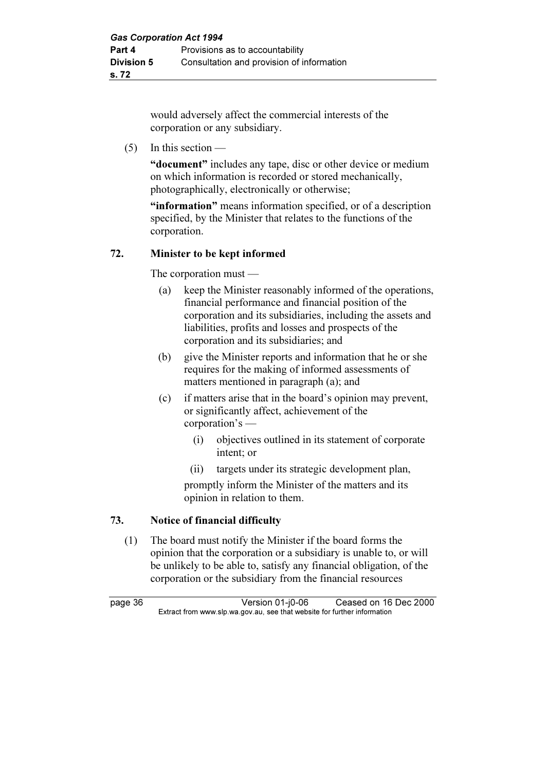would adversely affect the commercial interests of the corporation or any subsidiary.

(5) In this section —

"document" includes any tape, disc or other device or medium on which information is recorded or stored mechanically, photographically, electronically or otherwise;

"information" means information specified, or of a description specified, by the Minister that relates to the functions of the corporation.

# 72. Minister to be kept informed

The corporation must —

- (a) keep the Minister reasonably informed of the operations, financial performance and financial position of the corporation and its subsidiaries, including the assets and liabilities, profits and losses and prospects of the corporation and its subsidiaries; and
- (b) give the Minister reports and information that he or she requires for the making of informed assessments of matters mentioned in paragraph (a); and
- (c) if matters arise that in the board's opinion may prevent, or significantly affect, achievement of the corporation's —
	- (i) objectives outlined in its statement of corporate intent; or
	- (ii) targets under its strategic development plan,

 promptly inform the Minister of the matters and its opinion in relation to them.

# 73. Notice of financial difficulty

 (1) The board must notify the Minister if the board forms the opinion that the corporation or a subsidiary is unable to, or will be unlikely to be able to, satisfy any financial obligation, of the corporation or the subsidiary from the financial resources

page 36 Version 01-j0-06 Ceased on 16 Dec 2000<br>Extract from www.slp.wa.gov.au, see that website for further information  $\mathbf{F}$  from which was the set that we besite for further information  $\mathbf{F}$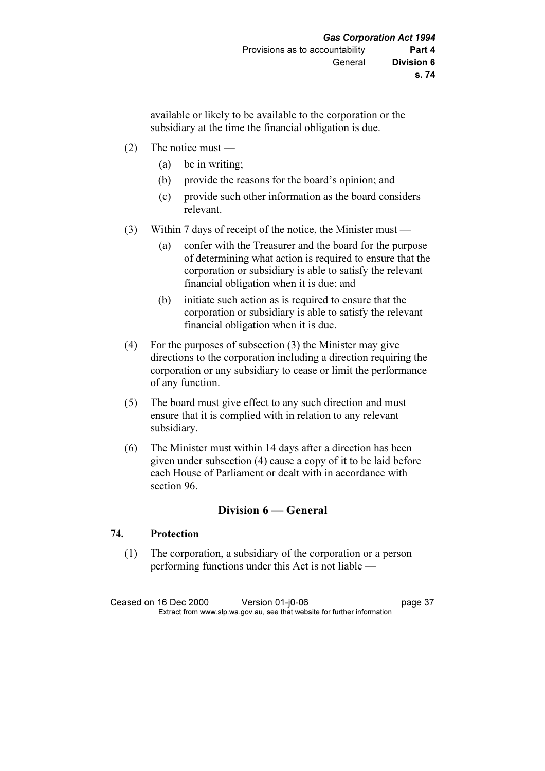available or likely to be available to the corporation or the subsidiary at the time the financial obligation is due.

- (2) The notice must
	- (a) be in writing;
	- (b) provide the reasons for the board's opinion; and
	- (c) provide such other information as the board considers relevant.
- (3) Within 7 days of receipt of the notice, the Minister must
	- (a) confer with the Treasurer and the board for the purpose of determining what action is required to ensure that the corporation or subsidiary is able to satisfy the relevant financial obligation when it is due; and
	- (b) initiate such action as is required to ensure that the corporation or subsidiary is able to satisfy the relevant financial obligation when it is due.
- (4) For the purposes of subsection (3) the Minister may give directions to the corporation including a direction requiring the corporation or any subsidiary to cease or limit the performance of any function.
- (5) The board must give effect to any such direction and must ensure that it is complied with in relation to any relevant subsidiary.
- (6) The Minister must within 14 days after a direction has been given under subsection (4) cause a copy of it to be laid before each House of Parliament or dealt with in accordance with section 96.

# Division 6 — General

## 74. Protection

 (1) The corporation, a subsidiary of the corporation or a person performing functions under this Act is not liable —

Ceased on 16 Dec 2000 Version 01-j0-06 page 37<br>Extract from www.slp.wa.gov.au, see that website for further information  $\mathbf{F}$  from which was the set that we besite for further information  $\mathbf{F}$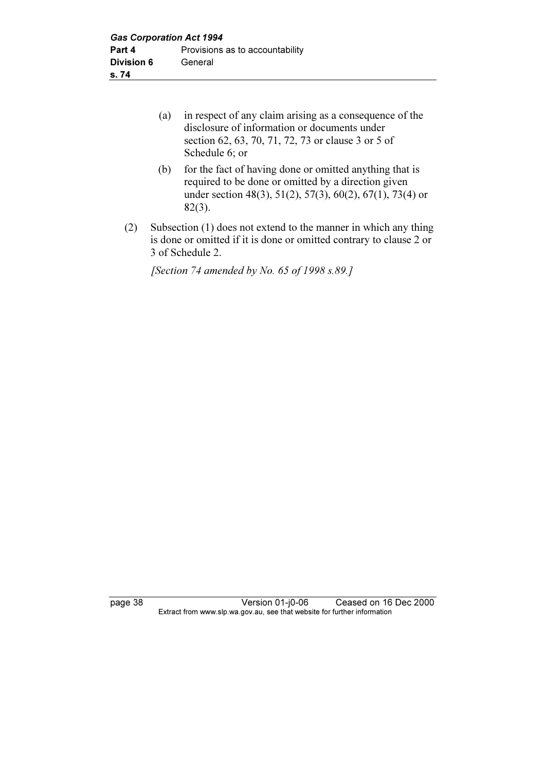| (a) in respect of any claim arising as a consequence of the |
|-------------------------------------------------------------|
| disclosure of information or documents under                |
| section 62, 63, 70, 71, 72, 73 or clause 3 or 5 of          |
| Schedule 6; or                                              |

- (b) for the fact of having done or omitted anything that is required to be done or omitted by a direction given under section 48(3), 51(2), 57(3), 60(2), 67(1), 73(4) or 82(3).
- (2) Subsection (1) does not extend to the manner in which any thing is done or omitted if it is done or omitted contrary to clause 2 or 3 of Schedule 2.

[Section 74 amended by No. 65 of 1998 s.89.]

page 38 Version 01-j0-06 Ceased on 16 Dec 2000 Extract from www.slp.wa.gov.au, see that website for further information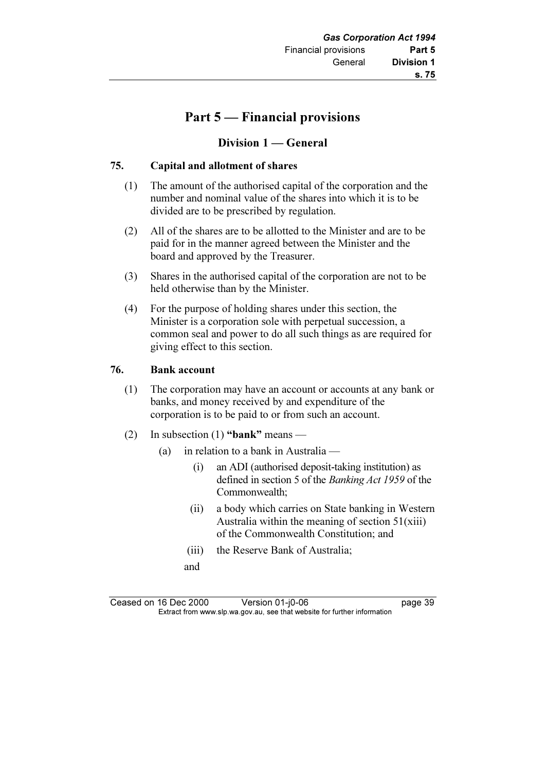# Part 5 — Financial provisions

# Division 1 — General

# 75. Capital and allotment of shares

- (1) The amount of the authorised capital of the corporation and the number and nominal value of the shares into which it is to be divided are to be prescribed by regulation.
- (2) All of the shares are to be allotted to the Minister and are to be paid for in the manner agreed between the Minister and the board and approved by the Treasurer.
- (3) Shares in the authorised capital of the corporation are not to be held otherwise than by the Minister.
- (4) For the purpose of holding shares under this section, the Minister is a corporation sole with perpetual succession, a common seal and power to do all such things as are required for giving effect to this section.

## 76. Bank account

- (1) The corporation may have an account or accounts at any bank or banks, and money received by and expenditure of the corporation is to be paid to or from such an account.
- (2) In subsection (1) "bank" means
	- (a) in relation to a bank in Australia
		- (i) an ADI (authorised deposit-taking institution) as defined in section 5 of the Banking Act 1959 of the Commonwealth;
		- (ii) a body which carries on State banking in Western Australia within the meaning of section  $51(xiii)$ of the Commonwealth Constitution; and
		- (iii) the Reserve Bank of Australia;
		- and

Ceased on 16 Dec 2000 Version 01-j0-06 page 39<br>Extract from www.slp.wa.gov.au, see that website for further information  $\mathbf{F}$  from which was the set that we besite for further information  $\mathbf{F}$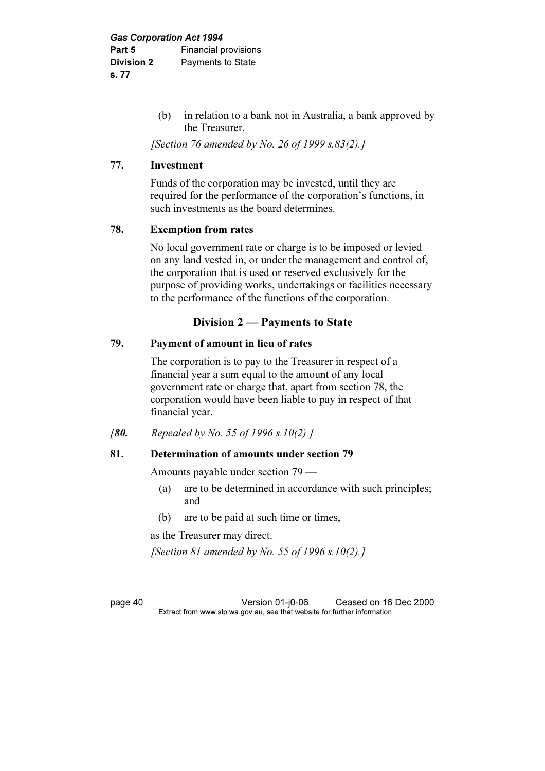(b) in relation to a bank not in Australia, a bank approved by the Treasurer.

[Section 76 amended by No. 26 of 1999 s.83(2).]

## 77. Investment

 Funds of the corporation may be invested, until they are required for the performance of the corporation's functions, in such investments as the board determines.

# 78. Exemption from rates

 No local government rate or charge is to be imposed or levied on any land vested in, or under the management and control of, the corporation that is used or reserved exclusively for the purpose of providing works, undertakings or facilities necessary to the performance of the functions of the corporation.

# Division 2 — Payments to State

# 79. Payment of amount in lieu of rates

 The corporation is to pay to the Treasurer in respect of a financial year a sum equal to the amount of any local government rate or charge that, apart from section 78, the corporation would have been liable to pay in respect of that financial year.

[80. Repealed by No. 55 of 1996 s.10(2).]

# 81. Determination of amounts under section 79

Amounts payable under section 79 —

- (a) are to be determined in accordance with such principles; and
- (b) are to be paid at such time or times,

as the Treasurer may direct.

[Section 81 amended by No. 55 of 1996 s.10(2).]

page 40 Version 01-j0-06 Ceased on 16 Dec 2000<br>Extract from www.slp.wa.gov.au, see that website for further information  $\mathbf{F}$  from which was the set that we besite for further information  $\mathbf{F}$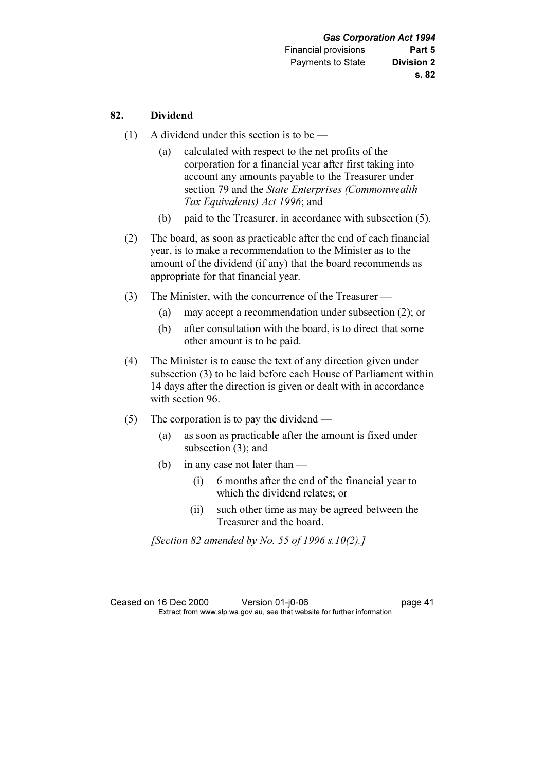## 82. Dividend

- (1) A dividend under this section is to be
	- (a) calculated with respect to the net profits of the corporation for a financial year after first taking into account any amounts payable to the Treasurer under section 79 and the State Enterprises (Commonwealth Tax Equivalents) Act 1996; and
	- (b) paid to the Treasurer, in accordance with subsection (5).
- (2) The board, as soon as practicable after the end of each financial year, is to make a recommendation to the Minister as to the amount of the dividend (if any) that the board recommends as appropriate for that financial year.
- (3) The Minister, with the concurrence of the Treasurer
	- (a) may accept a recommendation under subsection (2); or
	- (b) after consultation with the board, is to direct that some other amount is to be paid.
- (4) The Minister is to cause the text of any direction given under subsection (3) to be laid before each House of Parliament within 14 days after the direction is given or dealt with in accordance with section 96.
- (5) The corporation is to pay the dividend
	- (a) as soon as practicable after the amount is fixed under subsection (3); and
	- (b) in any case not later than
		- (i) 6 months after the end of the financial year to which the dividend relates; or
		- (ii) such other time as may be agreed between the Treasurer and the board.

[Section 82 amended by No. 55 of 1996 s.10(2).]

Ceased on 16 Dec 2000 Version 01-j0-06 page 41<br>Extract from www.slp.wa.gov.au, see that website for further information  $\mathbf{F}$  from which was the set that we besite for further information  $\mathbf{F}$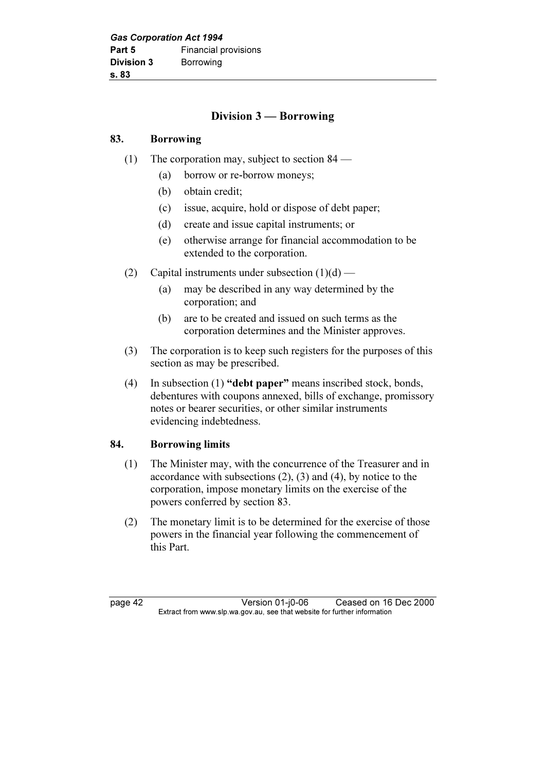# Division 3 — Borrowing

# 83. Borrowing

- (1) The corporation may, subject to section 84
	- (a) borrow or re-borrow moneys;
	- (b) obtain credit;
	- (c) issue, acquire, hold or dispose of debt paper;
	- (d) create and issue capital instruments; or
	- (e) otherwise arrange for financial accommodation to be extended to the corporation.
- (2) Capital instruments under subsection  $(1)(d)$ 
	- (a) may be described in any way determined by the corporation; and
	- (b) are to be created and issued on such terms as the corporation determines and the Minister approves.
- (3) The corporation is to keep such registers for the purposes of this section as may be prescribed.
- (4) In subsection (1) "debt paper" means inscribed stock, bonds, debentures with coupons annexed, bills of exchange, promissory notes or bearer securities, or other similar instruments evidencing indebtedness.

# 84. Borrowing limits

- (1) The Minister may, with the concurrence of the Treasurer and in accordance with subsections  $(2)$ ,  $(3)$  and  $(4)$ , by notice to the corporation, impose monetary limits on the exercise of the powers conferred by section 83.
- (2) The monetary limit is to be determined for the exercise of those powers in the financial year following the commencement of this Part.

page 42 Version 01-j0-06 Ceased on 16 Dec 2000<br>Extract from www.slp.wa.gov.au, see that website for further information  $\mathbf{F}$  from which was the set that we besite for further information  $\mathbf{F}$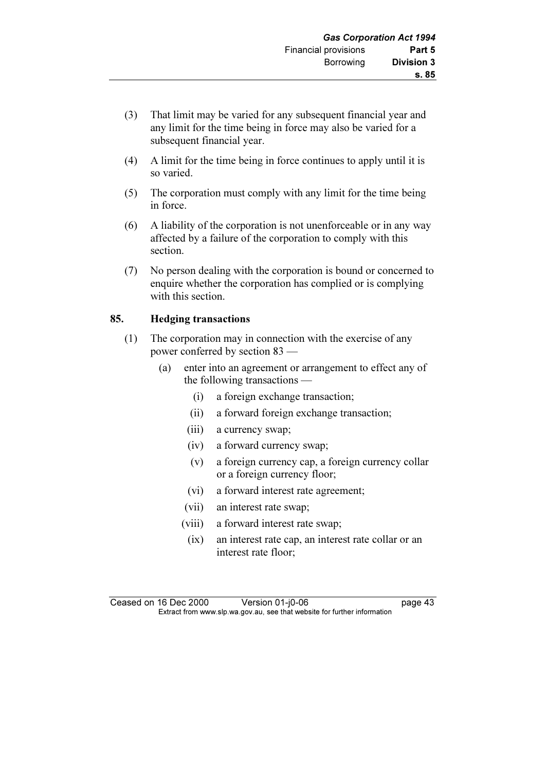- (3) That limit may be varied for any subsequent financial year and any limit for the time being in force may also be varied for a subsequent financial year.
- (4) A limit for the time being in force continues to apply until it is so varied.
- (5) The corporation must comply with any limit for the time being in force.
- (6) A liability of the corporation is not unenforceable or in any way affected by a failure of the corporation to comply with this section.
- (7) No person dealing with the corporation is bound or concerned to enquire whether the corporation has complied or is complying with this section.

# 85. Hedging transactions

- (1) The corporation may in connection with the exercise of any power conferred by section 83 —
	- (a) enter into an agreement or arrangement to effect any of the following transactions —
		- (i) a foreign exchange transaction;
		- (ii) a forward foreign exchange transaction;
		- (iii) a currency swap;
		- (iv) a forward currency swap;
		- (v) a foreign currency cap, a foreign currency collar or a foreign currency floor;
		- (vi) a forward interest rate agreement;
		- (vii) an interest rate swap;
		- (viii) a forward interest rate swap;
		- (ix) an interest rate cap, an interest rate collar or an interest rate floor;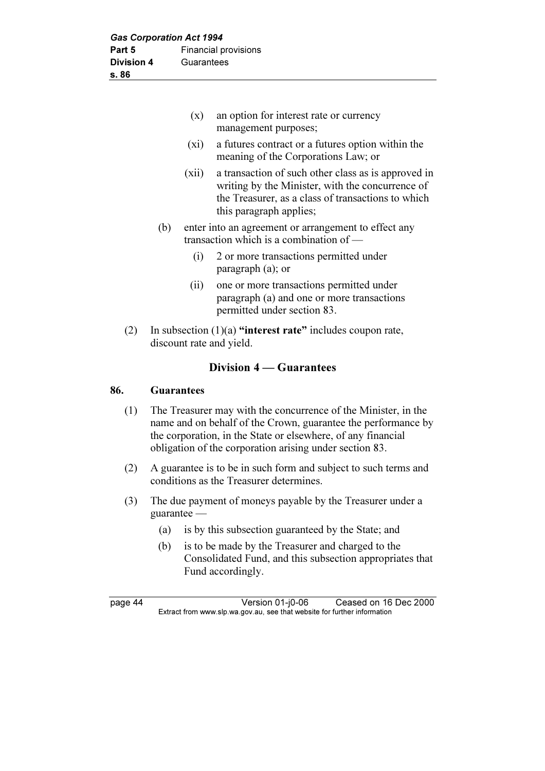| (x)                                                                                                      | an option for interest rate or currency<br>management purposes;                                                                                                                          |  |
|----------------------------------------------------------------------------------------------------------|------------------------------------------------------------------------------------------------------------------------------------------------------------------------------------------|--|
| (xi)                                                                                                     | a futures contract or a futures option within the<br>meaning of the Corporations Law; or                                                                                                 |  |
| (xii)                                                                                                    | a transaction of such other class as is approved in<br>writing by the Minister, with the concurrence of<br>the Treasurer, as a class of transactions to which<br>this paragraph applies; |  |
| enter into an agreement or arrangement to effect any<br>(b)<br>transaction which is a combination of $-$ |                                                                                                                                                                                          |  |
| (i)                                                                                                      | 2 or more transactions permitted under<br>paragraph $(a)$ ; or                                                                                                                           |  |
| (ii)                                                                                                     | one or more transactions permitted under<br>paragraph (a) and one or more transactions<br>permitted under section 83.                                                                    |  |
| (2)<br>discount rate and yield.                                                                          | In subsection $(1)(a)$ "interest rate" includes coupon rate,                                                                                                                             |  |

# Division 4 — Guarantees

## 86. Guarantees

- (1) The Treasurer may with the concurrence of the Minister, in the name and on behalf of the Crown, guarantee the performance by the corporation, in the State or elsewhere, of any financial obligation of the corporation arising under section 83.
- (2) A guarantee is to be in such form and subject to such terms and conditions as the Treasurer determines.
- (3) The due payment of moneys payable by the Treasurer under a guarantee —
	- (a) is by this subsection guaranteed by the State; and
	- (b) is to be made by the Treasurer and charged to the Consolidated Fund, and this subsection appropriates that Fund accordingly.

page 44 Version 01-j0-06 Ceased on 16 Dec 2000<br>Extract from www.slp.wa.gov.au, see that website for further information  $\mathbf{F}$  from which was the set that we besite for further information  $\mathbf{F}$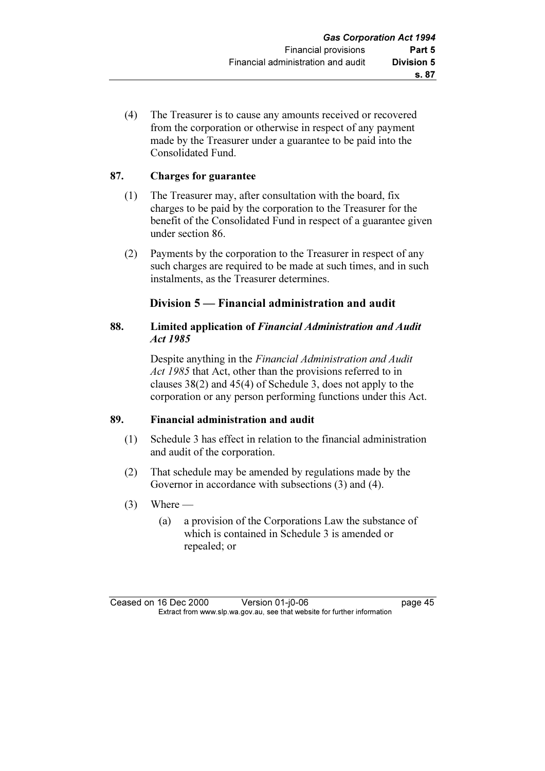(4) The Treasurer is to cause any amounts received or recovered from the corporation or otherwise in respect of any payment made by the Treasurer under a guarantee to be paid into the Consolidated Fund.

# 87. Charges for guarantee

- (1) The Treasurer may, after consultation with the board, fix charges to be paid by the corporation to the Treasurer for the benefit of the Consolidated Fund in respect of a guarantee given under section 86.
- (2) Payments by the corporation to the Treasurer in respect of any such charges are required to be made at such times, and in such instalments, as the Treasurer determines.

# Division 5 — Financial administration and audit

## 88. Limited application of Financial Administration and Audit Act 1985

 Despite anything in the Financial Administration and Audit Act 1985 that Act, other than the provisions referred to in clauses 38(2) and 45(4) of Schedule 3, does not apply to the corporation or any person performing functions under this Act.

## 89. Financial administration and audit

- (1) Schedule 3 has effect in relation to the financial administration and audit of the corporation.
- (2) That schedule may be amended by regulations made by the Governor in accordance with subsections (3) and (4).
- $(3)$  Where
	- (a) a provision of the Corporations Law the substance of which is contained in Schedule 3 is amended or repealed; or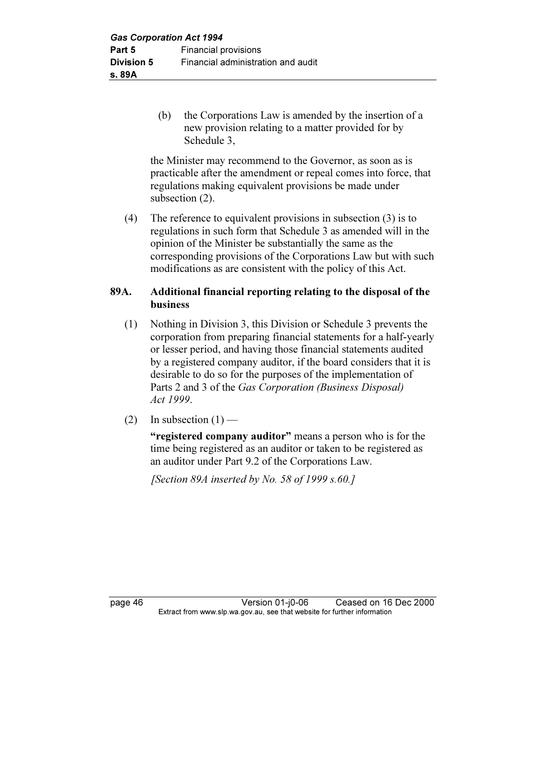(b) the Corporations Law is amended by the insertion of a new provision relating to a matter provided for by Schedule 3,

 the Minister may recommend to the Governor, as soon as is practicable after the amendment or repeal comes into force, that regulations making equivalent provisions be made under subsection (2).

 (4) The reference to equivalent provisions in subsection (3) is to regulations in such form that Schedule 3 as amended will in the opinion of the Minister be substantially the same as the corresponding provisions of the Corporations Law but with such modifications as are consistent with the policy of this Act.

# 89A. Additional financial reporting relating to the disposal of the business

- (1) Nothing in Division 3, this Division or Schedule 3 prevents the corporation from preparing financial statements for a half-yearly or lesser period, and having those financial statements audited by a registered company auditor, if the board considers that it is desirable to do so for the purposes of the implementation of Parts 2 and 3 of the Gas Corporation (Business Disposal) Act 1999.
- (2) In subsection  $(1)$  —

"registered company auditor" means a person who is for the time being registered as an auditor or taken to be registered as an auditor under Part 9.2 of the Corporations Law.

[Section 89A inserted by No. 58 of 1999 s.60.]

page 46 Version 01-j0-06 Ceased on 16 Dec 2000<br>Extract from www.slp.wa.gov.au, see that website for further information  $\mathbf{F}$  from which was the set that we besite for further information  $\mathbf{F}$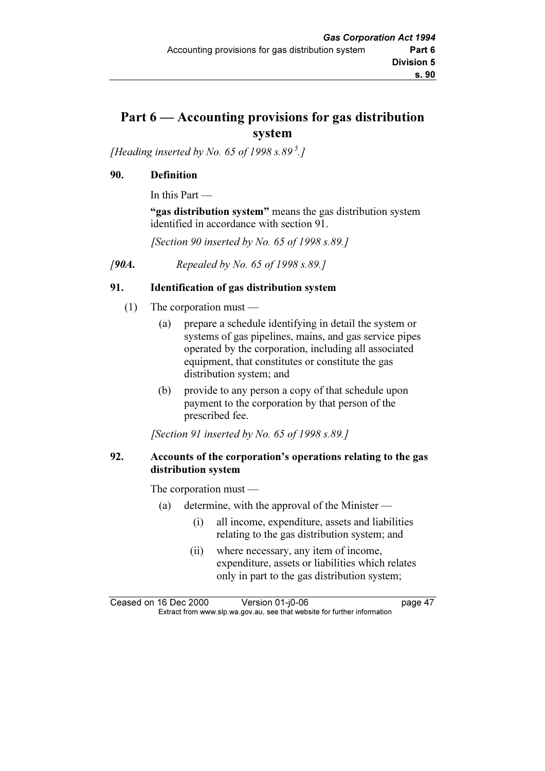# Part 6 — Accounting provisions for gas distribution system

[Heading inserted by No. 65 of 1998 s.89<sup>5</sup>.]

# 90. Definition

In this Part —

"gas distribution system" means the gas distribution system identified in accordance with section 91.

[Section 90 inserted by No. 65 of 1998 s.89.]

[90A. Repealed by No. 65 of 1998 s.89.]

# 91. Identification of gas distribution system

- (1) The corporation must
	- (a) prepare a schedule identifying in detail the system or systems of gas pipelines, mains, and gas service pipes operated by the corporation, including all associated equipment, that constitutes or constitute the gas distribution system; and
	- (b) provide to any person a copy of that schedule upon payment to the corporation by that person of the prescribed fee.

[Section 91 inserted by No. 65 of 1998 s.89.]

## 92. Accounts of the corporation's operations relating to the gas distribution system

The corporation must —

- (a) determine, with the approval of the Minister
	- (i) all income, expenditure, assets and liabilities relating to the gas distribution system; and
	- (ii) where necessary, any item of income, expenditure, assets or liabilities which relates only in part to the gas distribution system;

Ceased on 16 Dec 2000 Version 01-j0-06 page 47<br>Extract from www.slp.wa.gov.au, see that website for further information  $\mathbf{F}$  from which was the set that we besite for further information  $\mathbf{F}$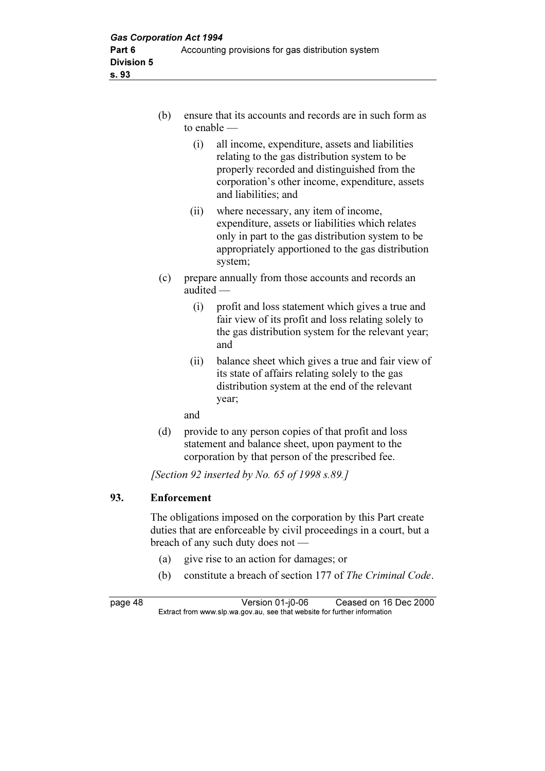- (b) ensure that its accounts and records are in such form as to enable —
	- (i) all income, expenditure, assets and liabilities relating to the gas distribution system to be properly recorded and distinguished from the corporation's other income, expenditure, assets and liabilities; and
	- (ii) where necessary, any item of income, expenditure, assets or liabilities which relates only in part to the gas distribution system to be appropriately apportioned to the gas distribution system;
- (c) prepare annually from those accounts and records an audited —
	- (i) profit and loss statement which gives a true and fair view of its profit and loss relating solely to the gas distribution system for the relevant year; and
	- (ii) balance sheet which gives a true and fair view of its state of affairs relating solely to the gas distribution system at the end of the relevant year;

and

 (d) provide to any person copies of that profit and loss statement and balance sheet, upon payment to the corporation by that person of the prescribed fee.

[Section 92 inserted by No. 65 of 1998 s.89.]

# 93. Enforcement

 The obligations imposed on the corporation by this Part create duties that are enforceable by civil proceedings in a court, but a breach of any such duty does not —

- (a) give rise to an action for damages; or
- (b) constitute a breach of section 177 of The Criminal Code.

page 48 Version 01-j0-06 Ceased on 16 Dec 2000<br>Extract from www.slp.wa.gov.au, see that website for further information  $\mathbf{F}$  from which was the set that we besite for further information  $\mathbf{F}$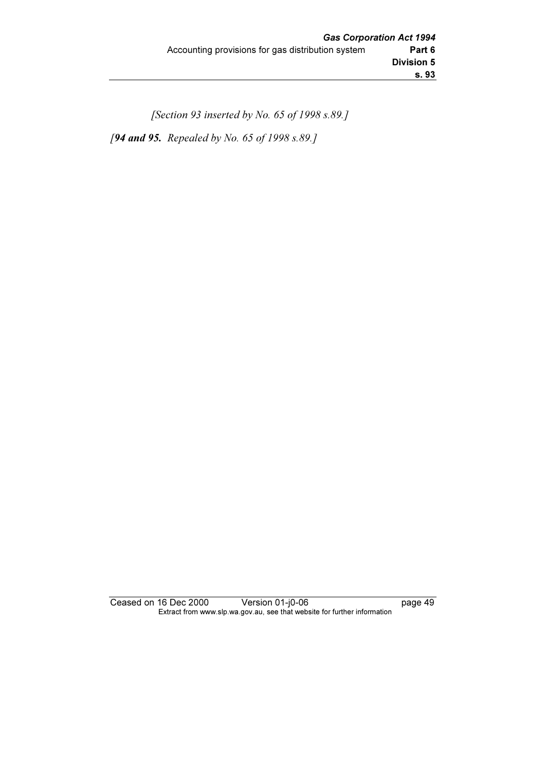[Section 93 inserted by No. 65 of 1998 s.89.] [94 and 95. Repealed by No. 65 of 1998 s.89.]

Ceased on 16 Dec 2000 Version 01-j0-06 page 49 Extract from www.slp.wa.gov.au, see that website for further information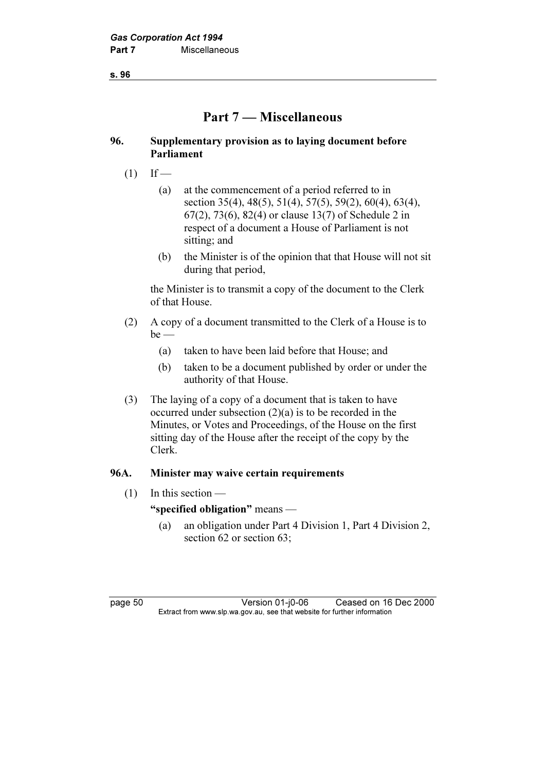s. 96

# Part 7 — Miscellaneous

## 96. Supplementary provision as to laying document before Parliament

- $(1)$  If
	- (a) at the commencement of a period referred to in section 35(4), 48(5), 51(4), 57(5), 59(2), 60(4), 63(4), 67(2), 73(6), 82(4) or clause 13(7) of Schedule 2 in respect of a document a House of Parliament is not sitting; and
	- (b) the Minister is of the opinion that that House will not sit during that period,

 the Minister is to transmit a copy of the document to the Clerk of that House.

- (2) A copy of a document transmitted to the Clerk of a House is to  $be$  —
	- (a) taken to have been laid before that House; and
	- (b) taken to be a document published by order or under the authority of that House.
- (3) The laying of a copy of a document that is taken to have occurred under subsection  $(2)(a)$  is to be recorded in the Minutes, or Votes and Proceedings, of the House on the first sitting day of the House after the receipt of the copy by the Clerk.

# 96A. Minister may waive certain requirements

 $(1)$  In this section —

# "specified obligation" means —

 (a) an obligation under Part 4 Division 1, Part 4 Division 2, section 62 or section 63;

page 50 Version 01-j0-06 Ceased on 16 Dec 2000<br>Extract from www.slp.wa.gov.au, see that website for further information  $\mathbf{F}$  from which was the set that we besite for further information  $\mathbf{F}$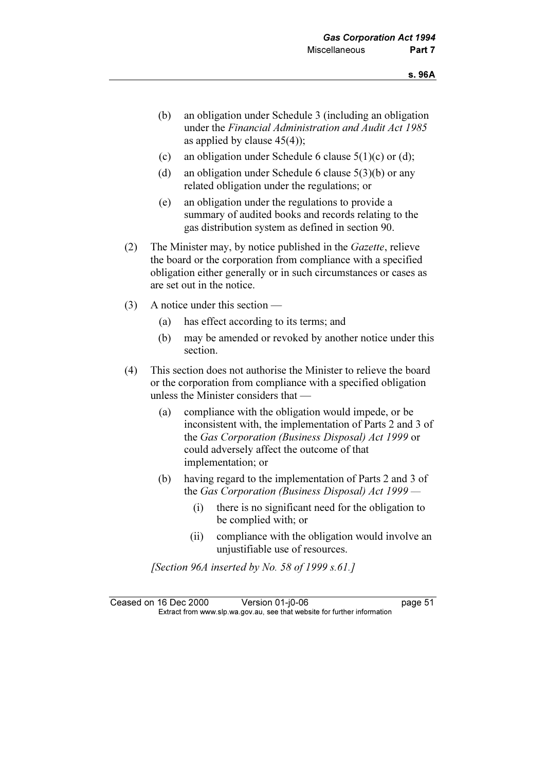- (b) an obligation under Schedule 3 (including an obligation under the Financial Administration and Audit Act 1985 as applied by clause  $45(4)$ ;
- (c) an obligation under Schedule 6 clause  $5(1)(c)$  or (d);
- (d) an obligation under Schedule 6 clause 5(3)(b) or any related obligation under the regulations; or
- (e) an obligation under the regulations to provide a summary of audited books and records relating to the gas distribution system as defined in section 90.
- (2) The Minister may, by notice published in the Gazette, relieve the board or the corporation from compliance with a specified obligation either generally or in such circumstances or cases as are set out in the notice.
- (3) A notice under this section
	- (a) has effect according to its terms; and
	- (b) may be amended or revoked by another notice under this section.
- (4) This section does not authorise the Minister to relieve the board or the corporation from compliance with a specified obligation unless the Minister considers that —
	- (a) compliance with the obligation would impede, or be inconsistent with, the implementation of Parts 2 and 3 of the Gas Corporation (Business Disposal) Act 1999 or could adversely affect the outcome of that implementation; or
	- (b) having regard to the implementation of Parts 2 and 3 of the Gas Corporation (Business Disposal) Act 1999 —
		- (i) there is no significant need for the obligation to be complied with; or
		- (ii) compliance with the obligation would involve an unjustifiable use of resources.

[Section 96A inserted by No. 58 of 1999  $s.61.1$ ]

Ceased on 16 Dec 2000 Version 01-j0-06 page 51<br>Extract from www.slp.wa.gov.au, see that website for further information  $\mathbf{F}$  from which was the set that we besite for further information  $\mathbf{F}$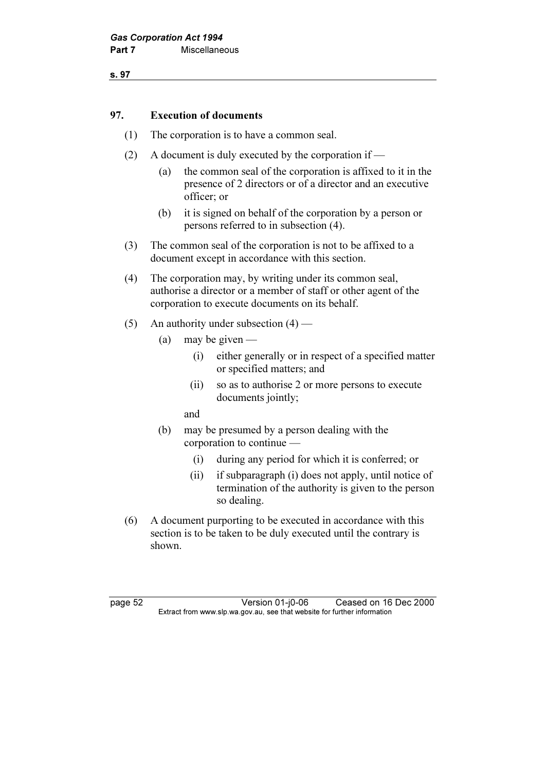s. 97

### 97. Execution of documents

- (1) The corporation is to have a common seal.
- (2) A document is duly executed by the corporation if
	- (a) the common seal of the corporation is affixed to it in the presence of 2 directors or of a director and an executive officer; or
	- (b) it is signed on behalf of the corporation by a person or persons referred to in subsection (4).
- (3) The common seal of the corporation is not to be affixed to a document except in accordance with this section.
- (4) The corporation may, by writing under its common seal, authorise a director or a member of staff or other agent of the corporation to execute documents on its behalf.
- (5) An authority under subsection  $(4)$ 
	- (a) may be given  $-$ 
		- (i) either generally or in respect of a specified matter or specified matters; and
		- (ii) so as to authorise 2 or more persons to execute documents jointly;
		- and
	- (b) may be presumed by a person dealing with the corporation to continue —
		- (i) during any period for which it is conferred; or
		- (ii) if subparagraph (i) does not apply, until notice of termination of the authority is given to the person so dealing.
- (6) A document purporting to be executed in accordance with this section is to be taken to be duly executed until the contrary is shown.

page 52 Version 01-j0-06 Ceased on 16 Dec 2000<br>Extract from www.slp.wa.gov.au, see that website for further information  $\mathbf{F}$  from which was the set that we besite for further information  $\mathbf{F}$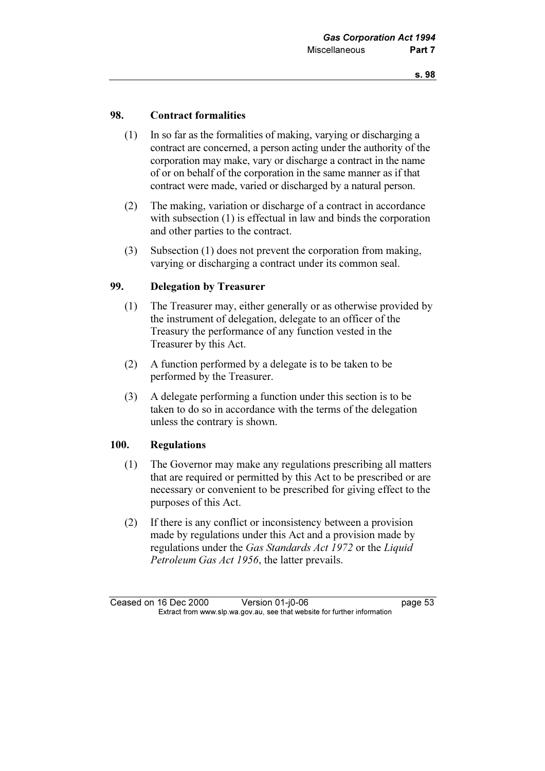### 98. Contract formalities

- (1) In so far as the formalities of making, varying or discharging a contract are concerned, a person acting under the authority of the corporation may make, vary or discharge a contract in the name of or on behalf of the corporation in the same manner as if that contract were made, varied or discharged by a natural person.
- (2) The making, variation or discharge of a contract in accordance with subsection (1) is effectual in law and binds the corporation and other parties to the contract.
- (3) Subsection (1) does not prevent the corporation from making, varying or discharging a contract under its common seal.

### 99. Delegation by Treasurer

- (1) The Treasurer may, either generally or as otherwise provided by the instrument of delegation, delegate to an officer of the Treasury the performance of any function vested in the Treasurer by this Act.
- (2) A function performed by a delegate is to be taken to be performed by the Treasurer.
- (3) A delegate performing a function under this section is to be taken to do so in accordance with the terms of the delegation unless the contrary is shown.

### 100. Regulations

- (1) The Governor may make any regulations prescribing all matters that are required or permitted by this Act to be prescribed or are necessary or convenient to be prescribed for giving effect to the purposes of this Act.
- (2) If there is any conflict or inconsistency between a provision made by regulations under this Act and a provision made by regulations under the Gas Standards Act 1972 or the Liquid Petroleum Gas Act 1956, the latter prevails.

Ceased on 16 Dec 2000 Version 01-j0-06 page 53<br>Extract from www.slp.wa.gov.au, see that website for further information  $\mathbf{F}$  from which was the set that we besite for further information  $\mathbf{F}$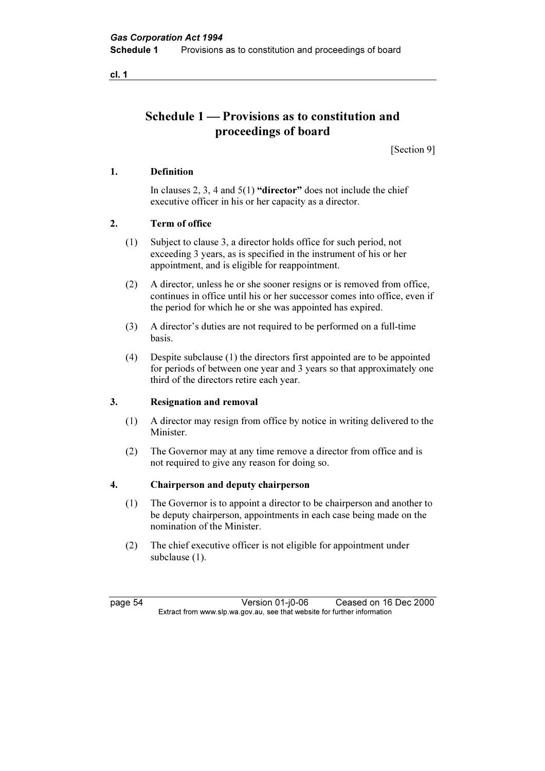cl. 1

# Schedule 1 — Provisions as to constitution and proceedings of board

[Section 9]

### 1. Definition

In clauses 2, 3, 4 and  $5(1)$  "director" does not include the chief executive officer in his or her capacity as a director.

### 2. Term of office

- (1) Subject to clause 3, a director holds office for such period, not exceeding 3 years, as is specified in the instrument of his or her appointment, and is eligible for reappointment.
- (2) A director, unless he or she sooner resigns or is removed from office, continues in office until his or her successor comes into office, even if the period for which he or she was appointed has expired.
- (3) A director's duties are not required to be performed on a full-time basis.
- (4) Despite subclause (1) the directors first appointed are to be appointed for periods of between one year and 3 years so that approximately one third of the directors retire each year.

### 3. Resignation and removal

- (1) A director may resign from office by notice in writing delivered to the Minister.
- (2) The Governor may at any time remove a director from office and is not required to give any reason for doing so.

### 4. Chairperson and deputy chairperson

- (1) The Governor is to appoint a director to be chairperson and another to be deputy chairperson, appointments in each case being made on the nomination of the Minister.
- (2) The chief executive officer is not eligible for appointment under subclause (1).

page 54 Version 01-j0-06 Ceased on 16 Dec 2000<br>Extract from www.slp.wa.gov.au, see that website for further information  $\mathbf{F}$  from which was the set that we besite for further information  $\mathbf{F}$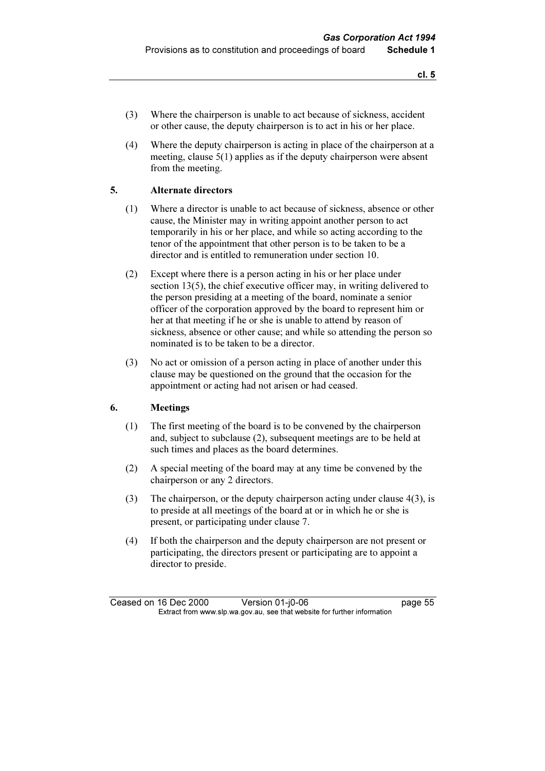- (3) Where the chairperson is unable to act because of sickness, accident or other cause, the deputy chairperson is to act in his or her place.
- (4) Where the deputy chairperson is acting in place of the chairperson at a meeting, clause 5(1) applies as if the deputy chairperson were absent from the meeting.

### 5. Alternate directors

- (1) Where a director is unable to act because of sickness, absence or other cause, the Minister may in writing appoint another person to act temporarily in his or her place, and while so acting according to the tenor of the appointment that other person is to be taken to be a director and is entitled to remuneration under section 10.
- (2) Except where there is a person acting in his or her place under section 13(5), the chief executive officer may, in writing delivered to the person presiding at a meeting of the board, nominate a senior officer of the corporation approved by the board to represent him or her at that meeting if he or she is unable to attend by reason of sickness, absence or other cause; and while so attending the person so nominated is to be taken to be a director.
- (3) No act or omission of a person acting in place of another under this clause may be questioned on the ground that the occasion for the appointment or acting had not arisen or had ceased.

### 6. Meetings

- (1) The first meeting of the board is to be convened by the chairperson and, subject to subclause (2), subsequent meetings are to be held at such times and places as the board determines.
- (2) A special meeting of the board may at any time be convened by the chairperson or any 2 directors.
- (3) The chairperson, or the deputy chairperson acting under clause 4(3), is to preside at all meetings of the board at or in which he or she is present, or participating under clause 7.
- (4) If both the chairperson and the deputy chairperson are not present or participating, the directors present or participating are to appoint a director to preside.

Ceased on 16 Dec 2000 Version 01-j0-06 page 55<br>Extract from www.slp.wa.gov.au, see that website for further information  $\mathbf{F}$  from which was the set that we besite for further information  $\mathbf{F}$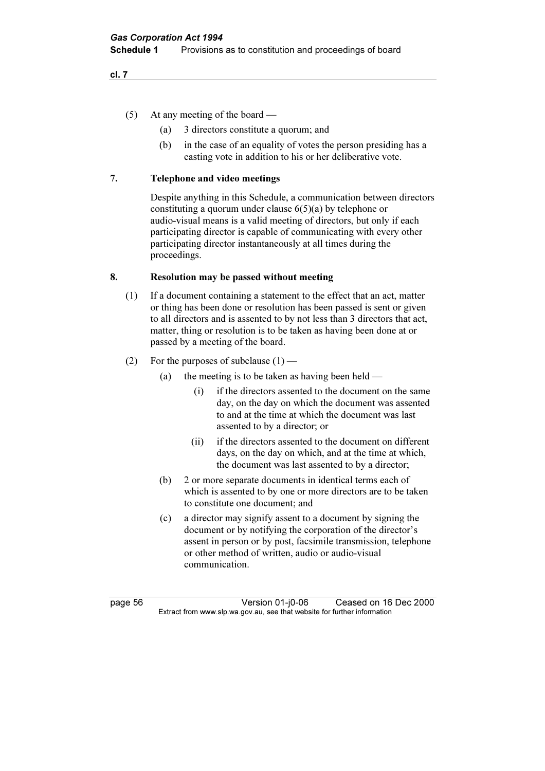cl. 7

- (5) At any meeting of the board
	- (a) 3 directors constitute a quorum; and
	- (b) in the case of an equality of votes the person presiding has a casting vote in addition to his or her deliberative vote.

### 7. Telephone and video meetings

 Despite anything in this Schedule, a communication between directors constituting a quorum under clause 6(5)(a) by telephone or audio-visual means is a valid meeting of directors, but only if each participating director is capable of communicating with every other participating director instantaneously at all times during the proceedings.

### 8. Resolution may be passed without meeting

- (1) If a document containing a statement to the effect that an act, matter or thing has been done or resolution has been passed is sent or given to all directors and is assented to by not less than 3 directors that act, matter, thing or resolution is to be taken as having been done at or passed by a meeting of the board.
- (2) For the purposes of subclause  $(1)$ 
	- (a) the meeting is to be taken as having been held
		- (i) if the directors assented to the document on the same day, on the day on which the document was assented to and at the time at which the document was last assented to by a director; or
		- (ii) if the directors assented to the document on different days, on the day on which, and at the time at which, the document was last assented to by a director;
	- (b) 2 or more separate documents in identical terms each of which is assented to by one or more directors are to be taken to constitute one document; and
	- (c) a director may signify assent to a document by signing the document or by notifying the corporation of the director's assent in person or by post, facsimile transmission, telephone or other method of written, audio or audio-visual communication.

page 56 Version 01-j0-06 Ceased on 16 Dec 2000<br>Extract from www.slp.wa.gov.au, see that website for further information  $\mathbf{F}$  from which was the set that we besite for further information  $\mathbf{F}$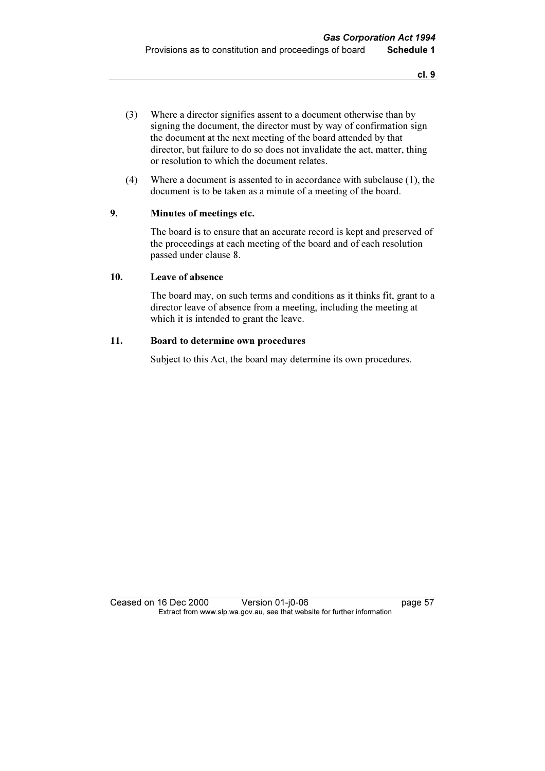- (3) Where a director signifies assent to a document otherwise than by signing the document, the director must by way of confirmation sign the document at the next meeting of the board attended by that director, but failure to do so does not invalidate the act, matter, thing or resolution to which the document relates.
- (4) Where a document is assented to in accordance with subclause (1), the document is to be taken as a minute of a meeting of the board.

### 9. Minutes of meetings etc.

 The board is to ensure that an accurate record is kept and preserved of the proceedings at each meeting of the board and of each resolution passed under clause 8.

### 10. Leave of absence

 The board may, on such terms and conditions as it thinks fit, grant to a director leave of absence from a meeting, including the meeting at which it is intended to grant the leave.

### 11. Board to determine own procedures

Subject to this Act, the board may determine its own procedures.

Ceased on 16 Dec 2000 Version 01-j0-06 page 57<br>Extract from www.slp.wa.gov.au, see that website for further information  $\mathbf{F}$  from which was the set that we besite for further information  $\mathbf{F}$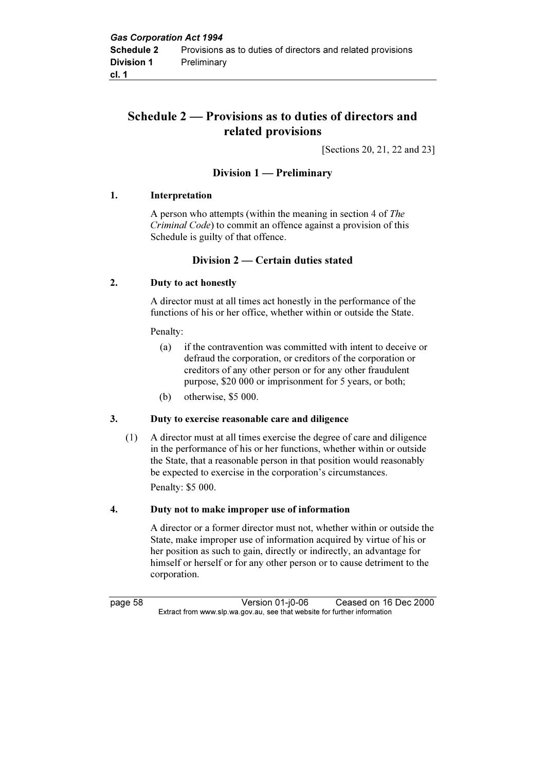# Schedule 2 — Provisions as to duties of directors and related provisions

[Sections 20, 21, 22 and 23]

# Division 1 — Preliminary

### 1. Interpretation

 A person who attempts (within the meaning in section 4 of The Criminal Code) to commit an offence against a provision of this Schedule is guilty of that offence.

## Division 2 — Certain duties stated

### 2. Duty to act honestly

 A director must at all times act honestly in the performance of the functions of his or her office, whether within or outside the State.

### Penalty:

- (a) if the contravention was committed with intent to deceive or defraud the corporation, or creditors of the corporation or creditors of any other person or for any other fraudulent purpose, \$20 000 or imprisonment for 5 years, or both;
- (b) otherwise, \$5 000.

### 3. Duty to exercise reasonable care and diligence

 (1) A director must at all times exercise the degree of care and diligence in the performance of his or her functions, whether within or outside the State, that a reasonable person in that position would reasonably be expected to exercise in the corporation's circumstances. Penalty: \$5 000.

### 4. Duty not to make improper use of information

 A director or a former director must not, whether within or outside the State, make improper use of information acquired by virtue of his or her position as such to gain, directly or indirectly, an advantage for himself or herself or for any other person or to cause detriment to the corporation.

page 58 Version 01-j0-06 Ceased on 16 Dec 2000<br>Extract from www.slp.wa.gov.au, see that website for further information  $\mathbf{F}$  from which was the set that we besite for further information  $\mathbf{F}$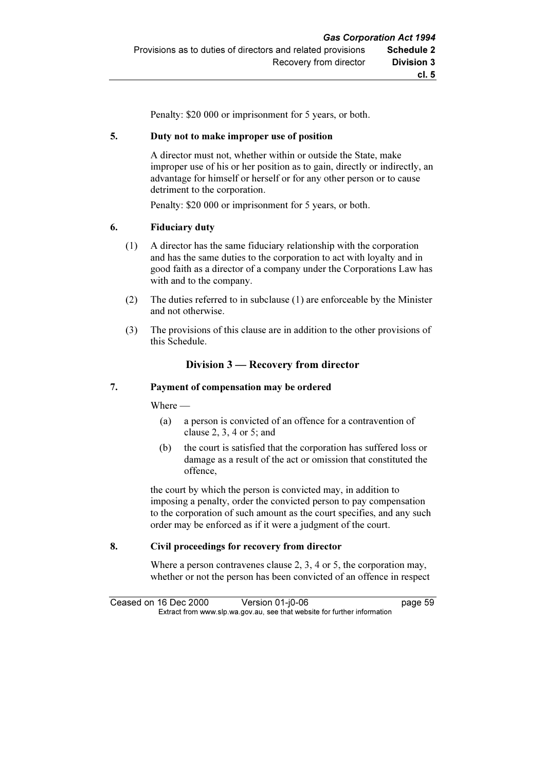Penalty: \$20 000 or imprisonment for 5 years, or both.

#### 5. Duty not to make improper use of position

 A director must not, whether within or outside the State, make improper use of his or her position as to gain, directly or indirectly, an advantage for himself or herself or for any other person or to cause detriment to the corporation.

Penalty: \$20 000 or imprisonment for 5 years, or both.

#### 6. Fiduciary duty

- (1) A director has the same fiduciary relationship with the corporation and has the same duties to the corporation to act with loyalty and in good faith as a director of a company under the Corporations Law has with and to the company.
- (2) The duties referred to in subclause (1) are enforceable by the Minister and not otherwise.
- (3) The provisions of this clause are in addition to the other provisions of this Schedule.

### Division 3 — Recovery from director

#### 7. Payment of compensation may be ordered

Where —

- (a) a person is convicted of an offence for a contravention of clause 2, 3, 4 or 5; and
- (b) the court is satisfied that the corporation has suffered loss or damage as a result of the act or omission that constituted the offence,

 the court by which the person is convicted may, in addition to imposing a penalty, order the convicted person to pay compensation to the corporation of such amount as the court specifies, and any such order may be enforced as if it were a judgment of the court.

#### 8. Civil proceedings for recovery from director

Where a person contravenes clause 2, 3, 4 or 5, the corporation may, whether or not the person has been convicted of an offence in respect

Ceased on 16 Dec 2000 Version 01-j0-06 page 59<br>Extract from www.slp.wa.gov.au, see that website for further information  $\mathbf{F}$  from which was the set that we besite for further information  $\mathbf{F}$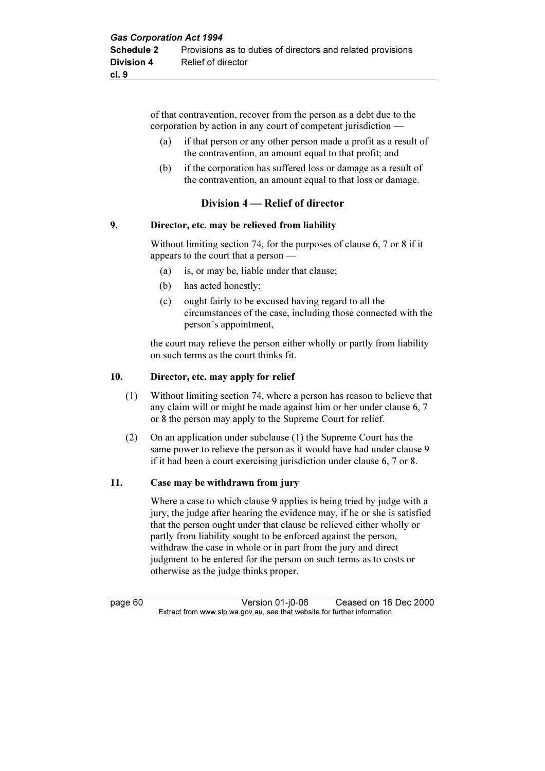of that contravention, recover from the person as a debt due to the corporation by action in any court of competent jurisdiction —

- (a) if that person or any other person made a profit as a result of the contravention, an amount equal to that profit; and
- (b) if the corporation has suffered loss or damage as a result of the contravention, an amount equal to that loss or damage.

## Division 4 — Relief of director

### 9. Director, etc. may be relieved from liability

 Without limiting section 74, for the purposes of clause 6, 7 or 8 if it appears to the court that a person —

- (a) is, or may be, liable under that clause;
- (b) has acted honestly;
- (c) ought fairly to be excused having regard to all the circumstances of the case, including those connected with the person's appointment,

 the court may relieve the person either wholly or partly from liability on such terms as the court thinks fit.

### 10. Director, etc. may apply for relief

- (1) Without limiting section 74, where a person has reason to believe that any claim will or might be made against him or her under clause 6, 7 or 8 the person may apply to the Supreme Court for relief.
- (2) On an application under subclause (1) the Supreme Court has the same power to relieve the person as it would have had under clause 9 if it had been a court exercising jurisdiction under clause 6, 7 or 8.

## 11. Case may be withdrawn from jury

 Where a case to which clause 9 applies is being tried by judge with a jury, the judge after hearing the evidence may, if he or she is satisfied that the person ought under that clause be relieved either wholly or partly from liability sought to be enforced against the person, withdraw the case in whole or in part from the jury and direct judgment to be entered for the person on such terms as to costs or otherwise as the judge thinks proper.

page 60 Version 01-j0-06 Ceased on 16 Dec 2000<br>Extract from www.slp.wa.gov.au, see that website for further information  $\mathbf{F}$  from which was the set that we besite for further information  $\mathbf{F}$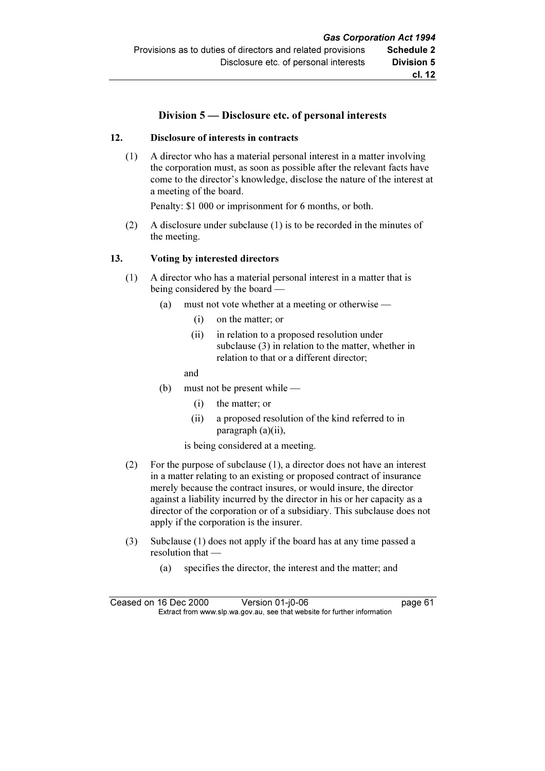## Division 5 — Disclosure etc. of personal interests

### 12. Disclosure of interests in contracts

 (1) A director who has a material personal interest in a matter involving the corporation must, as soon as possible after the relevant facts have come to the director's knowledge, disclose the nature of the interest at a meeting of the board.

Penalty: \$1 000 or imprisonment for 6 months, or both.

 (2) A disclosure under subclause (1) is to be recorded in the minutes of the meeting.

### 13. Voting by interested directors

- (1) A director who has a material personal interest in a matter that is being considered by the board —
	- (a) must not vote whether at a meeting or otherwise
		- (i) on the matter; or
		- (ii) in relation to a proposed resolution under subclause (3) in relation to the matter, whether in relation to that or a different director;

and

- (b) must not be present while
	- (i) the matter; or
	- (ii) a proposed resolution of the kind referred to in paragraph (a)(ii),
	- is being considered at a meeting.
- (2) For the purpose of subclause (1), a director does not have an interest in a matter relating to an existing or proposed contract of insurance merely because the contract insures, or would insure, the director against a liability incurred by the director in his or her capacity as a director of the corporation or of a subsidiary. This subclause does not apply if the corporation is the insurer.
- (3) Subclause (1) does not apply if the board has at any time passed a resolution that —
	- (a) specifies the director, the interest and the matter; and

Ceased on 16 Dec 2000 Version 01-j0-06 page 61<br>Extract from www.slp.wa.gov.au, see that website for further information  $\mathbf{F}$  from which was the set that we besite for further information  $\mathbf{F}$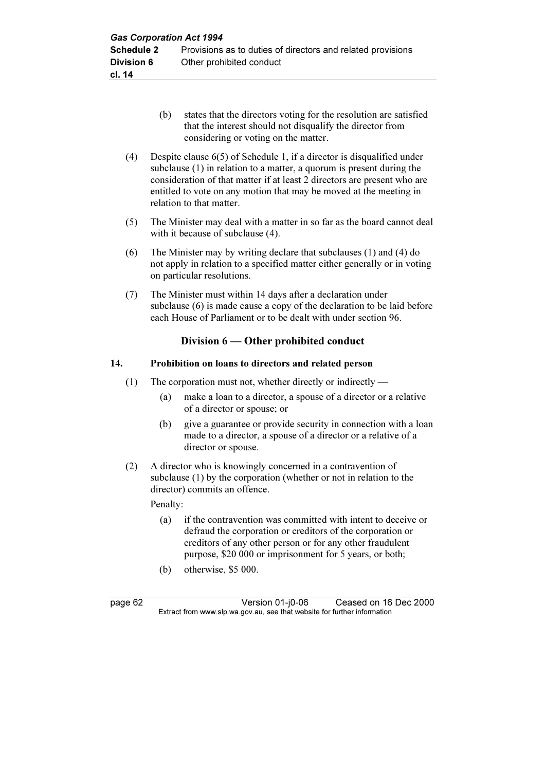- (b) states that the directors voting for the resolution are satisfied that the interest should not disqualify the director from considering or voting on the matter.
- (4) Despite clause 6(5) of Schedule 1, if a director is disqualified under subclause (1) in relation to a matter, a quorum is present during the consideration of that matter if at least 2 directors are present who are entitled to vote on any motion that may be moved at the meeting in relation to that matter.
- (5) The Minister may deal with a matter in so far as the board cannot deal with it because of subclause  $(4)$ .
- (6) The Minister may by writing declare that subclauses (1) and (4) do not apply in relation to a specified matter either generally or in voting on particular resolutions.
- (7) The Minister must within 14 days after a declaration under subclause (6) is made cause a copy of the declaration to be laid before each House of Parliament or to be dealt with under section 96.

## Division 6 — Other prohibited conduct

### 14. Prohibition on loans to directors and related person

- (1) The corporation must not, whether directly or indirectly
	- (a) make a loan to a director, a spouse of a director or a relative of a director or spouse; or
	- (b) give a guarantee or provide security in connection with a loan made to a director, a spouse of a director or a relative of a director or spouse.
- (2) A director who is knowingly concerned in a contravention of subclause (1) by the corporation (whether or not in relation to the director) commits an offence.

Penalty:

- (a) if the contravention was committed with intent to deceive or defraud the corporation or creditors of the corporation or creditors of any other person or for any other fraudulent purpose, \$20 000 or imprisonment for 5 years, or both;
- (b) otherwise, \$5 000.

page 62 Version 01-j0-06 Ceased on 16 Dec 2000<br>Extract from www.slp.wa.gov.au, see that website for further information  $\mathbf{F}$  from which was the set that we besite for further information  $\mathbf{F}$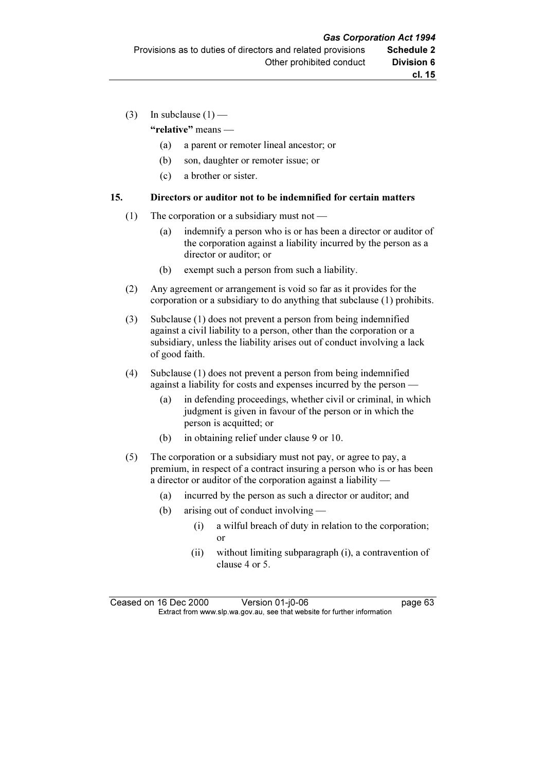(3) In subclause  $(1)$  —

"relative" means —

- (a) a parent or remoter lineal ancestor; or
- (b) son, daughter or remoter issue; or
- (c) a brother or sister.

#### 15. Directors or auditor not to be indemnified for certain matters

- (1) The corporation or a subsidiary must not
	- (a) indemnify a person who is or has been a director or auditor of the corporation against a liability incurred by the person as a director or auditor; or
	- (b) exempt such a person from such a liability.
- (2) Any agreement or arrangement is void so far as it provides for the corporation or a subsidiary to do anything that subclause (1) prohibits.
- (3) Subclause (1) does not prevent a person from being indemnified against a civil liability to a person, other than the corporation or a subsidiary, unless the liability arises out of conduct involving a lack of good faith.
- (4) Subclause (1) does not prevent a person from being indemnified against a liability for costs and expenses incurred by the person —
	- (a) in defending proceedings, whether civil or criminal, in which judgment is given in favour of the person or in which the person is acquitted; or
	- (b) in obtaining relief under clause 9 or 10.
- (5) The corporation or a subsidiary must not pay, or agree to pay, a premium, in respect of a contract insuring a person who is or has been a director or auditor of the corporation against a liability —
	- (a) incurred by the person as such a director or auditor; and
	- (b) arising out of conduct involving
		- (i) a wilful breach of duty in relation to the corporation; or
		- (ii) without limiting subparagraph (i), a contravention of clause 4 or 5.

Ceased on 16 Dec 2000 Version 01-j0-06 page 63<br>Extract from www.slp.wa.gov.au, see that website for further information  $\mathbf{F}$  from which was the set that we besite for further information  $\mathbf{F}$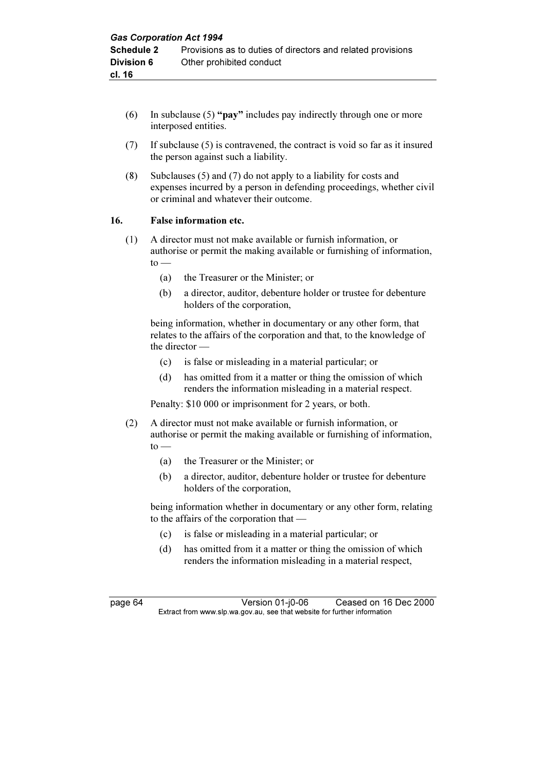- (6) In subclause (5) "pay" includes pay indirectly through one or more interposed entities.
- (7) If subclause (5) is contravened, the contract is void so far as it insured the person against such a liability.
- (8) Subclauses (5) and (7) do not apply to a liability for costs and expenses incurred by a person in defending proceedings, whether civil or criminal and whatever their outcome.

#### 16. False information etc.

- (1) A director must not make available or furnish information, or authorise or permit the making available or furnishing of information,  $to -$ 
	- (a) the Treasurer or the Minister; or
	- (b) a director, auditor, debenture holder or trustee for debenture holders of the corporation,

 being information, whether in documentary or any other form, that relates to the affairs of the corporation and that, to the knowledge of the director —

- (c) is false or misleading in a material particular; or
- (d) has omitted from it a matter or thing the omission of which renders the information misleading in a material respect.

Penalty: \$10 000 or imprisonment for 2 years, or both.

- (2) A director must not make available or furnish information, or authorise or permit the making available or furnishing of information,  $to -$ 
	- (a) the Treasurer or the Minister; or
	- (b) a director, auditor, debenture holder or trustee for debenture holders of the corporation,

 being information whether in documentary or any other form, relating to the affairs of the corporation that —

- (c) is false or misleading in a material particular; or
- (d) has omitted from it a matter or thing the omission of which renders the information misleading in a material respect,

page 64 Version 01-j0-06 Ceased on 16 Dec 2000<br>Extract from www.slp.wa.gov.au, see that website for further information  $\mathbf{F}$  from which was the set that we besite for further information  $\mathbf{F}$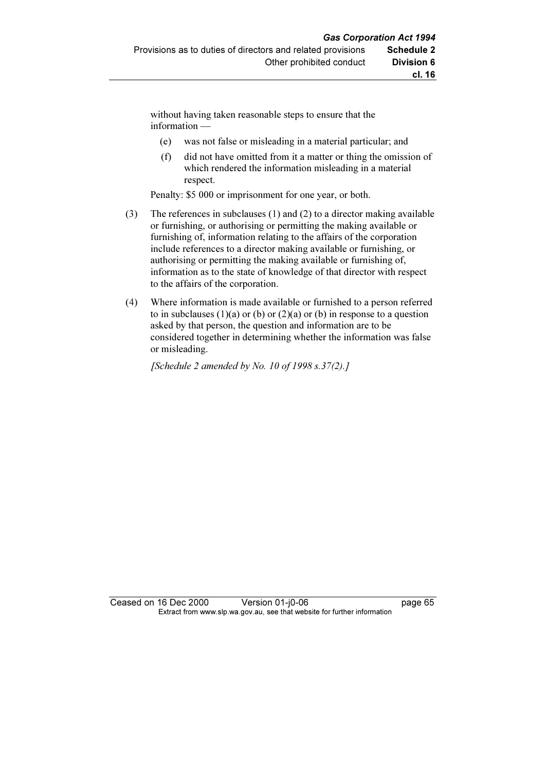without having taken reasonable steps to ensure that the information —

- (e) was not false or misleading in a material particular; and
- (f) did not have omitted from it a matter or thing the omission of which rendered the information misleading in a material respect.

Penalty: \$5 000 or imprisonment for one year, or both.

- (3) The references in subclauses (1) and (2) to a director making available or furnishing, or authorising or permitting the making available or furnishing of, information relating to the affairs of the corporation include references to a director making available or furnishing, or authorising or permitting the making available or furnishing of, information as to the state of knowledge of that director with respect to the affairs of the corporation.
- (4) Where information is made available or furnished to a person referred to in subclauses  $(1)(a)$  or  $(b)$  or  $(2)(a)$  or  $(b)$  in response to a question asked by that person, the question and information are to be considered together in determining whether the information was false or misleading.

[Schedule 2 amended by No. 10 of 1998 s.37(2).]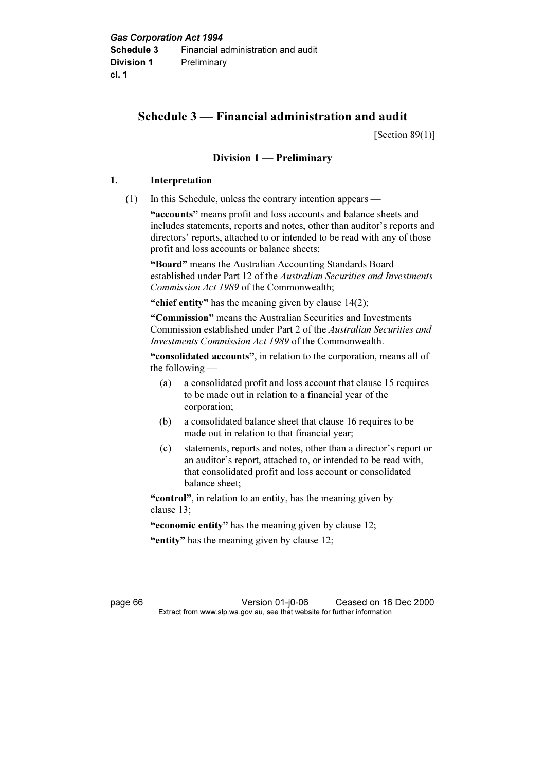# Schedule 3 — Financial administration and audit

[Section  $89(1)$ ]

## Division 1 — Preliminary

## 1. Interpretation

(1) In this Schedule, unless the contrary intention appears —

"accounts" means profit and loss accounts and balance sheets and includes statements, reports and notes, other than auditor's reports and directors' reports, attached to or intended to be read with any of those profit and loss accounts or balance sheets;

 "Board" means the Australian Accounting Standards Board established under Part 12 of the Australian Securities and Investments Commission Act 1989 of the Commonwealth;

"chief entity" has the meaning given by clause  $14(2)$ ;

"Commission" means the Australian Securities and Investments Commission established under Part 2 of the Australian Securities and Investments Commission Act 1989 of the Commonwealth.

 "consolidated accounts", in relation to the corporation, means all of the following —

- (a) a consolidated profit and loss account that clause 15 requires to be made out in relation to a financial year of the corporation;
- (b) a consolidated balance sheet that clause 16 requires to be made out in relation to that financial year;
- (c) statements, reports and notes, other than a director's report or an auditor's report, attached to, or intended to be read with, that consolidated profit and loss account or consolidated balance sheet;

"control", in relation to an entity, has the meaning given by clause 13;

"economic entity" has the meaning given by clause 12;

"entity" has the meaning given by clause 12;

page 66 Version 01-j0-06 Ceased on 16 Dec 2000<br>Extract from www.slp.wa.gov.au, see that website for further information  $\mathbf{F}$  from which was the set that we besite for further information  $\mathbf{F}$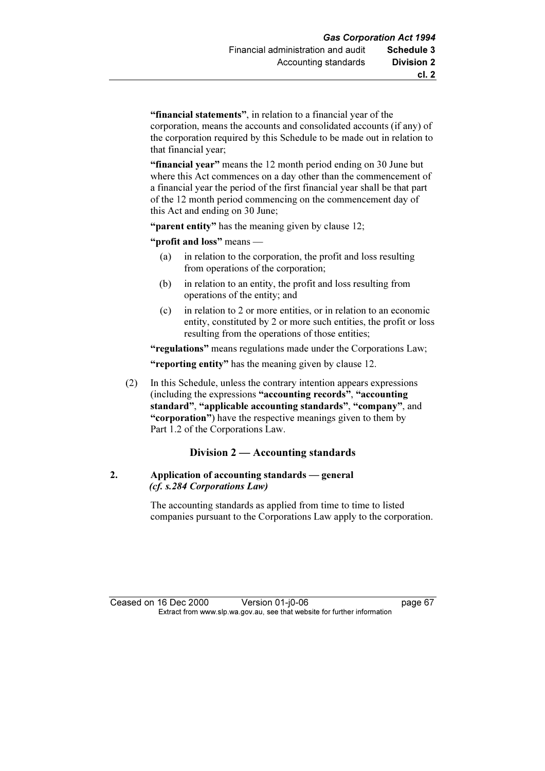"financial statements", in relation to a financial year of the corporation, means the accounts and consolidated accounts (if any) of the corporation required by this Schedule to be made out in relation to that financial year;

"financial year" means the 12 month period ending on 30 June but where this Act commences on a day other than the commencement of a financial year the period of the first financial year shall be that part of the 12 month period commencing on the commencement day of this Act and ending on 30 June;

"**parent entity**" has the meaning given by clause 12;

"profit and loss" means —

- (a) in relation to the corporation, the profit and loss resulting from operations of the corporation;
- (b) in relation to an entity, the profit and loss resulting from operations of the entity; and
- (c) in relation to 2 or more entities, or in relation to an economic entity, constituted by 2 or more such entities, the profit or loss resulting from the operations of those entities;

"regulations" means regulations made under the Corporations Law; "reporting entity" has the meaning given by clause 12.

 (2) In this Schedule, unless the contrary intention appears expressions (including the expressions "accounting records", "accounting standard", "applicable accounting standards", "company", and "corporation") have the respective meanings given to them by Part 1.2 of the Corporations Law.

#### Division 2 — Accounting standards

## 2. Application of accounting standards — general (cf. s.284 Corporations Law)

 The accounting standards as applied from time to time to listed companies pursuant to the Corporations Law apply to the corporation.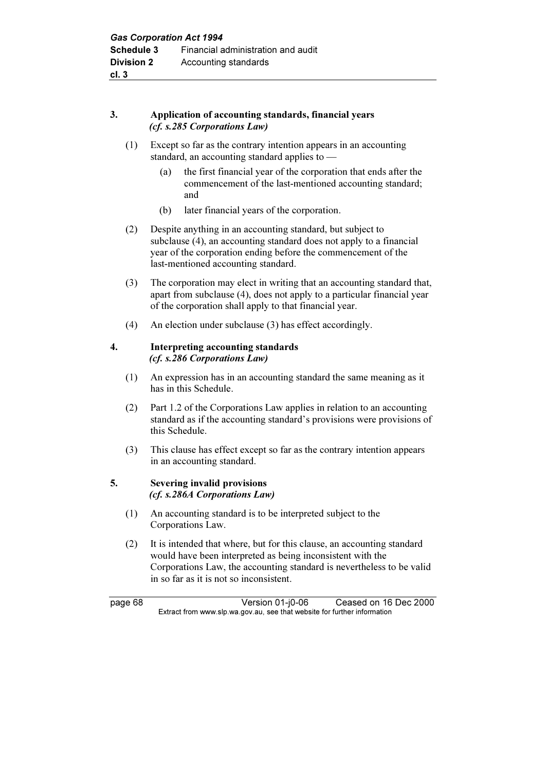## 3. Application of accounting standards, financial years (cf. s.285 Corporations Law)

- (1) Except so far as the contrary intention appears in an accounting standard, an accounting standard applies to —
	- (a) the first financial year of the corporation that ends after the commencement of the last-mentioned accounting standard; and
	- (b) later financial years of the corporation.
- (2) Despite anything in an accounting standard, but subject to subclause (4), an accounting standard does not apply to a financial year of the corporation ending before the commencement of the last-mentioned accounting standard.
- (3) The corporation may elect in writing that an accounting standard that, apart from subclause (4), does not apply to a particular financial year of the corporation shall apply to that financial year.
- (4) An election under subclause (3) has effect accordingly.

#### 4. Interpreting accounting standards (cf. s.286 Corporations Law)

- (1) An expression has in an accounting standard the same meaning as it has in this Schedule.
- (2) Part 1.2 of the Corporations Law applies in relation to an accounting standard as if the accounting standard's provisions were provisions of this Schedule.
- (3) This clause has effect except so far as the contrary intention appears in an accounting standard.

#### 5. Severing invalid provisions (cf. s.286A Corporations Law)

- (1) An accounting standard is to be interpreted subject to the Corporations Law.
- (2) It is intended that where, but for this clause, an accounting standard would have been interpreted as being inconsistent with the Corporations Law, the accounting standard is nevertheless to be valid in so far as it is not so inconsistent.

page 68 Version 01-j0-06 Ceased on 16 Dec 2000<br>Extract from www.slp.wa.gov.au, see that website for further information  $\mathbf{F}$  from which was the set that we besite for further information  $\mathbf{F}$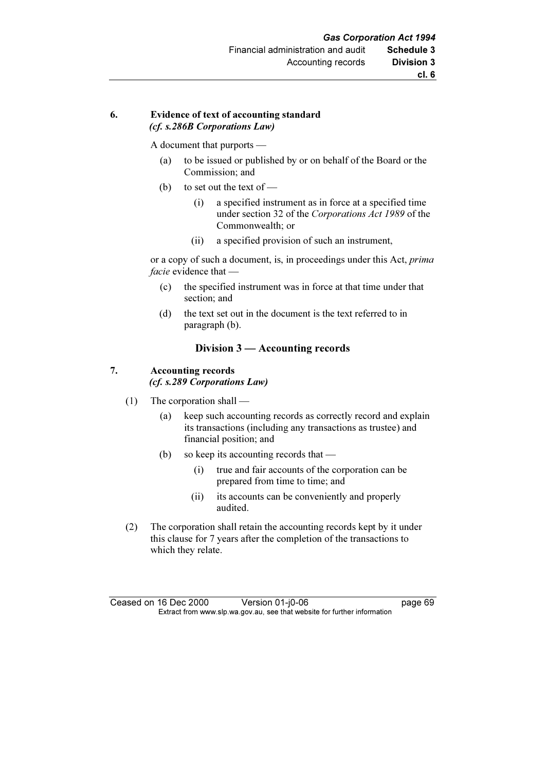## 6. Evidence of text of accounting standard (cf. s.286B Corporations Law)

A document that purports —

- (a) to be issued or published by or on behalf of the Board or the Commission; and
- (b) to set out the text of
	- (i) a specified instrument as in force at a specified time under section 32 of the Corporations Act 1989 of the Commonwealth; or
	- (ii) a specified provision of such an instrument,

 or a copy of such a document, is, in proceedings under this Act, prima facie evidence that -

- (c) the specified instrument was in force at that time under that section; and
- (d) the text set out in the document is the text referred to in paragraph (b).

## Division 3 — Accounting records

#### 7. Accounting records (cf. s.289 Corporations Law)

- (1) The corporation shall
	- (a) keep such accounting records as correctly record and explain its transactions (including any transactions as trustee) and financial position; and
	- (b) so keep its accounting records that
		- (i) true and fair accounts of the corporation can be prepared from time to time; and
		- (ii) its accounts can be conveniently and properly audited.
- (2) The corporation shall retain the accounting records kept by it under this clause for 7 years after the completion of the transactions to which they relate.

Ceased on 16 Dec 2000 Version 01-j0-06 page 69<br>Extract from www.slp.wa.gov.au, see that website for further information  $\mathbf{F}$  from which was the set that we besite for further information  $\mathbf{F}$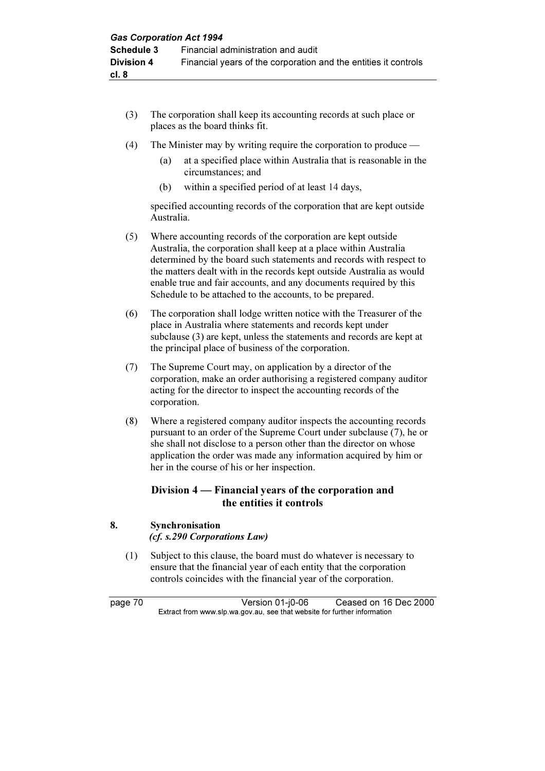- (3) The corporation shall keep its accounting records at such place or places as the board thinks fit.
- (4) The Minister may by writing require the corporation to produce
	- (a) at a specified place within Australia that is reasonable in the circumstances; and
	- (b) within a specified period of at least 14 days,

 specified accounting records of the corporation that are kept outside Australia.

- (5) Where accounting records of the corporation are kept outside Australia, the corporation shall keep at a place within Australia determined by the board such statements and records with respect to the matters dealt with in the records kept outside Australia as would enable true and fair accounts, and any documents required by this Schedule to be attached to the accounts, to be prepared.
- (6) The corporation shall lodge written notice with the Treasurer of the place in Australia where statements and records kept under subclause (3) are kept, unless the statements and records are kept at the principal place of business of the corporation.
- (7) The Supreme Court may, on application by a director of the corporation, make an order authorising a registered company auditor acting for the director to inspect the accounting records of the corporation.
- (8) Where a registered company auditor inspects the accounting records pursuant to an order of the Supreme Court under subclause (7), he or she shall not disclose to a person other than the director on whose application the order was made any information acquired by him or her in the course of his or her inspection.

# Division 4 — Financial years of the corporation and the entities it controls

## 8. Synchronisation (cf. s.290 Corporations Law)

 (1) Subject to this clause, the board must do whatever is necessary to ensure that the financial year of each entity that the corporation controls coincides with the financial year of the corporation.

page 70 Version 01-j0-06 Ceased on 16 Dec 2000<br>Extract from www.slp.wa.gov.au, see that website for further information  $\mathbf{F}$  from which was the set that we besite for further information  $\mathbf{F}$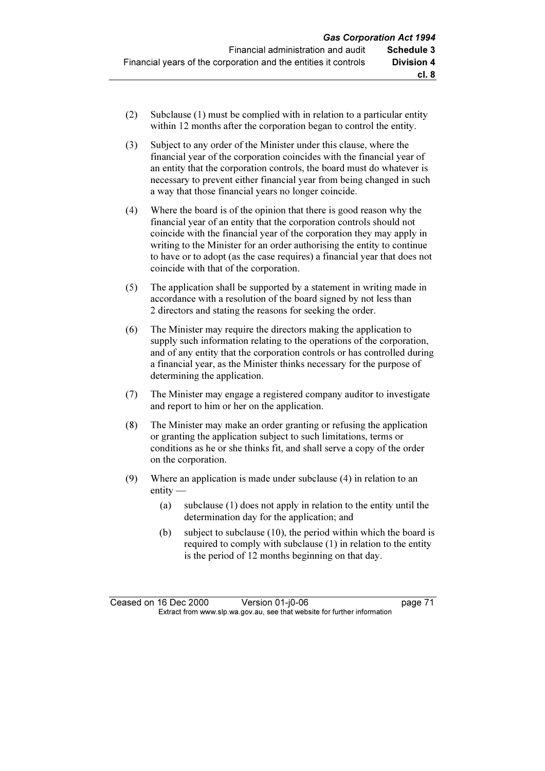- (2) Subclause (1) must be complied with in relation to a particular entity within 12 months after the corporation began to control the entity.
- (3) Subject to any order of the Minister under this clause, where the financial year of the corporation coincides with the financial year of an entity that the corporation controls, the board must do whatever is necessary to prevent either financial year from being changed in such a way that those financial years no longer coincide.
- (4) Where the board is of the opinion that there is good reason why the financial year of an entity that the corporation controls should not coincide with the financial year of the corporation they may apply in writing to the Minister for an order authorising the entity to continue to have or to adopt (as the case requires) a financial year that does not coincide with that of the corporation.
- (5) The application shall be supported by a statement in writing made in accordance with a resolution of the board signed by not less than 2 directors and stating the reasons for seeking the order.
- (6) The Minister may require the directors making the application to supply such information relating to the operations of the corporation, and of any entity that the corporation controls or has controlled during a financial year, as the Minister thinks necessary for the purpose of determining the application.
- (7) The Minister may engage a registered company auditor to investigate and report to him or her on the application.
- (8) The Minister may make an order granting or refusing the application or granting the application subject to such limitations, terms or conditions as he or she thinks fit, and shall serve a copy of the order on the corporation.
- (9) Where an application is made under subclause (4) in relation to an entity —
	- (a) subclause (1) does not apply in relation to the entity until the determination day for the application; and
	- (b) subject to subclause (10), the period within which the board is required to comply with subclause (1) in relation to the entity is the period of 12 months beginning on that day.

Ceased on 16 Dec 2000 Version 01-j0-06 page 71<br>Extract from www.slp.wa.gov.au, see that website for further information  $\mathbf{F}$  from which was the set that we besite for further information  $\mathbf{F}$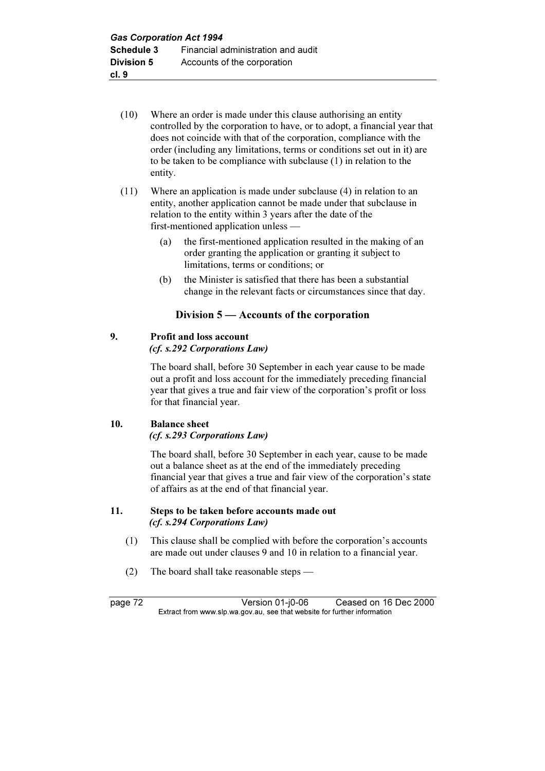- (10) Where an order is made under this clause authorising an entity controlled by the corporation to have, or to adopt, a financial year that does not coincide with that of the corporation, compliance with the order (including any limitations, terms or conditions set out in it) are to be taken to be compliance with subclause (1) in relation to the entity.
- (11) Where an application is made under subclause (4) in relation to an entity, another application cannot be made under that subclause in relation to the entity within 3 years after the date of the first-mentioned application unless —
	- (a) the first-mentioned application resulted in the making of an order granting the application or granting it subject to limitations, terms or conditions; or
	- (b) the Minister is satisfied that there has been a substantial change in the relevant facts or circumstances since that day.

## Division 5 — Accounts of the corporation

## 9. Profit and loss account

(cf. s.292 Corporations Law)

 The board shall, before 30 September in each year cause to be made out a profit and loss account for the immediately preceding financial year that gives a true and fair view of the corporation's profit or loss for that financial year.

#### 10. Balance sheet (cf. s.293 Corporations Law)

 The board shall, before 30 September in each year, cause to be made out a balance sheet as at the end of the immediately preceding financial year that gives a true and fair view of the corporation's state of affairs as at the end of that financial year.

## 11. Steps to be taken before accounts made out (cf. s.294 Corporations Law)

- (1) This clause shall be complied with before the corporation's accounts are made out under clauses 9 and 10 in relation to a financial year.
- (2) The board shall take reasonable steps —

page 72 Version 01-j0-06 Ceased on 16 Dec 2000<br>Extract from www.slp.wa.gov.au, see that website for further information  $\mathbf{F}$  from which was the set that we besite for further information  $\mathbf{F}$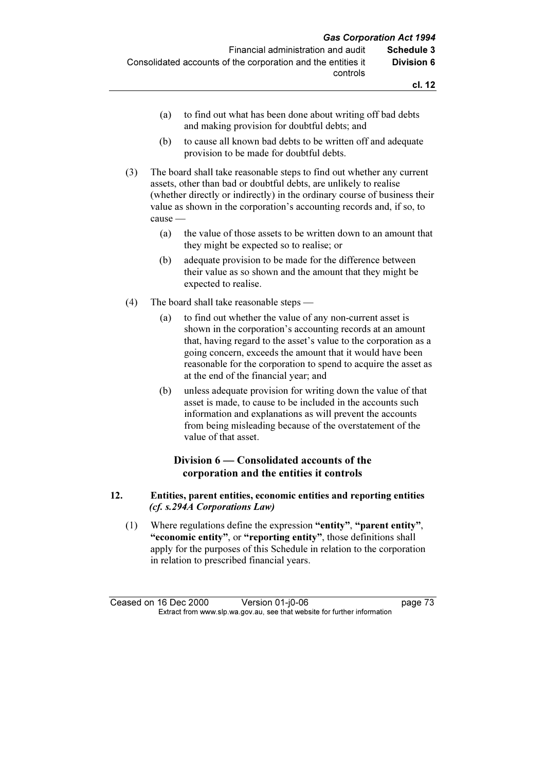- (a) to find out what has been done about writing off bad debts and making provision for doubtful debts; and
- (b) to cause all known bad debts to be written off and adequate provision to be made for doubtful debts.
- (3) The board shall take reasonable steps to find out whether any current assets, other than bad or doubtful debts, are unlikely to realise (whether directly or indirectly) in the ordinary course of business their value as shown in the corporation's accounting records and, if so, to cause —
	- (a) the value of those assets to be written down to an amount that they might be expected so to realise; or
	- (b) adequate provision to be made for the difference between their value as so shown and the amount that they might be expected to realise.
- (4) The board shall take reasonable steps
	- (a) to find out whether the value of any non-current asset is shown in the corporation's accounting records at an amount that, having regard to the asset's value to the corporation as a going concern, exceeds the amount that it would have been reasonable for the corporation to spend to acquire the asset as at the end of the financial year; and
	- (b) unless adequate provision for writing down the value of that asset is made, to cause to be included in the accounts such information and explanations as will prevent the accounts from being misleading because of the overstatement of the value of that asset.

## Division 6 — Consolidated accounts of the corporation and the entities it controls

## 12. Entities, parent entities, economic entities and reporting entities (cf. s.294A Corporations Law)

 (1) Where regulations define the expression "entity", "parent entity", "economic entity", or "reporting entity", those definitions shall apply for the purposes of this Schedule in relation to the corporation in relation to prescribed financial years.

Ceased on 16 Dec 2000 Version 01-j0-06 page 73<br>Extract from www.slp.wa.gov.au, see that website for further information  $\mathbf{F}$  from which was the set that we besite for further information  $\mathbf{F}$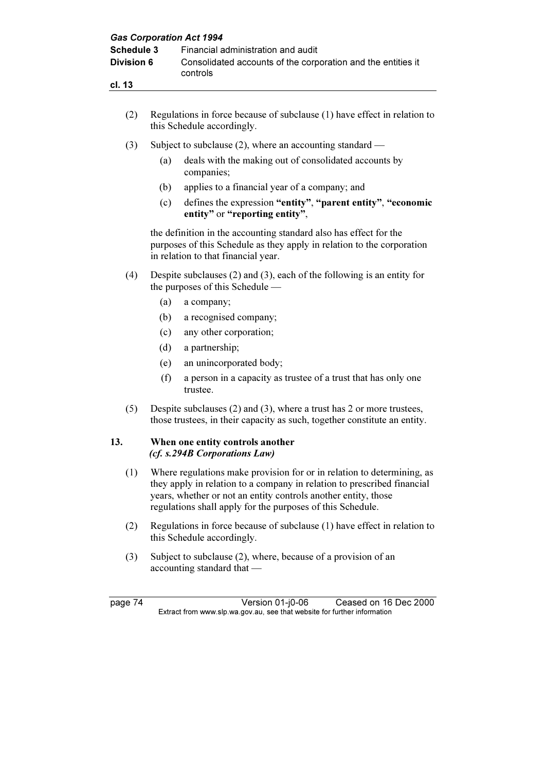| <b>Gas Corporation Act 1994</b><br><b>Schedule 3</b><br><b>Division 6</b><br>cl. 13 |                                                                                                                                                                                                                                                                                   | Financial administration and audit<br>Consolidated accounts of the corporation and the entities it<br>controls                                                                     |  |  |
|-------------------------------------------------------------------------------------|-----------------------------------------------------------------------------------------------------------------------------------------------------------------------------------------------------------------------------------------------------------------------------------|------------------------------------------------------------------------------------------------------------------------------------------------------------------------------------|--|--|
|                                                                                     |                                                                                                                                                                                                                                                                                   |                                                                                                                                                                                    |  |  |
| (2)                                                                                 | Regulations in force because of subclause (1) have effect in relation to<br>this Schedule accordingly.                                                                                                                                                                            |                                                                                                                                                                                    |  |  |
| (3)                                                                                 | Subject to subclause $(2)$ , where an accounting standard —                                                                                                                                                                                                                       |                                                                                                                                                                                    |  |  |
|                                                                                     | (a)                                                                                                                                                                                                                                                                               | deals with the making out of consolidated accounts by<br>companies;                                                                                                                |  |  |
|                                                                                     | (b)                                                                                                                                                                                                                                                                               | applies to a financial year of a company; and                                                                                                                                      |  |  |
|                                                                                     | (c)                                                                                                                                                                                                                                                                               | defines the expression "entity", "parent entity", "economic<br>entity" or "reporting entity",                                                                                      |  |  |
|                                                                                     |                                                                                                                                                                                                                                                                                   | the definition in the accounting standard also has effect for the<br>purposes of this Schedule as they apply in relation to the corporation<br>in relation to that financial year. |  |  |
| (4)                                                                                 | Despite subclauses $(2)$ and $(3)$ , each of the following is an entity for<br>the purposes of this Schedule —                                                                                                                                                                    |                                                                                                                                                                                    |  |  |
|                                                                                     | (a)                                                                                                                                                                                                                                                                               | a company;                                                                                                                                                                         |  |  |
|                                                                                     | (b)                                                                                                                                                                                                                                                                               | a recognised company;                                                                                                                                                              |  |  |
|                                                                                     | (c)                                                                                                                                                                                                                                                                               | any other corporation;                                                                                                                                                             |  |  |
|                                                                                     | (d)                                                                                                                                                                                                                                                                               | a partnership;                                                                                                                                                                     |  |  |
|                                                                                     | (e)                                                                                                                                                                                                                                                                               | an unincorporated body;                                                                                                                                                            |  |  |
|                                                                                     | (f)                                                                                                                                                                                                                                                                               | a person in a capacity as trustee of a trust that has only one<br>trustee.                                                                                                         |  |  |
| (5)                                                                                 | Despite subclauses $(2)$ and $(3)$ , where a trust has 2 or more trustees,<br>those trustees, in their capacity as such, together constitute an entity.                                                                                                                           |                                                                                                                                                                                    |  |  |
| 13.                                                                                 | When one entity controls another<br>(cf. s.294B Corporations Law)                                                                                                                                                                                                                 |                                                                                                                                                                                    |  |  |
| (1)                                                                                 | Where regulations make provision for or in relation to determining, as<br>they apply in relation to a company in relation to prescribed financial<br>years, whether or not an entity controls another entity, those<br>regulations shall apply for the purposes of this Schedule. |                                                                                                                                                                                    |  |  |
| (2)                                                                                 | Regulations in force because of subclause (1) have effect in relation to<br>this Schedule accordingly.                                                                                                                                                                            |                                                                                                                                                                                    |  |  |
| (3)                                                                                 | Subject to subclause (2), where, because of a provision of an<br>$accounting standard that -$                                                                                                                                                                                     |                                                                                                                                                                                    |  |  |
| page 74                                                                             |                                                                                                                                                                                                                                                                                   | Version 01-j0-06<br>Ceased on 16 Dec 2000<br>Extract from www.slp.wa.gov.au, see that website for further information                                                              |  |  |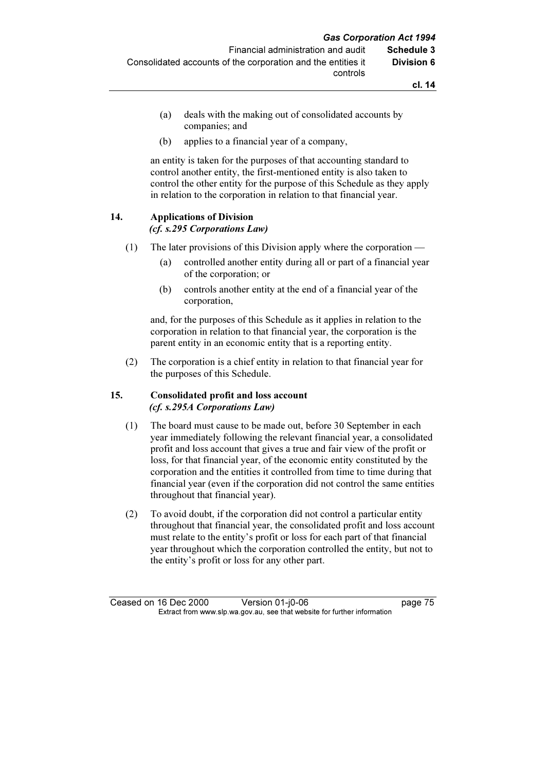- (a) deals with the making out of consolidated accounts by companies; and
- (b) applies to a financial year of a company,

 an entity is taken for the purposes of that accounting standard to control another entity, the first-mentioned entity is also taken to control the other entity for the purpose of this Schedule as they apply in relation to the corporation in relation to that financial year.

#### 14. Applications of Division (cf. s.295 Corporations Law)

# (1) The later provisions of this Division apply where the corporation —

- (a) controlled another entity during all or part of a financial year of the corporation; or
- (b) controls another entity at the end of a financial year of the corporation,

 and, for the purposes of this Schedule as it applies in relation to the corporation in relation to that financial year, the corporation is the parent entity in an economic entity that is a reporting entity.

 (2) The corporation is a chief entity in relation to that financial year for the purposes of this Schedule.

## 15. Consolidated profit and loss account (cf. s.295A Corporations Law)

- (1) The board must cause to be made out, before 30 September in each year immediately following the relevant financial year, a consolidated profit and loss account that gives a true and fair view of the profit or loss, for that financial year, of the economic entity constituted by the corporation and the entities it controlled from time to time during that financial year (even if the corporation did not control the same entities throughout that financial year).
- (2) To avoid doubt, if the corporation did not control a particular entity throughout that financial year, the consolidated profit and loss account must relate to the entity's profit or loss for each part of that financial year throughout which the corporation controlled the entity, but not to the entity's profit or loss for any other part.

Ceased on 16 Dec 2000 Version 01-j0-06 page 75<br>Extract from www.slp.wa.gov.au, see that website for further information  $\mathbf{F}$  from which was the set that we besite for further information  $\mathbf{F}$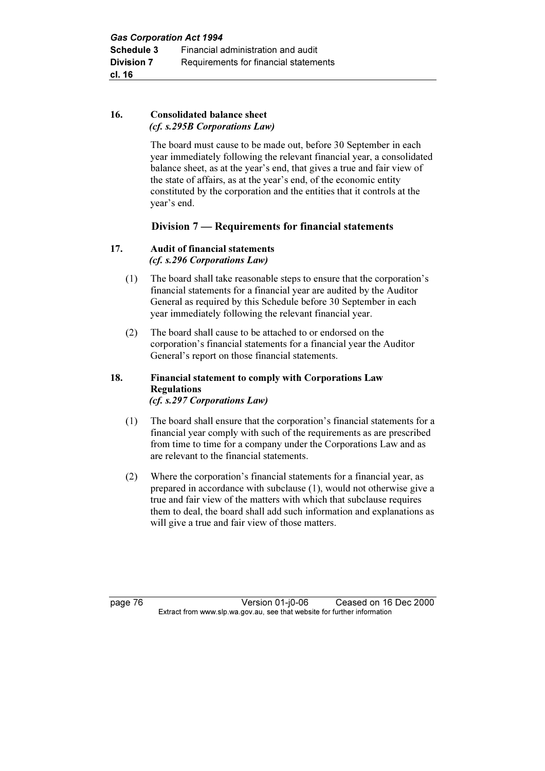## 16. Consolidated balance sheet (cf. s.295B Corporations Law)

 The board must cause to be made out, before 30 September in each year immediately following the relevant financial year, a consolidated balance sheet, as at the year's end, that gives a true and fair view of the state of affairs, as at the year's end, of the economic entity constituted by the corporation and the entities that it controls at the year's end.

## Division 7 — Requirements for financial statements

## 17. Audit of financial statements (cf. s.296 Corporations Law)

- (1) The board shall take reasonable steps to ensure that the corporation's financial statements for a financial year are audited by the Auditor General as required by this Schedule before 30 September in each year immediately following the relevant financial year.
- (2) The board shall cause to be attached to or endorsed on the corporation's financial statements for a financial year the Auditor General's report on those financial statements.

#### 18. Financial statement to comply with Corporations Law Regulations (cf. s.297 Corporations Law)

- (1) The board shall ensure that the corporation's financial statements for a financial year comply with such of the requirements as are prescribed from time to time for a company under the Corporations Law and as are relevant to the financial statements.
- (2) Where the corporation's financial statements for a financial year, as prepared in accordance with subclause (1), would not otherwise give a true and fair view of the matters with which that subclause requires them to deal, the board shall add such information and explanations as will give a true and fair view of those matters.

page 76 Version 01-j0-06 Ceased on 16 Dec 2000<br>Extract from www.slp.wa.gov.au, see that website for further information  $\mathbf{F}$  from which was the set that we besite for further information  $\mathbf{F}$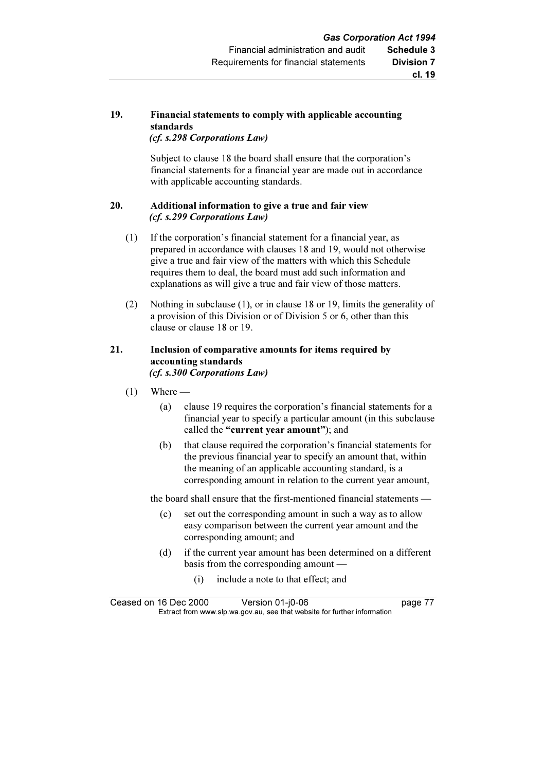#### 19. Financial statements to comply with applicable accounting standards (cf. s.298 Corporations Law)

 Subject to clause 18 the board shall ensure that the corporation's financial statements for a financial year are made out in accordance with applicable accounting standards.

## 20. Additional information to give a true and fair view (cf. s.299 Corporations Law)

- (1) If the corporation's financial statement for a financial year, as prepared in accordance with clauses 18 and 19, would not otherwise give a true and fair view of the matters with which this Schedule requires them to deal, the board must add such information and explanations as will give a true and fair view of those matters.
- (2) Nothing in subclause (1), or in clause 18 or 19, limits the generality of a provision of this Division or of Division 5 or 6, other than this clause or clause 18 or 19.

## 21. Inclusion of comparative amounts for items required by accounting standards (cf. s.300 Corporations Law)

- $(1)$  Where
	- (a) clause 19 requires the corporation's financial statements for a financial year to specify a particular amount (in this subclause called the "current year amount"); and
	- (b) that clause required the corporation's financial statements for the previous financial year to specify an amount that, within the meaning of an applicable accounting standard, is a corresponding amount in relation to the current year amount,

the board shall ensure that the first-mentioned financial statements —

- (c) set out the corresponding amount in such a way as to allow easy comparison between the current year amount and the corresponding amount; and
- (d) if the current year amount has been determined on a different basis from the corresponding amount —
	- (i) include a note to that effect; and

Ceased on 16 Dec 2000 Version 01-j0-06 page 77<br>Extract from www.slp.wa.gov.au, see that website for further information  $\mathbf{F}$  from which was the set that we besite for further information  $\mathbf{F}$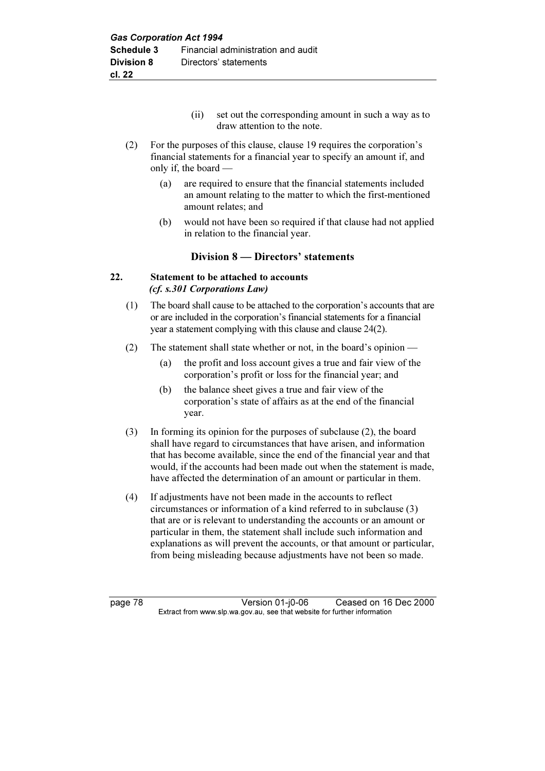- (ii) set out the corresponding amount in such a way as to draw attention to the note.
- (2) For the purposes of this clause, clause 19 requires the corporation's financial statements for a financial year to specify an amount if, and only if, the board —
	- (a) are required to ensure that the financial statements included an amount relating to the matter to which the first-mentioned amount relates; and
	- (b) would not have been so required if that clause had not applied in relation to the financial year.

## Division 8 — Directors' statements

## 22. Statement to be attached to accounts (cf. s.301 Corporations Law)

- (1) The board shall cause to be attached to the corporation's accounts that are or are included in the corporation's financial statements for a financial year a statement complying with this clause and clause 24(2).
- (2) The statement shall state whether or not, in the board's opinion
	- (a) the profit and loss account gives a true and fair view of the corporation's profit or loss for the financial year; and
	- (b) the balance sheet gives a true and fair view of the corporation's state of affairs as at the end of the financial year.
- (3) In forming its opinion for the purposes of subclause (2), the board shall have regard to circumstances that have arisen, and information that has become available, since the end of the financial year and that would, if the accounts had been made out when the statement is made, have affected the determination of an amount or particular in them.
- (4) If adjustments have not been made in the accounts to reflect circumstances or information of a kind referred to in subclause (3) that are or is relevant to understanding the accounts or an amount or particular in them, the statement shall include such information and explanations as will prevent the accounts, or that amount or particular, from being misleading because adjustments have not been so made.

page 78 Version 01-j0-06 Ceased on 16 Dec 2000<br>Extract from www.slp.wa.gov.au, see that website for further information  $\mathbf{F}$  from which was the set that we besite for further information  $\mathbf{F}$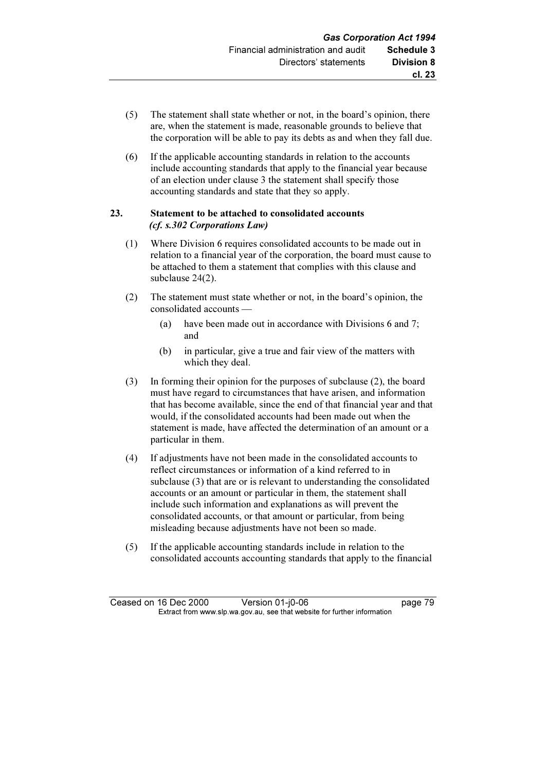- (5) The statement shall state whether or not, in the board's opinion, there are, when the statement is made, reasonable grounds to believe that the corporation will be able to pay its debts as and when they fall due.
- (6) If the applicable accounting standards in relation to the accounts include accounting standards that apply to the financial year because of an election under clause 3 the statement shall specify those accounting standards and state that they so apply.

#### 23. Statement to be attached to consolidated accounts (cf. s.302 Corporations Law)

- (1) Where Division 6 requires consolidated accounts to be made out in relation to a financial year of the corporation, the board must cause to be attached to them a statement that complies with this clause and subclause 24(2).
- (2) The statement must state whether or not, in the board's opinion, the consolidated accounts —
	- (a) have been made out in accordance with Divisions 6 and 7; and
	- (b) in particular, give a true and fair view of the matters with which they deal.
- (3) In forming their opinion for the purposes of subclause (2), the board must have regard to circumstances that have arisen, and information that has become available, since the end of that financial year and that would, if the consolidated accounts had been made out when the statement is made, have affected the determination of an amount or a particular in them.
- (4) If adjustments have not been made in the consolidated accounts to reflect circumstances or information of a kind referred to in subclause (3) that are or is relevant to understanding the consolidated accounts or an amount or particular in them, the statement shall include such information and explanations as will prevent the consolidated accounts, or that amount or particular, from being misleading because adjustments have not been so made.
- (5) If the applicable accounting standards include in relation to the consolidated accounts accounting standards that apply to the financial

Ceased on 16 Dec 2000 Version 01-j0-06 page 79<br>Extract from www.slp.wa.gov.au, see that website for further information  $\mathbf{F}$  from which was the set that we besite for further information  $\mathbf{F}$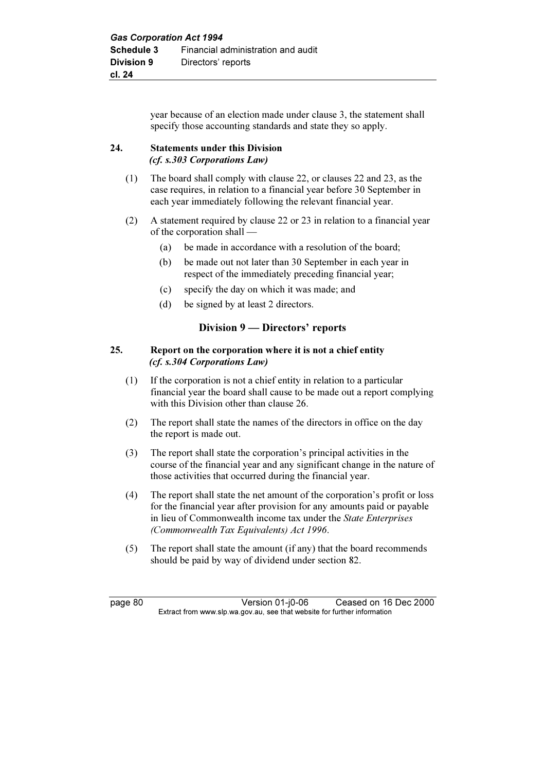year because of an election made under clause 3, the statement shall specify those accounting standards and state they so apply.

#### 24. Statements under this Division (cf. s.303 Corporations Law)

- (1) The board shall comply with clause 22, or clauses 22 and 23, as the case requires, in relation to a financial year before 30 September in each year immediately following the relevant financial year.
- (2) A statement required by clause 22 or 23 in relation to a financial year of the corporation shall —
	- (a) be made in accordance with a resolution of the board;
	- (b) be made out not later than 30 September in each year in respect of the immediately preceding financial year;
	- (c) specify the day on which it was made; and
	- (d) be signed by at least 2 directors.

## Division 9 — Directors' reports

#### 25. Report on the corporation where it is not a chief entity (cf. s.304 Corporations Law)

- (1) If the corporation is not a chief entity in relation to a particular financial year the board shall cause to be made out a report complying with this Division other than clause 26.
- (2) The report shall state the names of the directors in office on the day the report is made out.
- (3) The report shall state the corporation's principal activities in the course of the financial year and any significant change in the nature of those activities that occurred during the financial year.
- (4) The report shall state the net amount of the corporation's profit or loss for the financial year after provision for any amounts paid or payable in lieu of Commonwealth income tax under the State Enterprises (Commonwealth Tax Equivalents) Act 1996.
- (5) The report shall state the amount (if any) that the board recommends should be paid by way of dividend under section 82.

page 80 Version 01-j0-06 Ceased on 16 Dec 2000<br>Extract from www.slp.wa.gov.au, see that website for further information  $\mathbf{F}$  from which was the set that we besite for further information  $\mathbf{F}$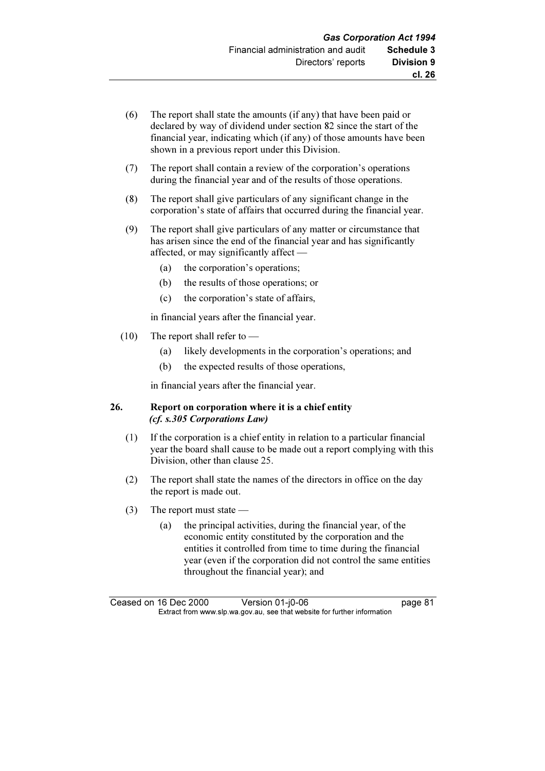- (6) The report shall state the amounts (if any) that have been paid or declared by way of dividend under section 82 since the start of the financial year, indicating which (if any) of those amounts have been shown in a previous report under this Division.
- (7) The report shall contain a review of the corporation's operations during the financial year and of the results of those operations.
- (8) The report shall give particulars of any significant change in the corporation's state of affairs that occurred during the financial year.
- (9) The report shall give particulars of any matter or circumstance that has arisen since the end of the financial year and has significantly affected, or may significantly affect —
	- (a) the corporation's operations;
	- (b) the results of those operations; or
	- (c) the corporation's state of affairs,

in financial years after the financial year.

- (10) The report shall refer to
	- (a) likely developments in the corporation's operations; and
	- (b) the expected results of those operations,

in financial years after the financial year.

## 26. Report on corporation where it is a chief entity (cf. s.305 Corporations Law)

- (1) If the corporation is a chief entity in relation to a particular financial year the board shall cause to be made out a report complying with this Division, other than clause 25.
- (2) The report shall state the names of the directors in office on the day the report is made out.
- (3) The report must state
	- (a) the principal activities, during the financial year, of the economic entity constituted by the corporation and the entities it controlled from time to time during the financial year (even if the corporation did not control the same entities throughout the financial year); and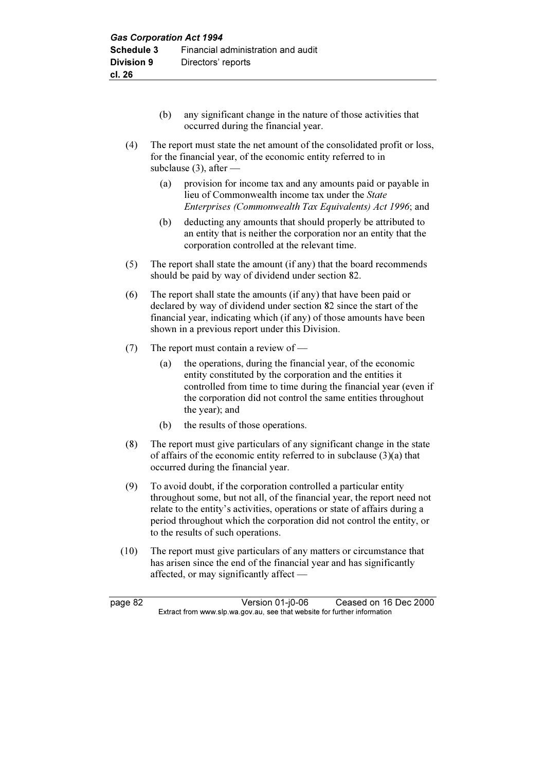- (b) any significant change in the nature of those activities that occurred during the financial year.
- (4) The report must state the net amount of the consolidated profit or loss, for the financial year, of the economic entity referred to in subclause (3), after —
	- (a) provision for income tax and any amounts paid or payable in lieu of Commonwealth income tax under the State Enterprises (Commonwealth Tax Equivalents) Act 1996; and
	- (b) deducting any amounts that should properly be attributed to an entity that is neither the corporation nor an entity that the corporation controlled at the relevant time.
- (5) The report shall state the amount (if any) that the board recommends should be paid by way of dividend under section 82.
- (6) The report shall state the amounts (if any) that have been paid or declared by way of dividend under section 82 since the start of the financial year, indicating which (if any) of those amounts have been shown in a previous report under this Division.
- (7) The report must contain a review of
	- (a) the operations, during the financial year, of the economic entity constituted by the corporation and the entities it controlled from time to time during the financial year (even if the corporation did not control the same entities throughout the year); and
	- (b) the results of those operations.
- (8) The report must give particulars of any significant change in the state of affairs of the economic entity referred to in subclause (3)(a) that occurred during the financial year.
- (9) To avoid doubt, if the corporation controlled a particular entity throughout some, but not all, of the financial year, the report need not relate to the entity's activities, operations or state of affairs during a period throughout which the corporation did not control the entity, or to the results of such operations.
- (10) The report must give particulars of any matters or circumstance that has arisen since the end of the financial year and has significantly affected, or may significantly affect —

page 82 Version 01-j0-06 Ceased on 16 Dec 2000<br>Extract from www.slp.wa.gov.au, see that website for further information  $\mathbf{F}$  from which was the set that we besite for further information  $\mathbf{F}$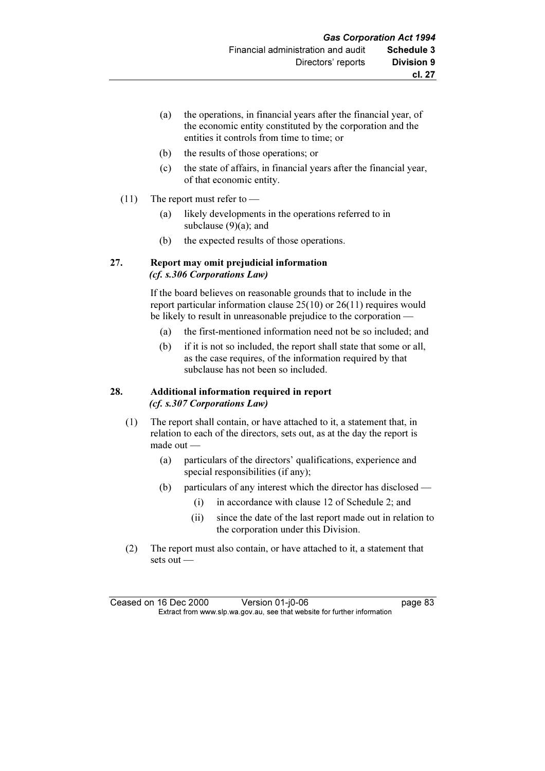- (a) the operations, in financial years after the financial year, of the economic entity constituted by the corporation and the entities it controls from time to time; or
- (b) the results of those operations; or
- (c) the state of affairs, in financial years after the financial year, of that economic entity.
- (11) The report must refer to
	- (a) likely developments in the operations referred to in subclause (9)(a); and
	- (b) the expected results of those operations.

#### 27. Report may omit prejudicial information (cf. s.306 Corporations Law)

 If the board believes on reasonable grounds that to include in the report particular information clause 25(10) or 26(11) requires would be likely to result in unreasonable prejudice to the corporation —

- (a) the first-mentioned information need not be so included; and
- (b) if it is not so included, the report shall state that some or all, as the case requires, of the information required by that subclause has not been so included.

## 28. Additional information required in report (cf. s.307 Corporations Law)

- (1) The report shall contain, or have attached to it, a statement that, in relation to each of the directors, sets out, as at the day the report is made out —
	- (a) particulars of the directors' qualifications, experience and special responsibilities (if any);
	- (b) particulars of any interest which the director has disclosed
		- (i) in accordance with clause 12 of Schedule 2; and
		- (ii) since the date of the last report made out in relation to the corporation under this Division.
- (2) The report must also contain, or have attached to it, a statement that sets out —

Ceased on 16 Dec 2000 Version 01-j0-06 page 83<br>Extract from www.slp.wa.gov.au, see that website for further information  $\mathbf{F}$  from which was the set that we besite for further information  $\mathbf{F}$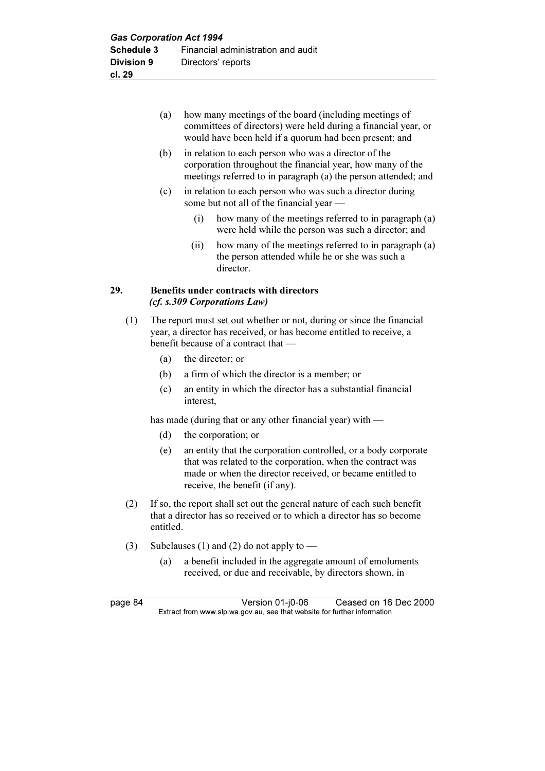- (a) how many meetings of the board (including meetings of committees of directors) were held during a financial year, or would have been held if a quorum had been present; and
- (b) in relation to each person who was a director of the corporation throughout the financial year, how many of the meetings referred to in paragraph (a) the person attended; and
- (c) in relation to each person who was such a director during some but not all of the financial year —
	- (i) how many of the meetings referred to in paragraph (a) were held while the person was such a director; and
	- (ii) how many of the meetings referred to in paragraph (a) the person attended while he or she was such a director.

#### 29. Benefits under contracts with directors (cf. s.309 Corporations Law)

- (1) The report must set out whether or not, during or since the financial year, a director has received, or has become entitled to receive, a benefit because of a contract that —
	- (a) the director; or
	- (b) a firm of which the director is a member; or
	- (c) an entity in which the director has a substantial financial interest,

has made (during that or any other financial year) with —

- (d) the corporation; or
- (e) an entity that the corporation controlled, or a body corporate that was related to the corporation, when the contract was made or when the director received, or became entitled to receive, the benefit (if any).
- (2) If so, the report shall set out the general nature of each such benefit that a director has so received or to which a director has so become entitled.
- (3) Subclauses (1) and (2) do not apply to
	- (a) a benefit included in the aggregate amount of emoluments received, or due and receivable, by directors shown, in

page 84 Version 01-j0-06 Ceased on 16 Dec 2000<br>Extract from www.slp.wa.gov.au, see that website for further information  $\mathbf{F}$  from which was the set that we besite for further information  $\mathbf{F}$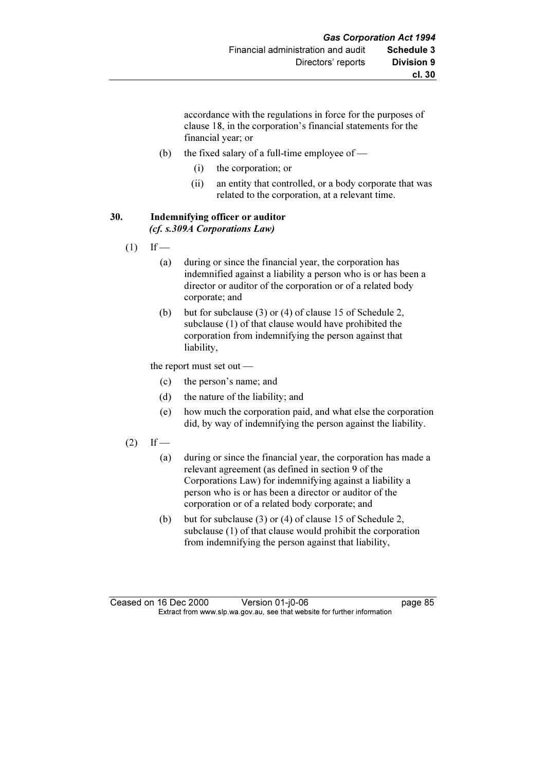accordance with the regulations in force for the purposes of clause 18, in the corporation's financial statements for the financial year; or

- (b) the fixed salary of a full-time employee of
	- (i) the corporation; or
	- (ii) an entity that controlled, or a body corporate that was related to the corporation, at a relevant time.

#### 30. Indemnifying officer or auditor (cf. s.309A Corporations Law)

- $(1)$  If
	- (a) during or since the financial year, the corporation has indemnified against a liability a person who is or has been a director or auditor of the corporation or of a related body corporate; and
	- (b) but for subclause (3) or (4) of clause 15 of Schedule 2, subclause (1) of that clause would have prohibited the corporation from indemnifying the person against that liability,

the report must set out —

- (c) the person's name; and
- (d) the nature of the liability; and
- (e) how much the corporation paid, and what else the corporation did, by way of indemnifying the person against the liability.

#### $(2)$  If —

- (a) during or since the financial year, the corporation has made a relevant agreement (as defined in section 9 of the Corporations Law) for indemnifying against a liability a person who is or has been a director or auditor of the corporation or of a related body corporate; and
- (b) but for subclause (3) or (4) of clause 15 of Schedule 2, subclause (1) of that clause would prohibit the corporation from indemnifying the person against that liability,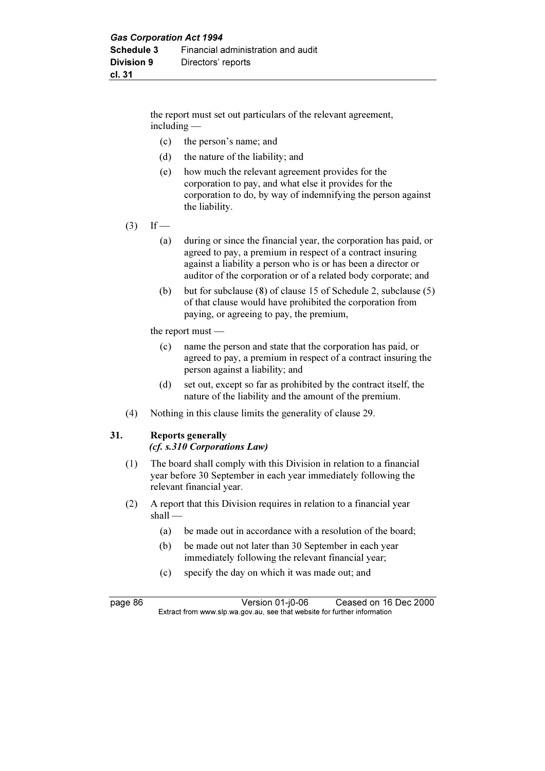the report must set out particulars of the relevant agreement, including —

- (c) the person's name; and
- (d) the nature of the liability; and
- (e) how much the relevant agreement provides for the corporation to pay, and what else it provides for the corporation to do, by way of indemnifying the person against the liability.
- $(3)$  If
	- (a) during or since the financial year, the corporation has paid, or agreed to pay, a premium in respect of a contract insuring against a liability a person who is or has been a director or auditor of the corporation or of a related body corporate; and
	- (b) but for subclause (8) of clause 15 of Schedule 2, subclause (5) of that clause would have prohibited the corporation from paying, or agreeing to pay, the premium,

the report must —

- (c) name the person and state that the corporation has paid, or agreed to pay, a premium in respect of a contract insuring the person against a liability; and
- (d) set out, except so far as prohibited by the contract itself, the nature of the liability and the amount of the premium.
- (4) Nothing in this clause limits the generality of clause 29.

#### 31. Reports generally

(cf. s.310 Corporations Law)

- (1) The board shall comply with this Division in relation to a financial year before 30 September in each year immediately following the relevant financial year.
- (2) A report that this Division requires in relation to a financial year shall —
	- (a) be made out in accordance with a resolution of the board;
	- (b) be made out not later than 30 September in each year immediately following the relevant financial year;
	- (c) specify the day on which it was made out; and

page 86 Version 01-j0-06 Ceased on 16 Dec 2000<br>Extract from www.slp.wa.gov.au, see that website for further information  $\mathbf{F}$  from which was the set that we besite for further information  $\mathbf{F}$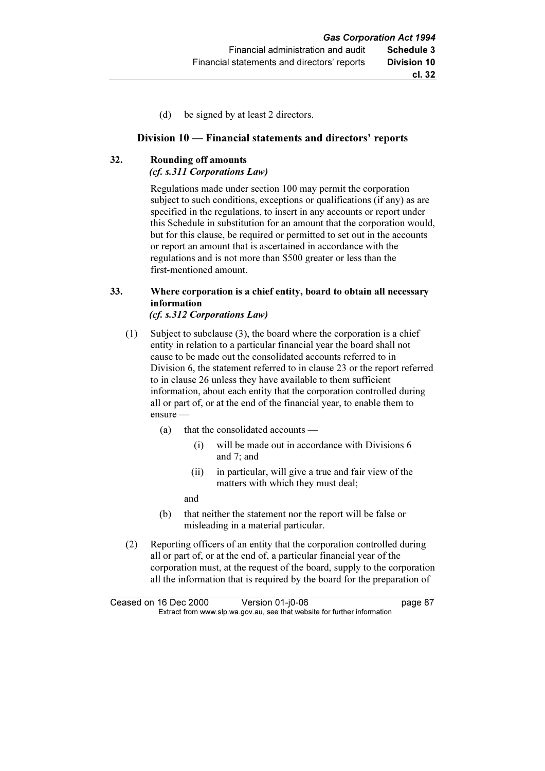(d) be signed by at least 2 directors.

## Division 10 — Financial statements and directors' reports

# 32. Rounding off amounts

(cf. s.311 Corporations Law)

 Regulations made under section 100 may permit the corporation subject to such conditions, exceptions or qualifications (if any) as are specified in the regulations, to insert in any accounts or report under this Schedule in substitution for an amount that the corporation would, but for this clause, be required or permitted to set out in the accounts or report an amount that is ascertained in accordance with the regulations and is not more than \$500 greater or less than the first-mentioned amount.

#### 33. Where corporation is a chief entity, board to obtain all necessary information (cf. s.312 Corporations Law)

- (1) Subject to subclause (3), the board where the corporation is a chief entity in relation to a particular financial year the board shall not cause to be made out the consolidated accounts referred to in Division 6, the statement referred to in clause 23 or the report referred to in clause 26 unless they have available to them sufficient information, about each entity that the corporation controlled during all or part of, or at the end of the financial year, to enable them to ensure —
	- (a) that the consolidated accounts
		- (i) will be made out in accordance with Divisions 6 and 7; and
		- (ii) in particular, will give a true and fair view of the matters with which they must deal;
		- and
	- (b) that neither the statement nor the report will be false or misleading in a material particular.
- (2) Reporting officers of an entity that the corporation controlled during all or part of, or at the end of, a particular financial year of the corporation must, at the request of the board, supply to the corporation all the information that is required by the board for the preparation of

Ceased on 16 Dec 2000 Version 01-j0-06 page 87<br>Extract from www.slp.wa.gov.au, see that website for further information  $\mathbf{F}$  from which was the set that we besite for further information  $\mathbf{F}$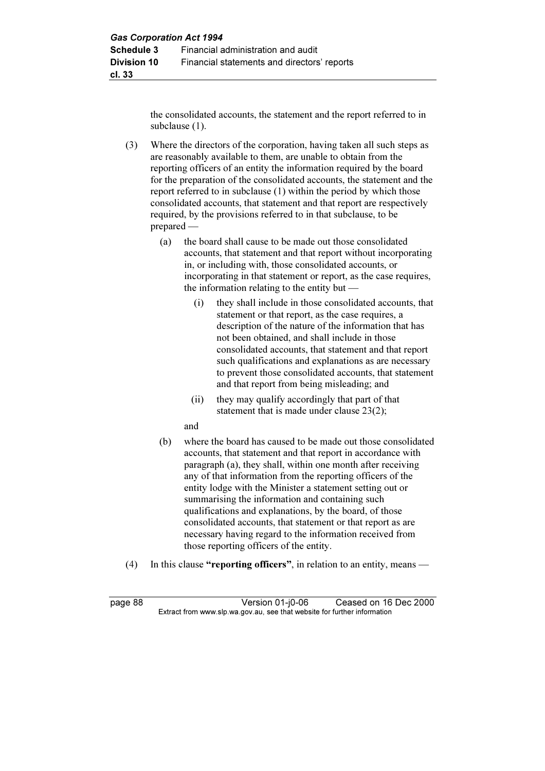the consolidated accounts, the statement and the report referred to in subclause (1).

 (3) Where the directors of the corporation, having taken all such steps as are reasonably available to them, are unable to obtain from the reporting officers of an entity the information required by the board for the preparation of the consolidated accounts, the statement and the report referred to in subclause (1) within the period by which those consolidated accounts, that statement and that report are respectively required, by the provisions referred to in that subclause, to be prepared —

- (a) the board shall cause to be made out those consolidated accounts, that statement and that report without incorporating in, or including with, those consolidated accounts, or incorporating in that statement or report, as the case requires, the information relating to the entity but —
	- (i) they shall include in those consolidated accounts, that statement or that report, as the case requires, a description of the nature of the information that has not been obtained, and shall include in those consolidated accounts, that statement and that report such qualifications and explanations as are necessary to prevent those consolidated accounts, that statement and that report from being misleading; and
	- (ii) they may qualify accordingly that part of that statement that is made under clause 23(2);

and

- (b) where the board has caused to be made out those consolidated accounts, that statement and that report in accordance with paragraph (a), they shall, within one month after receiving any of that information from the reporting officers of the entity lodge with the Minister a statement setting out or summarising the information and containing such qualifications and explanations, by the board, of those consolidated accounts, that statement or that report as are necessary having regard to the information received from those reporting officers of the entity.
- (4) In this clause "reporting officers", in relation to an entity, means —

page 88 Version 01-j0-06 Ceased on 16 Dec 2000<br>Extract from www.slp.wa.gov.au, see that website for further information  $\mathbf{F}$  from which was the set that we besite for further information  $\mathbf{F}$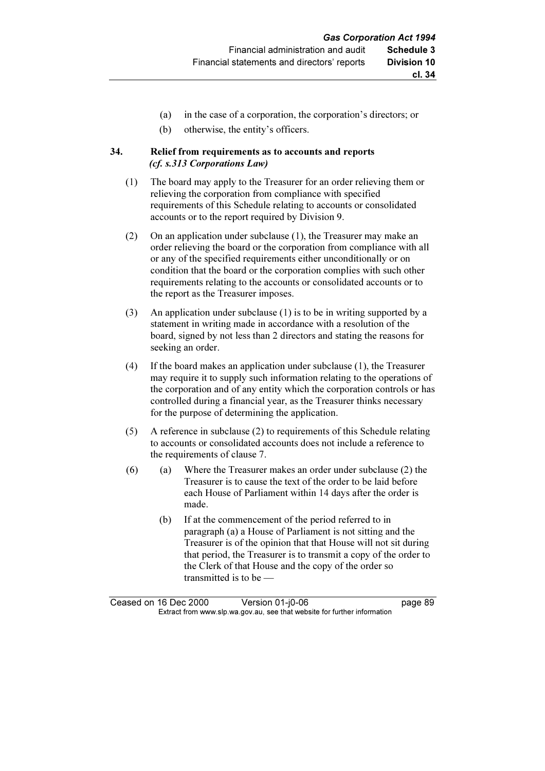- (a) in the case of a corporation, the corporation's directors; or
- (b) otherwise, the entity's officers.

## 34. Relief from requirements as to accounts and reports (cf. s.313 Corporations Law)

- (1) The board may apply to the Treasurer for an order relieving them or relieving the corporation from compliance with specified requirements of this Schedule relating to accounts or consolidated accounts or to the report required by Division 9.
- (2) On an application under subclause (1), the Treasurer may make an order relieving the board or the corporation from compliance with all or any of the specified requirements either unconditionally or on condition that the board or the corporation complies with such other requirements relating to the accounts or consolidated accounts or to the report as the Treasurer imposes.
- (3) An application under subclause (1) is to be in writing supported by a statement in writing made in accordance with a resolution of the board, signed by not less than 2 directors and stating the reasons for seeking an order.
- (4) If the board makes an application under subclause (1), the Treasurer may require it to supply such information relating to the operations of the corporation and of any entity which the corporation controls or has controlled during a financial year, as the Treasurer thinks necessary for the purpose of determining the application.
- (5) A reference in subclause (2) to requirements of this Schedule relating to accounts or consolidated accounts does not include a reference to the requirements of clause 7.
- (6) (a) Where the Treasurer makes an order under subclause (2) the Treasurer is to cause the text of the order to be laid before each House of Parliament within 14 days after the order is made.
	- (b) If at the commencement of the period referred to in paragraph (a) a House of Parliament is not sitting and the Treasurer is of the opinion that that House will not sit during that period, the Treasurer is to transmit a copy of the order to the Clerk of that House and the copy of the order so transmitted is to be —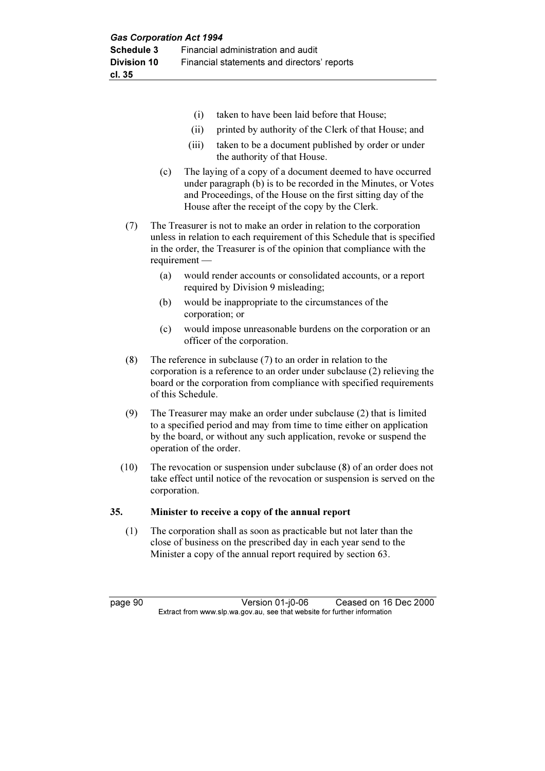- (i) taken to have been laid before that House;
- (ii) printed by authority of the Clerk of that House; and
- (iii) taken to be a document published by order or under the authority of that House.
- (c) The laying of a copy of a document deemed to have occurred under paragraph (b) is to be recorded in the Minutes, or Votes and Proceedings, of the House on the first sitting day of the House after the receipt of the copy by the Clerk.
- (7) The Treasurer is not to make an order in relation to the corporation unless in relation to each requirement of this Schedule that is specified in the order, the Treasurer is of the opinion that compliance with the requirement —
	- (a) would render accounts or consolidated accounts, or a report required by Division 9 misleading;
	- (b) would be inappropriate to the circumstances of the corporation; or
	- (c) would impose unreasonable burdens on the corporation or an officer of the corporation.
- (8) The reference in subclause (7) to an order in relation to the corporation is a reference to an order under subclause (2) relieving the board or the corporation from compliance with specified requirements of this Schedule.
- (9) The Treasurer may make an order under subclause (2) that is limited to a specified period and may from time to time either on application by the board, or without any such application, revoke or suspend the operation of the order.
- (10) The revocation or suspension under subclause (8) of an order does not take effect until notice of the revocation or suspension is served on the corporation.

#### 35. Minister to receive a copy of the annual report

 (1) The corporation shall as soon as practicable but not later than the close of business on the prescribed day in each year send to the Minister a copy of the annual report required by section 63.

page 90 Version 01-j0-06 Ceased on 16 Dec 2000<br>Extract from www.slp.wa.gov.au, see that website for further information  $\mathbf{F}$  from which was the set that we besite for further information  $\mathbf{F}$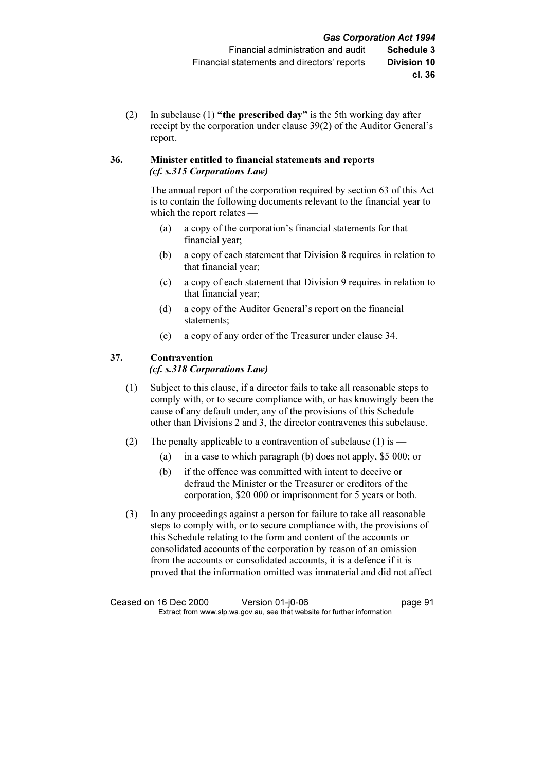(2) In subclause (1) "the prescribed day" is the 5th working day after receipt by the corporation under clause 39(2) of the Auditor General's report.

## 36. Minister entitled to financial statements and reports (cf. s.315 Corporations Law)

 The annual report of the corporation required by section 63 of this Act is to contain the following documents relevant to the financial year to which the report relates —

- (a) a copy of the corporation's financial statements for that financial year;
- (b) a copy of each statement that Division 8 requires in relation to that financial year;
- (c) a copy of each statement that Division 9 requires in relation to that financial year;
- (d) a copy of the Auditor General's report on the financial statements;
- (e) a copy of any order of the Treasurer under clause 34.

## 37. Contravention

## (cf. s.318 Corporations Law)

- (1) Subject to this clause, if a director fails to take all reasonable steps to comply with, or to secure compliance with, or has knowingly been the cause of any default under, any of the provisions of this Schedule other than Divisions 2 and 3, the director contravenes this subclause.
- (2) The penalty applicable to a contravention of subclause (1) is
	- (a) in a case to which paragraph (b) does not apply, \$5 000; or
	- (b) if the offence was committed with intent to deceive or defraud the Minister or the Treasurer or creditors of the corporation, \$20 000 or imprisonment for 5 years or both.
- (3) In any proceedings against a person for failure to take all reasonable steps to comply with, or to secure compliance with, the provisions of this Schedule relating to the form and content of the accounts or consolidated accounts of the corporation by reason of an omission from the accounts or consolidated accounts, it is a defence if it is proved that the information omitted was immaterial and did not affect

Ceased on 16 Dec 2000 Version 01-j0-06 page 91<br>Extract from www.slp.wa.gov.au, see that website for further information  $\mathbf{F}$  from which was the set that we besite for further information  $\mathbf{F}$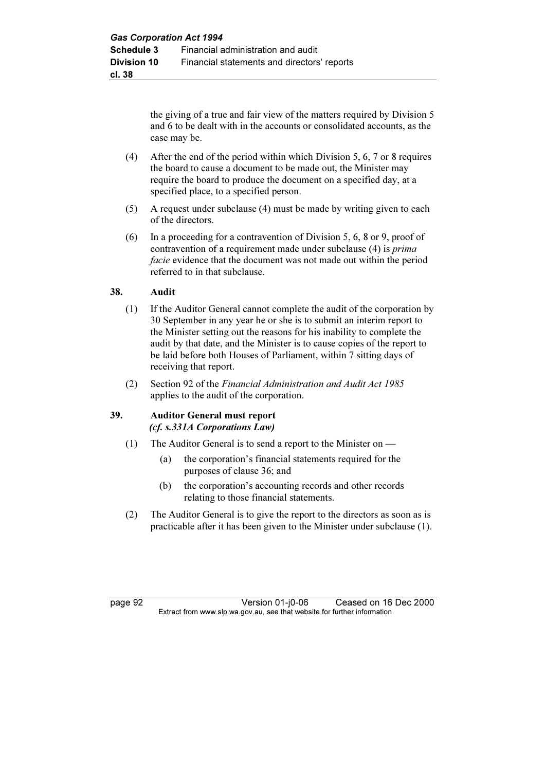the giving of a true and fair view of the matters required by Division 5 and 6 to be dealt with in the accounts or consolidated accounts, as the case may be.

- (4) After the end of the period within which Division 5, 6, 7 or 8 requires the board to cause a document to be made out, the Minister may require the board to produce the document on a specified day, at a specified place, to a specified person.
- (5) A request under subclause (4) must be made by writing given to each of the directors.
- (6) In a proceeding for a contravention of Division 5, 6, 8 or 9, proof of contravention of a requirement made under subclause (4) is prima facie evidence that the document was not made out within the period referred to in that subclause.

## 38. Audit

- (1) If the Auditor General cannot complete the audit of the corporation by 30 September in any year he or she is to submit an interim report to the Minister setting out the reasons for his inability to complete the audit by that date, and the Minister is to cause copies of the report to be laid before both Houses of Parliament, within 7 sitting days of receiving that report.
- (2) Section 92 of the Financial Administration and Audit Act 1985 applies to the audit of the corporation.

## 39. Auditor General must report (cf. s.331A Corporations Law)

- (1) The Auditor General is to send a report to the Minister on
	- (a) the corporation's financial statements required for the purposes of clause 36; and
	- (b) the corporation's accounting records and other records relating to those financial statements.
- (2) The Auditor General is to give the report to the directors as soon as is practicable after it has been given to the Minister under subclause (1).

page 92 Version 01-j0-06 Ceased on 16 Dec 2000<br>Extract from www.slp.wa.gov.au, see that website for further information  $\mathbf{F}$  from which was the set that we besite for further information  $\mathbf{F}$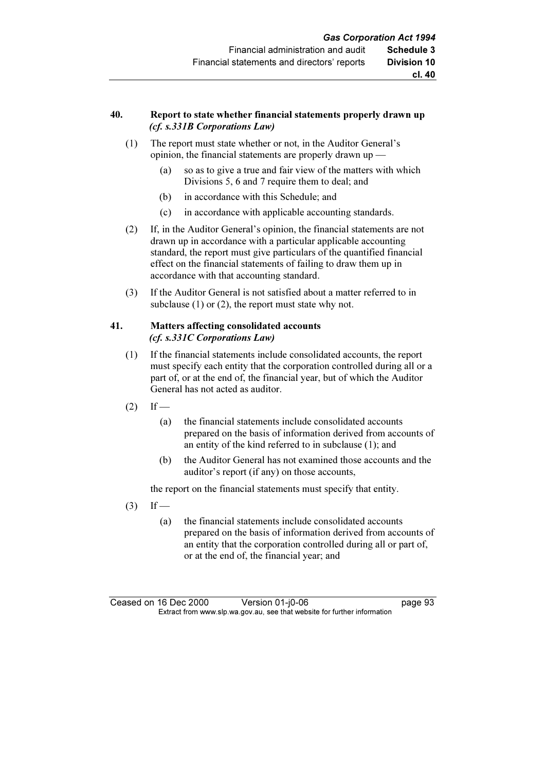#### 40. Report to state whether financial statements properly drawn up (cf. s.331B Corporations Law)

- (1) The report must state whether or not, in the Auditor General's opinion, the financial statements are properly drawn up —
	- (a) so as to give a true and fair view of the matters with which Divisions 5, 6 and 7 require them to deal; and
	- (b) in accordance with this Schedule; and
	- (c) in accordance with applicable accounting standards.
- (2) If, in the Auditor General's opinion, the financial statements are not drawn up in accordance with a particular applicable accounting standard, the report must give particulars of the quantified financial effect on the financial statements of failing to draw them up in accordance with that accounting standard.
- (3) If the Auditor General is not satisfied about a matter referred to in subclause (1) or (2), the report must state why not.

## 41. Matters affecting consolidated accounts (cf. s.331C Corporations Law)

- (1) If the financial statements include consolidated accounts, the report must specify each entity that the corporation controlled during all or a part of, or at the end of, the financial year, but of which the Auditor General has not acted as auditor.
- $(2)$  If
	- (a) the financial statements include consolidated accounts prepared on the basis of information derived from accounts of an entity of the kind referred to in subclause (1); and
	- (b) the Auditor General has not examined those accounts and the auditor's report (if any) on those accounts,

the report on the financial statements must specify that entity.

- $(3)$  If
	- (a) the financial statements include consolidated accounts prepared on the basis of information derived from accounts of an entity that the corporation controlled during all or part of, or at the end of, the financial year; and

Ceased on 16 Dec 2000 Version 01-j0-06 page 93<br>Extract from www.slp.wa.gov.au, see that website for further information  $\mathbf{F}$  from which was the set that we besite for further information  $\mathbf{F}$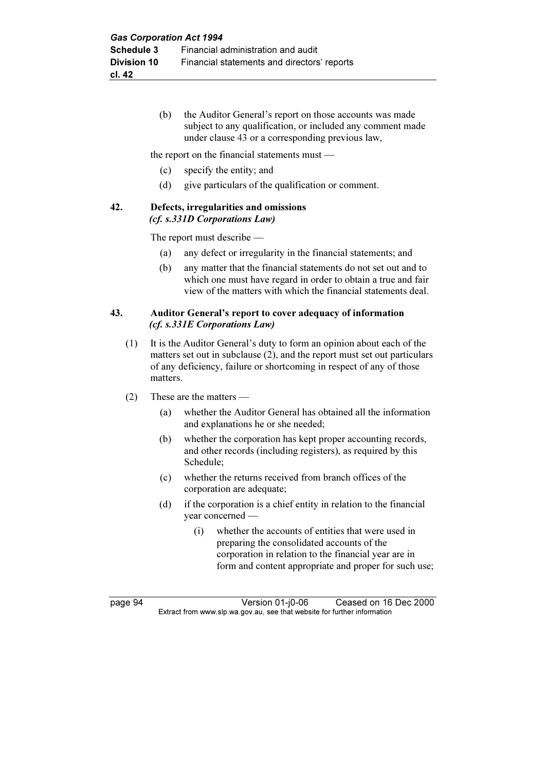(b) the Auditor General's report on those accounts was made subject to any qualification, or included any comment made under clause 43 or a corresponding previous law,

the report on the financial statements must —

- (c) specify the entity; and
- (d) give particulars of the qualification or comment.

#### 42. Defects, irregularities and omissions (cf. s.331D Corporations Law)

The report must describe —

- (a) any defect or irregularity in the financial statements; and
- (b) any matter that the financial statements do not set out and to which one must have regard in order to obtain a true and fair view of the matters with which the financial statements deal.

## 43. Auditor General's report to cover adequacy of information (cf. s.331E Corporations Law)

- (1) It is the Auditor General's duty to form an opinion about each of the matters set out in subclause (2), and the report must set out particulars of any deficiency, failure or shortcoming in respect of any of those matters.
- (2) These are the matters
	- (a) whether the Auditor General has obtained all the information and explanations he or she needed;
	- (b) whether the corporation has kept proper accounting records, and other records (including registers), as required by this Schedule;
	- (c) whether the returns received from branch offices of the corporation are adequate;
	- (d) if the corporation is a chief entity in relation to the financial year concerned —
		- (i) whether the accounts of entities that were used in preparing the consolidated accounts of the corporation in relation to the financial year are in form and content appropriate and proper for such use;

page 94 Version 01-j0-06 Ceased on 16 Dec 2000<br>Extract from www.slp.wa.gov.au, see that website for further information  $\mathbf{F}$  from which was the set that we besite for further information  $\mathbf{F}$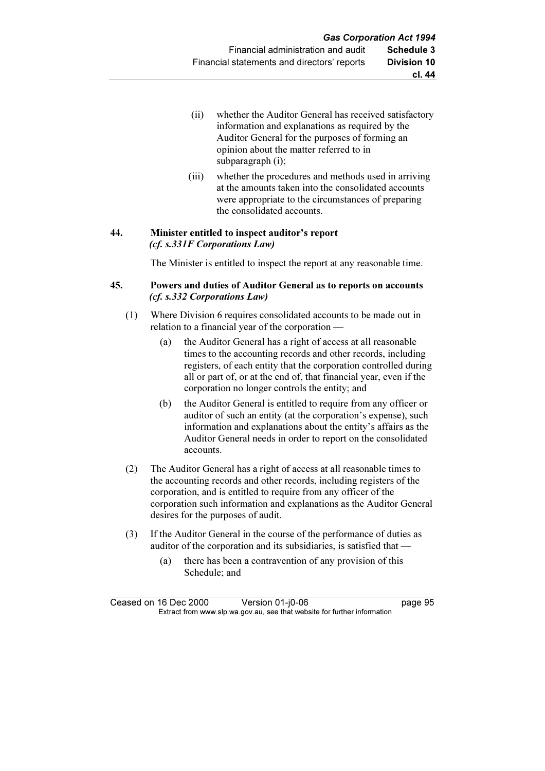- (ii) whether the Auditor General has received satisfactory information and explanations as required by the Auditor General for the purposes of forming an opinion about the matter referred to in subparagraph (i);
- (iii) whether the procedures and methods used in arriving at the amounts taken into the consolidated accounts were appropriate to the circumstances of preparing the consolidated accounts.

## 44. Minister entitled to inspect auditor's report (cf. s.331F Corporations Law)

The Minister is entitled to inspect the report at any reasonable time.

## 45. Powers and duties of Auditor General as to reports on accounts (cf. s.332 Corporations Law)

- (1) Where Division 6 requires consolidated accounts to be made out in relation to a financial year of the corporation -
	- (a) the Auditor General has a right of access at all reasonable times to the accounting records and other records, including registers, of each entity that the corporation controlled during all or part of, or at the end of, that financial year, even if the corporation no longer controls the entity; and
	- (b) the Auditor General is entitled to require from any officer or auditor of such an entity (at the corporation's expense), such information and explanations about the entity's affairs as the Auditor General needs in order to report on the consolidated accounts.
- (2) The Auditor General has a right of access at all reasonable times to the accounting records and other records, including registers of the corporation, and is entitled to require from any officer of the corporation such information and explanations as the Auditor General desires for the purposes of audit.
- (3) If the Auditor General in the course of the performance of duties as auditor of the corporation and its subsidiaries, is satisfied that —
	- (a) there has been a contravention of any provision of this Schedule; and

Ceased on 16 Dec 2000 Version 01-j0-06 page 95<br>Extract from www.slp.wa.gov.au, see that website for further information  $\mathbf{F}$  from which was the set that we besite for further information  $\mathbf{F}$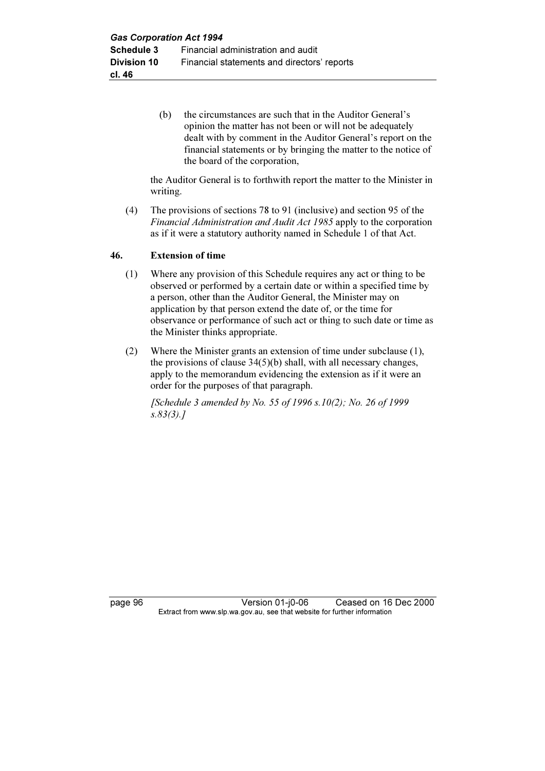(b) the circumstances are such that in the Auditor General's opinion the matter has not been or will not be adequately dealt with by comment in the Auditor General's report on the financial statements or by bringing the matter to the notice of the board of the corporation,

 the Auditor General is to forthwith report the matter to the Minister in writing.

 (4) The provisions of sections 78 to 91 (inclusive) and section 95 of the Financial Administration and Audit Act 1985 apply to the corporation as if it were a statutory authority named in Schedule 1 of that Act.

## 46. Extension of time

- (1) Where any provision of this Schedule requires any act or thing to be observed or performed by a certain date or within a specified time by a person, other than the Auditor General, the Minister may on application by that person extend the date of, or the time for observance or performance of such act or thing to such date or time as the Minister thinks appropriate.
- (2) Where the Minister grants an extension of time under subclause (1), the provisions of clause 34(5)(b) shall, with all necessary changes, apply to the memorandum evidencing the extension as if it were an order for the purposes of that paragraph.

[Schedule 3 amended by No. 55 of 1996 s.10(2); No. 26 of 1999 s.83(3).]

page 96 Version 01-j0-06 Ceased on 16 Dec 2000<br>Extract from www.slp.wa.gov.au, see that website for further information  $\mathbf{F}$  from which was the set that we besite for further information  $\mathbf{F}$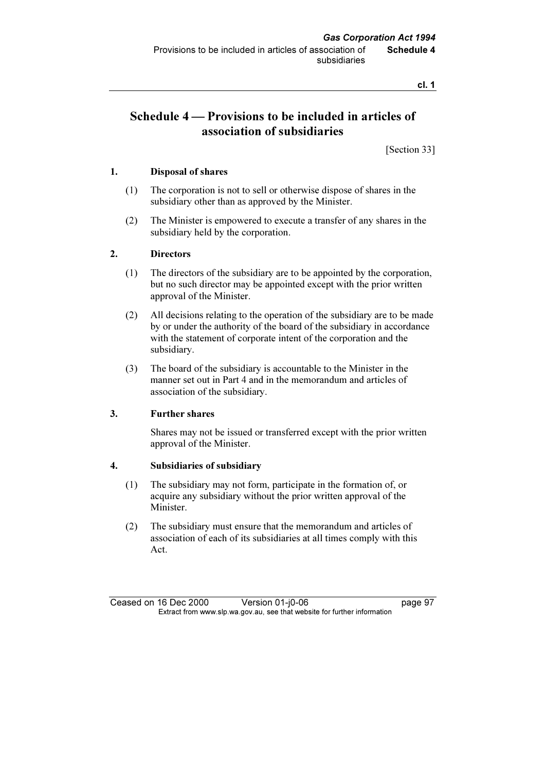cl. 1

# Schedule 4 — Provisions to be included in articles of association of subsidiaries

[Section 33]

## 1. Disposal of shares

- (1) The corporation is not to sell or otherwise dispose of shares in the subsidiary other than as approved by the Minister.
- (2) The Minister is empowered to execute a transfer of any shares in the subsidiary held by the corporation.

## 2. Directors

- (1) The directors of the subsidiary are to be appointed by the corporation, but no such director may be appointed except with the prior written approval of the Minister.
- (2) All decisions relating to the operation of the subsidiary are to be made by or under the authority of the board of the subsidiary in accordance with the statement of corporate intent of the corporation and the subsidiary.
- (3) The board of the subsidiary is accountable to the Minister in the manner set out in Part 4 and in the memorandum and articles of association of the subsidiary.

## 3. Further shares

 Shares may not be issued or transferred except with the prior written approval of the Minister.

#### 4. Subsidiaries of subsidiary

- (1) The subsidiary may not form, participate in the formation of, or acquire any subsidiary without the prior written approval of the **Minister**
- (2) The subsidiary must ensure that the memorandum and articles of association of each of its subsidiaries at all times comply with this Act.

Ceased on 16 Dec 2000 Version 01-j0-06 page 97<br>Extract from www.slp.wa.gov.au, see that website for further information  $\mathbf{F}$  from which was the set that we besite for further information  $\mathbf{F}$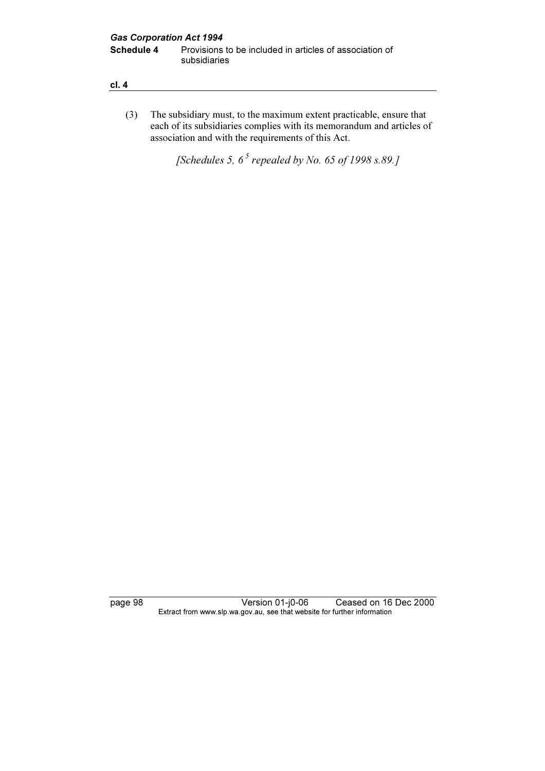| ×<br>I<br>۰. | _ |
|--------------|---|
|              |   |

 (3) The subsidiary must, to the maximum extent practicable, ensure that each of its subsidiaries complies with its memorandum and articles of association and with the requirements of this Act.

[Schedules 5,  $6^5$  repealed by No. 65 of 1998 s.89.]

page 98 Version 01-j0-06 Ceased on 16 Dec 2000 Extract from www.slp.wa.gov.au, see that website for further information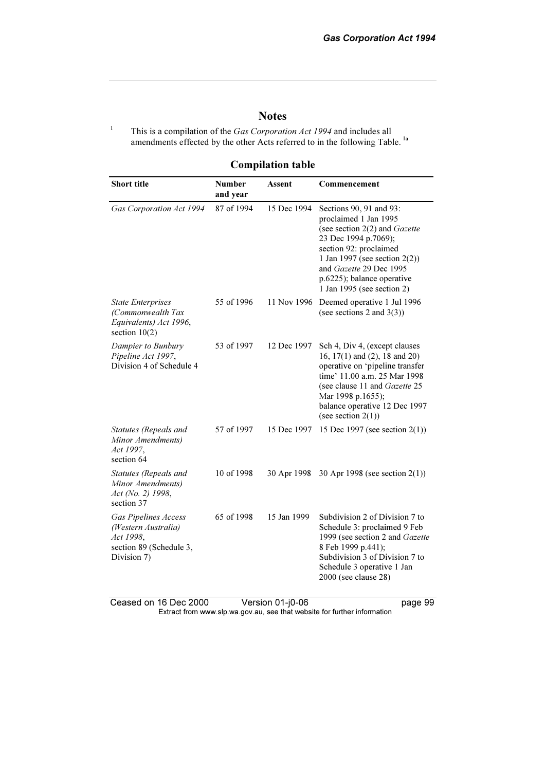# **Notes**

This is a compilation of the Gas Corporation Act 1994 and includes all amendments effected by the other Acts referred to in the following Table.<sup>1a</sup>

1

Compilation table

| <b>Short title</b>                                                                                        | <b>Number</b><br>and year | Assent      | Commencement                                                                                                                                                                                                                                                   |
|-----------------------------------------------------------------------------------------------------------|---------------------------|-------------|----------------------------------------------------------------------------------------------------------------------------------------------------------------------------------------------------------------------------------------------------------------|
| Gas Corporation Act 1994                                                                                  | 87 of 1994                | 15 Dec 1994 | Sections 90, 91 and 93:<br>proclaimed 1 Jan 1995<br>(see section 2(2) and Gazette<br>23 Dec 1994 p.7069);<br>section 92: proclaimed<br>1 Jan 1997 (see section $2(2)$ )<br>and Gazette 29 Dec 1995<br>p.6225); balance operative<br>1 Jan 1995 (see section 2) |
| <b>State Enterprises</b><br>(Commonwealth Tax<br>Equivalents) Act 1996,<br>section $10(2)$                | 55 of 1996                | 11 Nov 1996 | Deemed operative 1 Jul 1996<br>(see sections 2 and $3(3)$ )                                                                                                                                                                                                    |
| Dampier to Bunbury<br>Pipeline Act 1997,<br>Division 4 of Schedule 4                                      | 53 of 1997                | 12 Dec 1997 | Sch 4, Div 4, (except clauses<br>16, $17(1)$ and $(2)$ , 18 and $20)$<br>operative on 'pipeline transfer<br>time' 11.00 a.m. 25 Mar 1998<br>(see clause 11 and Gazette 25<br>Mar 1998 p.1655);<br>balance operative 12 Dec 1997<br>(see section $2(1)$ )       |
| Statutes (Repeals and<br>Minor Amendments)<br>Act 1997,<br>section 64                                     | 57 of 1997                | 15 Dec 1997 | 15 Dec 1997 (see section $2(1)$ )                                                                                                                                                                                                                              |
| Statutes (Repeals and<br>Minor Amendments)<br>Act (No. 2) 1998,<br>section 37                             | 10 of 1998                | 30 Apr 1998 | 30 Apr 1998 (see section $2(1)$ )                                                                                                                                                                                                                              |
| <b>Gas Pipelines Access</b><br>(Western Australia)<br>Act 1998,<br>section 89 (Schedule 3,<br>Division 7) | 65 of 1998                | 15 Jan 1999 | Subdivision 2 of Division 7 to<br>Schedule 3: proclaimed 9 Feb<br>1999 (see section 2 and Gazette<br>8 Feb 1999 p.441);<br>Subdivision 3 of Division 7 to<br>Schedule 3 operative 1 Jan<br>2000 (see clause 28)                                                |

Ceased on 16 Dec 2000 Version 01-j0-06 page 99 Extract from www.slp.wa.gov.au, see that website for further information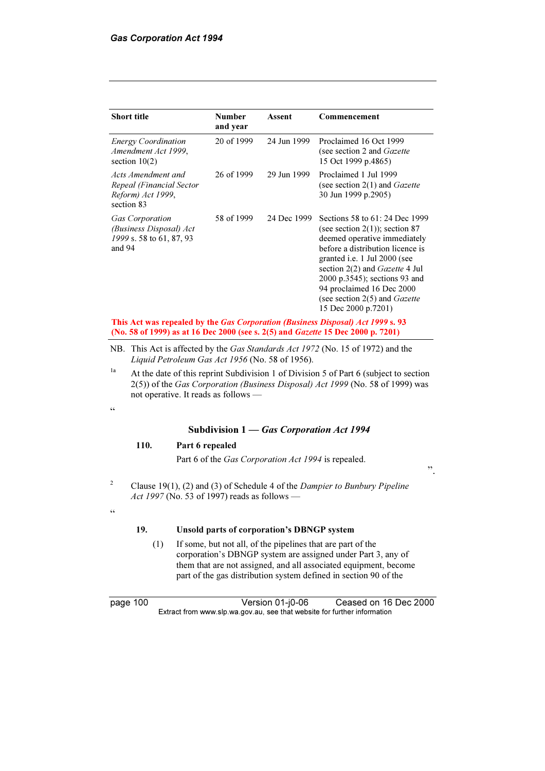| <b>Short title</b>                                                                      | <b>Number</b><br>and year | Assent      | Commencement                                                                                                                                                                                                                                                                                                                                    |
|-----------------------------------------------------------------------------------------|---------------------------|-------------|-------------------------------------------------------------------------------------------------------------------------------------------------------------------------------------------------------------------------------------------------------------------------------------------------------------------------------------------------|
| <b>Energy Coordination</b><br>Amendment Act 1999,<br>section $10(2)$                    | 20 of 1999                | 24 Jun 1999 | Proclaimed 16 Oct 1999<br>(see section 2 and <i>Gazette</i><br>15 Oct 1999 p.4865)                                                                                                                                                                                                                                                              |
| Acts Amendment and<br>Repeal (Financial Sector<br>Reform) Act 1999,<br>section 83       | 26 of 1999                | 29 Jun 1999 | Proclaimed 1 Jul 1999<br>(see section $2(1)$ and <i>Gazette</i><br>30 Jun 1999 p.2905)                                                                                                                                                                                                                                                          |
| <b>Gas Corporation</b><br>(Business Disposal) Act<br>1999 s. 58 to 61, 87, 93<br>and 94 | 58 of 1999                | 24 Dec 1999 | Sections 58 to 61: 24 Dec 1999<br>(see section $2(1)$ ); section 87<br>deemed operative immediately<br>before a distribution licence is<br>granted i.e. 1 Jul 2000 (see<br>section 2(2) and <i>Gazette</i> 4 Jul<br>2000 p.3545); sections 93 and<br>94 proclaimed 16 Dec 2000<br>(see section $2(5)$ and <i>Gazette</i><br>15 Dec 2000 p.7201) |

This Act was repealed by the Gas Corporation (Business Disposal) Act 1999 s. 93 (No. 58 of 1999) as at 16 Dec 2000 (see s. 2(5) and Gazette 15 Dec 2000 p. 7201)

- NB. This Act is affected by the Gas Standards Act 1972 (No. 15 of 1972) and the Liquid Petroleum Gas Act 1956 (No. 58 of 1956).
- <sup>1a</sup> At the date of this reprint Subdivision 1 of Division 5 of Part 6 (subject to section 2(5)) of the Gas Corporation (Business Disposal) Act 1999 (No. 58 of 1999) was not operative. It reads as follows —

#### Subdivision 1 — Gas Corporation Act 1994

".

#### 110. Part 6 repealed

Part 6 of the Gas Corporation Act 1994 is repealed.

2 Clause 19(1), (2) and (3) of Schedule 4 of the Dampier to Bunbury Pipeline Act 1997 (No. 53 of 1997) reads as follows —

# 19. Unsold parts of corporation's DBNGP system

 (1) If some, but not all, of the pipelines that are part of the corporation's DBNGP system are assigned under Part 3, any of them that are not assigned, and all associated equipment, become part of the gas distribution system defined in section 90 of the

<u>، د</u>

 $\epsilon$ 

page 100 Version 01-j0-06 Ceased on 16 Dec 2000 Extract from www.slp.wa.gov.au, see that website for further information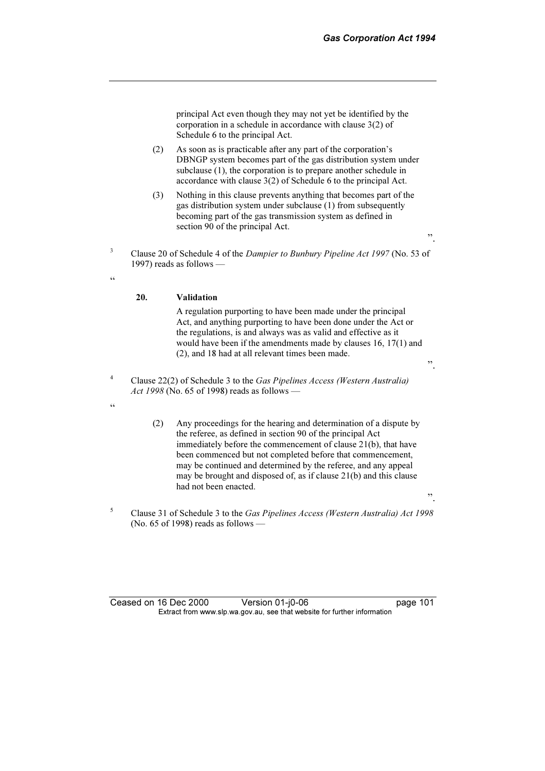principal Act even though they may not yet be identified by the corporation in a schedule in accordance with clause 3(2) of Schedule 6 to the principal Act.

- (2) As soon as is practicable after any part of the corporation's DBNGP system becomes part of the gas distribution system under subclause (1), the corporation is to prepare another schedule in accordance with clause 3(2) of Schedule 6 to the principal Act.
- (3) Nothing in this clause prevents anything that becomes part of the gas distribution system under subclause (1) from subsequently becoming part of the gas transmission system as defined in section 90 of the principal Act.
- ".
- Clause 20 of Schedule 4 of the Dampier to Bunbury Pipeline Act 1997 (No. 53 of 1997) reads as follows —

#### 20. Validation

 A regulation purporting to have been made under the principal Act, and anything purporting to have been done under the Act or the regulations, is and always was as valid and effective as it would have been if the amendments made by clauses 16, 17(1) and (2), and 18 had at all relevant times been made.

".

".

- 4 Clause 22(2) of Schedule 3 to the Gas Pipelines Access (Western Australia) Act 1998 (No. 65 of 1998) reads as follows —
- $\epsilon$

3

 $\zeta \zeta$ 

- (2) Any proceedings for the hearing and determination of a dispute by the referee, as defined in section 90 of the principal Act immediately before the commencement of clause 21(b), that have been commenced but not completed before that commencement, may be continued and determined by the referee, and any appeal may be brought and disposed of, as if clause 21(b) and this clause had not been enacted.
- 5 Clause 31 of Schedule 3 to the Gas Pipelines Access (Western Australia) Act 1998 (No. 65 of 1998) reads as follows —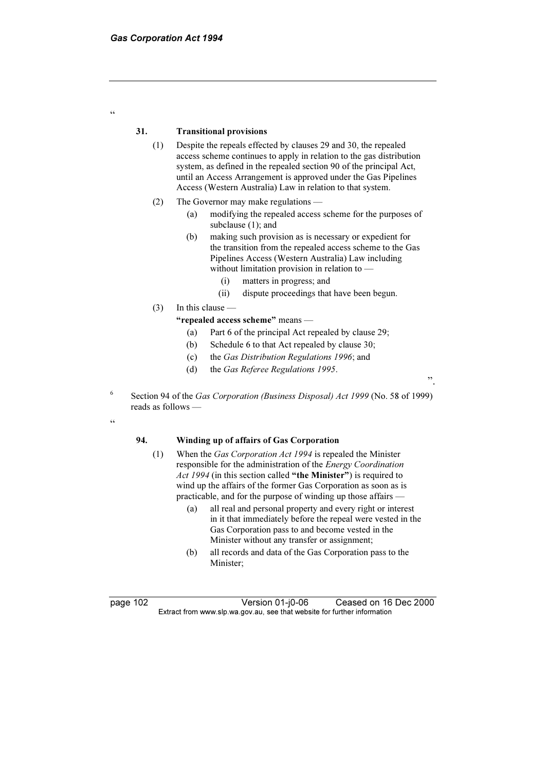### 31. Transitional provisions

- (1) Despite the repeals effected by clauses 29 and 30, the repealed access scheme continues to apply in relation to the gas distribution system, as defined in the repealed section 90 of the principal Act, until an Access Arrangement is approved under the Gas Pipelines Access (Western Australia) Law in relation to that system.
- (2) The Governor may make regulations
	- (a) modifying the repealed access scheme for the purposes of subclause (1); and
	- (b) making such provision as is necessary or expedient for the transition from the repealed access scheme to the Gas Pipelines Access (Western Australia) Law including without limitation provision in relation to —
		- (i) matters in progress; and
		- (ii) dispute proceedings that have been begun.

".

(3) In this clause —

"repealed access scheme" means —

- (a) Part 6 of the principal Act repealed by clause 29;
- (b) Schedule 6 to that Act repealed by clause 30;
- (c) the Gas Distribution Regulations 1996; and
- (d) the Gas Referee Regulations 1995.
- 6 Section 94 of the Gas Corporation (Business Disposal) Act 1999 (No. 58 of 1999) reads as follows —
- "

"

## 94. Winding up of affairs of Gas Corporation

- (1) When the Gas Corporation Act 1994 is repealed the Minister responsible for the administration of the Energy Coordination Act 1994 (in this section called "the Minister") is required to wind up the affairs of the former Gas Corporation as soon as is practicable, and for the purpose of winding up those affairs —
	- (a) all real and personal property and every right or interest in it that immediately before the repeal were vested in the Gas Corporation pass to and become vested in the Minister without any transfer or assignment;
	- (b) all records and data of the Gas Corporation pass to the Minister;

page 102 <br>Extract from www.slp.wa.gov.au, see that website for further information<br>Extract from www.slp.wa.gov.au, see that website for further information  $\mathbf{F}$  from which was the set that we besite for further information  $\mathbf{F}$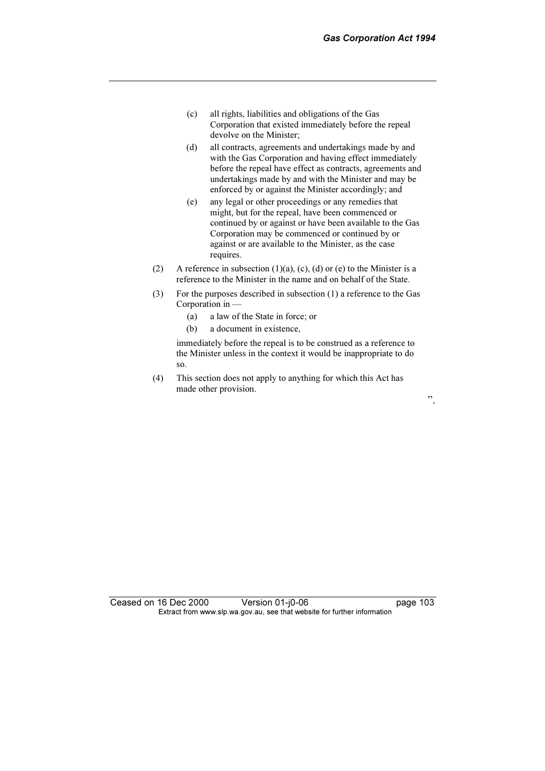- (c) all rights, liabilities and obligations of the Gas Corporation that existed immediately before the repeal devolve on the Minister;
- (d) all contracts, agreements and undertakings made by and with the Gas Corporation and having effect immediately before the repeal have effect as contracts, agreements and undertakings made by and with the Minister and may be enforced by or against the Minister accordingly; and
- (e) any legal or other proceedings or any remedies that might, but for the repeal, have been commenced or continued by or against or have been available to the Gas Corporation may be commenced or continued by or against or are available to the Minister, as the case requires.
- (2) A reference in subsection  $(1)(a)$ ,  $(c)$ ,  $(d)$  or  $(e)$  to the Minister is a reference to the Minister in the name and on behalf of the State.
- (3) For the purposes described in subsection (1) a reference to the Gas Corporation in —
	- (a) a law of the State in force; or
	- (b) a document in existence,

 immediately before the repeal is to be construed as a reference to the Minister unless in the context it would be inappropriate to do so.

 (4) This section does not apply to anything for which this Act has made other provision.

".

Ceased on 16 Dec 2000 Version 01-j0-06 page 103 Extract from www.slp.wa.gov.au, see that website for further information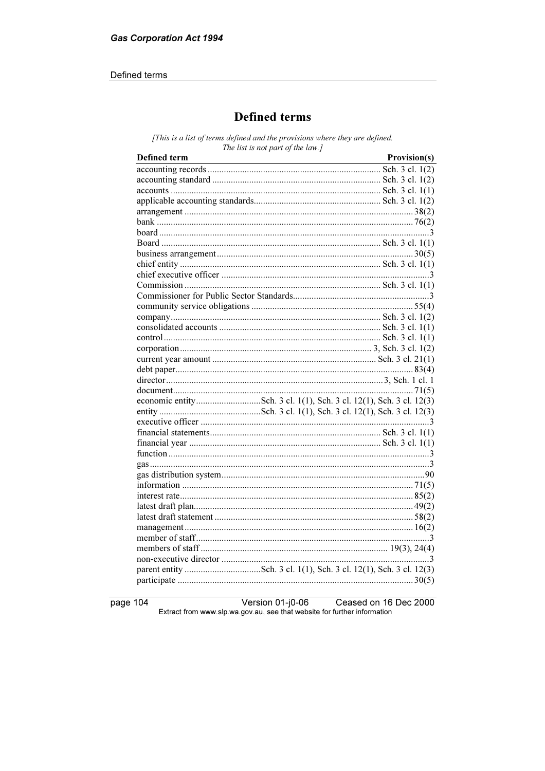# Defined terms

# **Defined terms**

[This is a list of terms defined and the provisions where they are defined. The list is not part of the law.]

| <b>Defined</b> term | Provision(s) |
|---------------------|--------------|
|                     |              |
|                     |              |
|                     |              |
|                     |              |
|                     |              |
|                     |              |
|                     |              |
|                     |              |
|                     |              |
|                     |              |
|                     |              |
|                     |              |
|                     |              |
|                     |              |
|                     |              |
|                     |              |
|                     |              |
|                     |              |
|                     |              |
|                     |              |
|                     |              |
|                     |              |
|                     |              |
|                     |              |
|                     |              |
|                     |              |
|                     |              |
|                     |              |
|                     |              |
|                     |              |
|                     |              |
|                     |              |
|                     |              |
|                     |              |
|                     |              |
|                     |              |
|                     |              |
|                     |              |
|                     |              |
|                     |              |

page 104

Version 01-j0-06 Ceased on 16 Dec 2000 Extract from www.slp.wa.gov.au, see that website for further information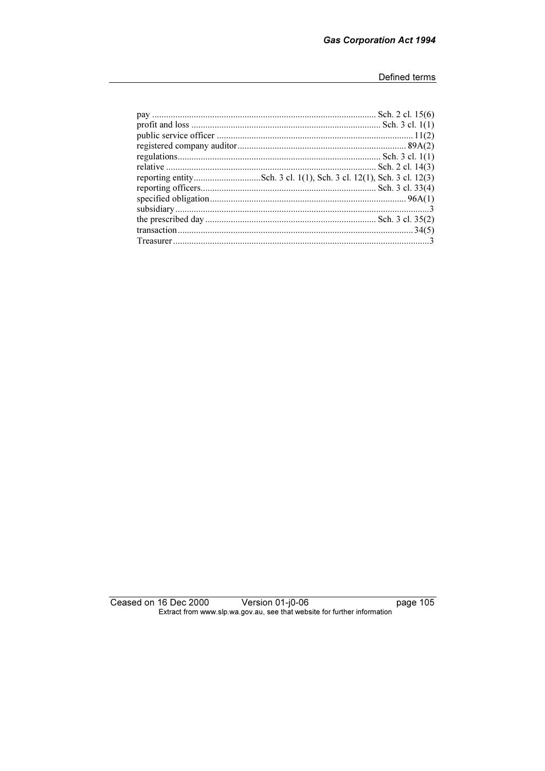Ceased on 16 Dec 2000 16 Dec 2000 Version 01-j0-06<br>Extract from www.slp.wa.gov.au, see that website for further information page 105